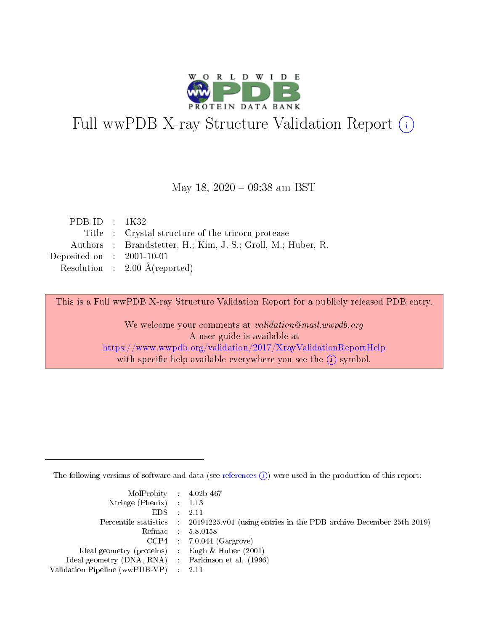

# Full wwPDB X-ray Structure Validation Report (i)

### May 18, 2020 - 09:38 am BST

| PDB ID : $1K32$             |                                                              |
|-----------------------------|--------------------------------------------------------------|
|                             | Title : Crystal structure of the tricorn protease            |
|                             | Authors : Brandstetter, H.; Kim, J.-S.; Groll, M.; Huber, R. |
| Deposited on : $2001-10-01$ |                                                              |
|                             | Resolution : $2.00 \text{ Å}$ (reported)                     |

This is a Full wwPDB X-ray Structure Validation Report for a publicly released PDB entry.

We welcome your comments at validation@mail.wwpdb.org A user guide is available at <https://www.wwpdb.org/validation/2017/XrayValidationReportHelp> with specific help available everywhere you see the  $(i)$  symbol.

The following versions of software and data (see [references](https://www.wwpdb.org/validation/2017/XrayValidationReportHelp#references)  $(i)$ ) were used in the production of this report:

| $MolProbability$ 4.02b-467<br>Xtriage (Phenix) $: 1.13$ |                                                                                                     |
|---------------------------------------------------------|-----------------------------------------------------------------------------------------------------|
| $EDS$ :                                                 | -2.11<br>Percentile statistics : 20191225.v01 (using entries in the PDB archive December 25th 2019) |
|                                                         | Refmac : 5.8.0158                                                                                   |
|                                                         | $CCP4$ : 7.0.044 (Gargrove)                                                                         |
| Ideal geometry (proteins) : Engh $\&$ Huber (2001)      |                                                                                                     |
| Ideal geometry (DNA, RNA) : Parkinson et al. (1996)     |                                                                                                     |
| Validation Pipeline (wwPDB-VP) :                        | -2.11                                                                                               |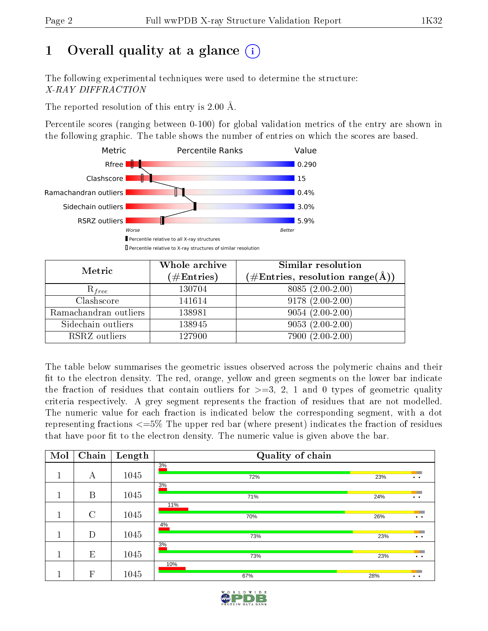# 1 [O](https://www.wwpdb.org/validation/2017/XrayValidationReportHelp#overall_quality)verall quality at a glance  $(i)$

The following experimental techniques were used to determine the structure: X-RAY DIFFRACTION

The reported resolution of this entry is 2.00 Å.

Percentile scores (ranging between 0-100) for global validation metrics of the entry are shown in the following graphic. The table shows the number of entries on which the scores are based.



| Metric                | Whole archive<br>$(\#\text{Entries})$ | Similar resolution<br>$(\#\text{Entries},\, \text{resolution}\; \text{range}(\textup{\AA}))$ |  |  |  |  |  |
|-----------------------|---------------------------------------|----------------------------------------------------------------------------------------------|--|--|--|--|--|
| $R_{free}$            | 130704                                | $8085(2.00-2.00)$                                                                            |  |  |  |  |  |
| Clashscore            | 141614                                | $9178(2.00-2.00)$                                                                            |  |  |  |  |  |
| Ramachandran outliers | 138981                                | $9054(2.00-2.00)$                                                                            |  |  |  |  |  |
| Sidechain outliers    | 138945                                | $9053(2.00-2.00)$                                                                            |  |  |  |  |  |
| RSRZ outliers         | 127900                                | 7900 (2.00-2.00)                                                                             |  |  |  |  |  |

The table below summarises the geometric issues observed across the polymeric chains and their fit to the electron density. The red, orange, yellow and green segments on the lower bar indicate the fraction of residues that contain outliers for  $>=3, 2, 1$  and 0 types of geometric quality criteria respectively. A grey segment represents the fraction of residues that are not modelled. The numeric value for each fraction is indicated below the corresponding segment, with a dot representing fractions  $\epsilon=5\%$  The upper red bar (where present) indicates the fraction of residues that have poor fit to the electron density. The numeric value is given above the bar.

| Mol | Chain                     | Length | Quality of chain |     |                                                                                                                                                                                                                                                         |  |  |  |  |  |  |
|-----|---------------------------|--------|------------------|-----|---------------------------------------------------------------------------------------------------------------------------------------------------------------------------------------------------------------------------------------------------------|--|--|--|--|--|--|
|     |                           |        | 3%               |     |                                                                                                                                                                                                                                                         |  |  |  |  |  |  |
|     | А                         | 1045   | 72%              | 23% | $\bullet$ $\bullet$                                                                                                                                                                                                                                     |  |  |  |  |  |  |
|     |                           |        | 3%               |     |                                                                                                                                                                                                                                                         |  |  |  |  |  |  |
|     | B                         | 1045   | 71%              | 24% | <b>The Contract of the Contract of the Contract of the Contract of the Contract of the Contract of The Contract of The Contract of The Contract of The Contract of The Contract of The Contract of The Contract of The Contract </b><br>$\cdot$ $\cdot$ |  |  |  |  |  |  |
|     |                           |        | 11%              |     |                                                                                                                                                                                                                                                         |  |  |  |  |  |  |
|     | $\rm C$                   | 1045   | 70%              | 26% | $\bullet\quad\bullet$                                                                                                                                                                                                                                   |  |  |  |  |  |  |
|     |                           |        | 4%               |     |                                                                                                                                                                                                                                                         |  |  |  |  |  |  |
|     | D                         | 1045   | 73%              | 23% | $\bullet$                                                                                                                                                                                                                                               |  |  |  |  |  |  |
|     |                           |        | 3%               |     |                                                                                                                                                                                                                                                         |  |  |  |  |  |  |
|     | E                         | 1045   | 73%              | 23% | $\ddot{\phantom{1}}$                                                                                                                                                                                                                                    |  |  |  |  |  |  |
|     |                           |        | 10%              |     |                                                                                                                                                                                                                                                         |  |  |  |  |  |  |
|     | $\boldsymbol{\mathrm{F}}$ | 1045   | 67%              | 28% | $\bullet\quad\bullet$                                                                                                                                                                                                                                   |  |  |  |  |  |  |

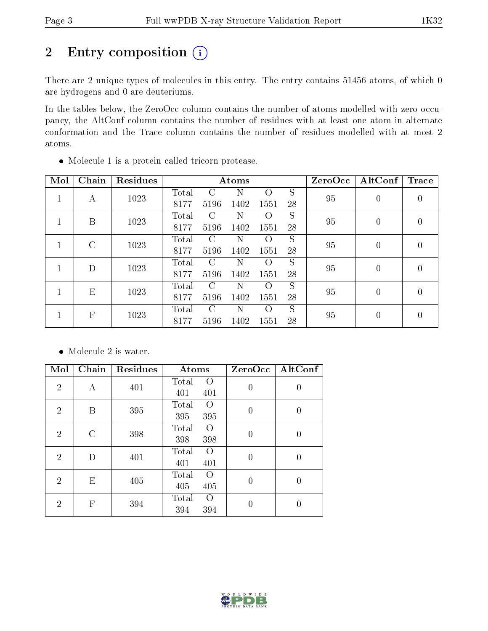# 2 Entry composition (i)

There are 2 unique types of molecules in this entry. The entry contains 51456 atoms, of which 0 are hydrogens and 0 are deuteriums.

In the tables below, the ZeroOcc column contains the number of atoms modelled with zero occupancy, the AltConf column contains the number of residues with at least one atom in alternate conformation and the Trace column contains the number of residues modelled with at most 2 atoms.

| Mol          | Chain                     | Residues |                |               | Atoms |                  |    | ZeroOcc | AltConf        | <b>Trace</b>     |
|--------------|---------------------------|----------|----------------|---------------|-------|------------------|----|---------|----------------|------------------|
| 1            | А                         | 1023     | Total          | C             |       | $\left( \right)$ | S  | 95      | $\overline{0}$ | $\boldsymbol{0}$ |
|              |                           |          | 8177           | 5196          | 1402  | 1551             | 28 |         |                |                  |
| 1            | B                         | 1023     | $\text{Total}$ | C             | N     | $\left( \right)$ | S  | 95      | $\theta$       | 0                |
|              |                           |          | 8177           | 5196          | 1402  | 1551             | 28 |         |                |                  |
| $\mathbf{1}$ | $\rm C$                   | 1023     | Total          | $\mathcal{C}$ | N     | $\left($         | S  | 95      | $\overline{0}$ | $\boldsymbol{0}$ |
|              |                           |          | 8177           | 5196          | 1402  | 1551             | 28 |         |                |                  |
| 1            | D                         | 1023     | $\rm Total$    | C             | N     | $\left( \right)$ | S  | 95      | $\overline{0}$ | $\overline{0}$   |
|              |                           |          | 8177           | 5196          | 1402  | 1551             | 28 |         |                |                  |
| 1            | E                         | 1023     | Total          | C             | N     | $\left( \right)$ | S  | 95      | $\theta$       | $\theta$         |
|              |                           |          | 8177           | 5196          | 1402  | 1551             | 28 |         |                |                  |
| 1            | $\boldsymbol{\mathrm{F}}$ | 1023     | Total          | $\Gamma$      | Ν     | $\left($         | S  | 95      | $\overline{0}$ | $\overline{0}$   |
|              |                           |          | 8177           | 5196          | 1402  | 1551             | 28 |         |                |                  |

Molecule 1 is a protein called tricorn protease.

• Molecule 2 is water.

| Mol            | Chain                     | Residues | Atoms                                   | ZeroOcc          | AltConf        |
|----------------|---------------------------|----------|-----------------------------------------|------------------|----------------|
| $\overline{2}$ | А                         | 401      | Total<br>$\left( \right)$<br>401<br>401 | $\overline{0}$   | 0              |
| $\overline{2}$ | B                         | 395      | Total<br>$\Omega$<br>395<br>395         | $\boldsymbol{0}$ | 0              |
| $\overline{2}$ | C                         | 398      | Total<br>O<br>398<br>398                | $\overline{0}$   | 0              |
| $\overline{2}$ | D                         | 401      | Total<br>O<br>401<br>401                | $\overline{0}$   | $\overline{0}$ |
| $\overline{2}$ | E                         | 405      | Total<br>$\left( \right)$<br>405<br>405 | $\overline{0}$   | 0              |
| $\overline{2}$ | $\boldsymbol{\mathrm{F}}$ | 394      | Total<br>$\left( \right)$<br>394<br>394 | 0                | 0              |

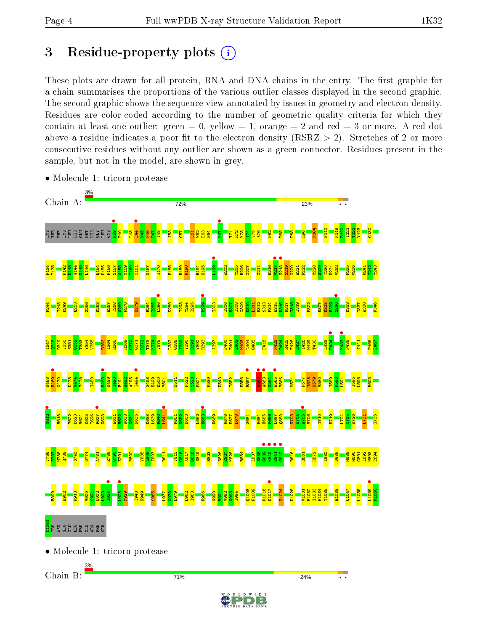# 3 Residue-property plots  $(i)$

These plots are drawn for all protein, RNA and DNA chains in the entry. The first graphic for a chain summarises the proportions of the various outlier classes displayed in the second graphic. The second graphic shows the sequence view annotated by issues in geometry and electron density. Residues are color-coded according to the number of geometric quality criteria for which they contain at least one outlier: green  $= 0$ , yellow  $= 1$ , orange  $= 2$  and red  $= 3$  or more. A red dot above a residue indicates a poor fit to the electron density (RSRZ  $> 2$ ). Stretches of 2 or more consecutive residues without any outlier are shown as a green connector. Residues present in the sample, but not in the model, are shown in grey.



• Molecule 1: tricorn protease

• Molecule 1: tricorn protease

Chain B:

71%



24%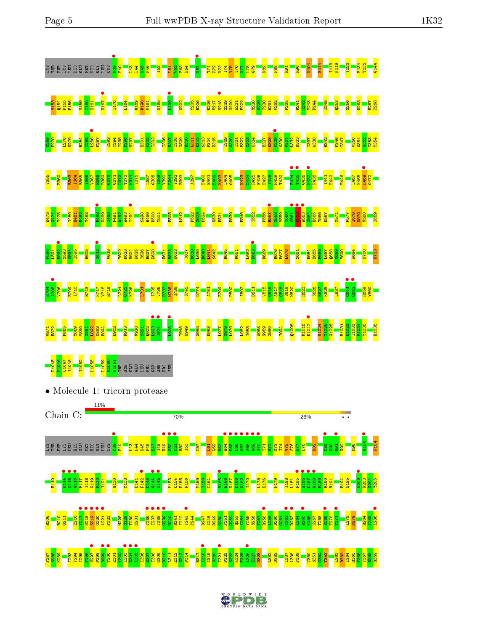





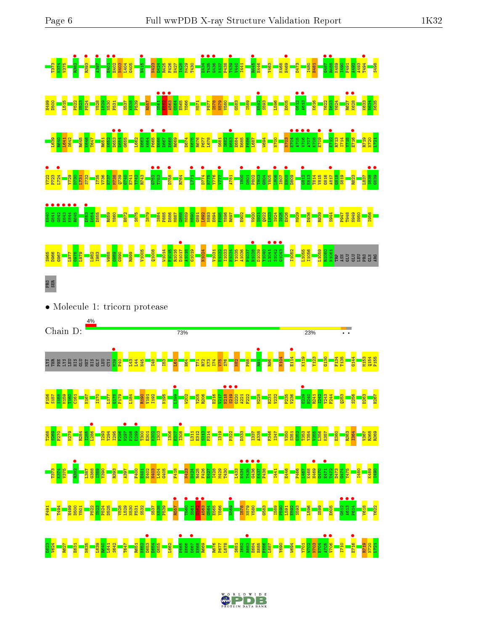|                                                                                                                                                                                                                                         | D667 |     |
|-----------------------------------------------------------------------------------------------------------------------------------------------------------------------------------------------------------------------------------------|------|-----|
|                                                                                                                                                                                                                                         |      |     |
|                                                                                                                                                                                                                                         |      |     |
|                                                                                                                                                                                                                                         |      |     |
| PRO<br>SER                                                                                                                                                                                                                              |      |     |
|                                                                                                                                                                                                                                         |      |     |
| Molecule 1: tricorn protease<br>Chain D:                                                                                                                                                                                                | 73%  | 23% |
| <b>SXC</b><br>분보                                                                                                                                                                                                                        |      |     |
|                                                                                                                                                                                                                                         |      |     |
|                                                                                                                                                                                                                                         |      |     |
| <u>ber 1988 ber 1988 ber 1988 ber 1988 ber 1988 ber 1988 ber 1988 ber 1988 ber 1988 ber 1988 ber 1988 ber 1988 b<br/>De ber 1988 ber 1988 ber 1988 ber 1988 ber 1988 ber 1988 ber 1988 ber 1988 ber 1988 ber 1988 ber 1988 ber 1988</u> |      |     |
|                                                                                                                                                                                                                                         |      |     |

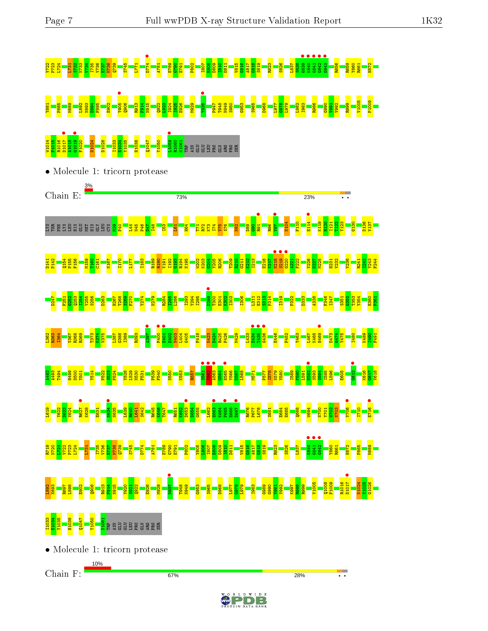



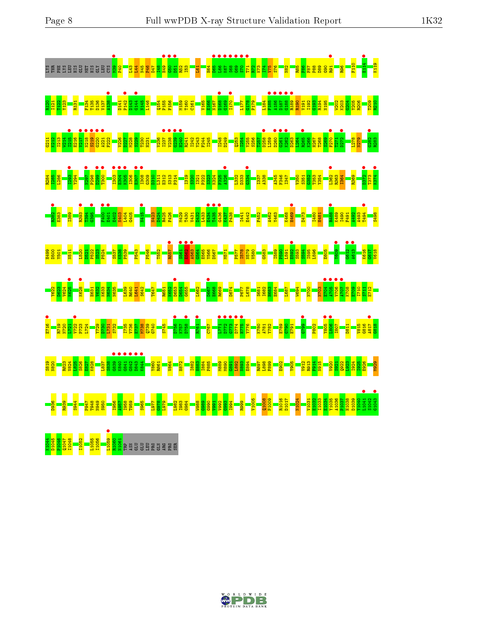| <u>g du di menggang di beranggang pang panggang panggang di panggang panggang panggang panggang pang</u>                                                                                                                                        |  |  |  |  |  |  |  |  |  |  |  |  |  |  |
|-------------------------------------------------------------------------------------------------------------------------------------------------------------------------------------------------------------------------------------------------|--|--|--|--|--|--|--|--|--|--|--|--|--|--|
|                                                                                                                                                                                                                                                 |  |  |  |  |  |  |  |  |  |  |  |  |  |  |
|                                                                                                                                                                                                                                                 |  |  |  |  |  |  |  |  |  |  |  |  |  |  |
|                                                                                                                                                                                                                                                 |  |  |  |  |  |  |  |  |  |  |  |  |  |  |
| <b>1988 - 1988 - 1988 - 1988 - 1988 - 1988 - 1988 - 1988 - 1988 - 1988 - 1988 - 1988 - 1988 - 1988 - 1988 - 1988</b><br>1988 - 1988 - 1988 - 1988 - 1988 - 1988 - 1988 - 1988 - 1988 - 1988 - 1988 - 1988 - 1988 - 1988 - 1988 - 1988<br>       |  |  |  |  |  |  |  |  |  |  |  |  |  |  |
| <u>s a sense de la construction de la construction de la construction de la construction de la construction de la<br/>La construction de la construction de la construction de la construction de la construction de la construction</u>        |  |  |  |  |  |  |  |  |  |  |  |  |  |  |
| <u>.</u><br>1918: 1920 - 1930 - 1930 - 1930 - 1930 - 1940 - 1940 - 1940 - 1940 - 1940 - 1940 - 1940 - 1950 - 1950 - 1950<br>1940 - 1940 - 1940 - 1940 - 1940 - 1940 - 1940 - 1940 - 1940 - 1940 - 1940 - 1940 - 1940 - 1940 - 1940 - 1940       |  |  |  |  |  |  |  |  |  |  |  |  |  |  |
|                                                                                                                                                                                                                                                 |  |  |  |  |  |  |  |  |  |  |  |  |  |  |
| <b>s 1988 – 1988 – 1988 – 1988 – 1988 – 1988 – 1988 – 1988 – 1988 – 1988 – 1988 – 1988 – 1988 – 1988 – 1988 – 198</b><br>1988 – 1988 – 1988 – 1988 – 1988 – 1988 – 1988 – 1988 – 1988 – 1988 – 1988 – 1988 – 1988 – 1988 – 1988 – 1988          |  |  |  |  |  |  |  |  |  |  |  |  |  |  |
| s <mark>1985 - 1986 - 1986 - 1986 -</mark><br>1986 - 1987 - 1988 - 1988 - 1988 - 1988 - 1988 - 1988 - 1988 - 1988 - 1988 - 1988 - 1988 - 1988 - 1988 - 1988<br>1988 - 1988 - 1988 - 1988 - 1988 - 1988 - 1988 - 1988 - 1988 - 1988 - 1988 - 198 |  |  |  |  |  |  |  |  |  |  |  |  |  |  |

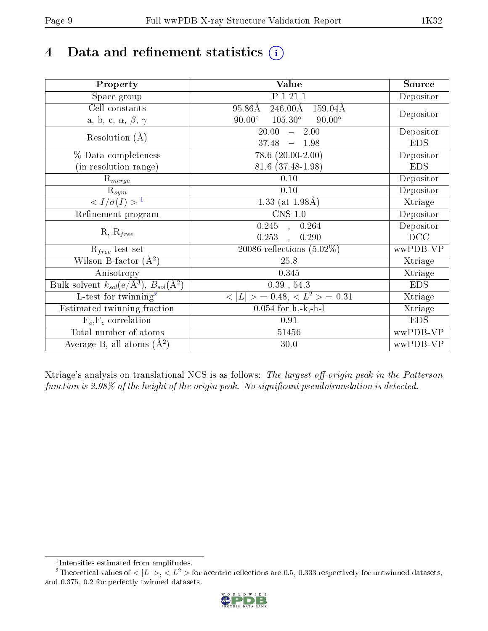# 4 Data and refinement statistics  $(i)$

| Property                                                             | Value                                                         | Source     |
|----------------------------------------------------------------------|---------------------------------------------------------------|------------|
| Space group                                                          | P 1 21 1                                                      | Depositor  |
| Cell constants                                                       | $95.86\text{\AA}$<br>$246.00\text{\AA}$<br>$159.04\text{\AA}$ |            |
| a, b, c, $\alpha$ , $\beta$ , $\gamma$                               | $90.00^\circ$<br>$105.30^\circ$<br>$90.00^\circ$              | Depositor  |
| Resolution $(A)$                                                     | 20.00<br>2.00<br>$\frac{1}{2}$                                | Depositor  |
|                                                                      | 37.48<br>$-1.98$                                              | <b>EDS</b> |
| % Data completeness                                                  | $78.6$ $(20.00-2.00)$                                         | Depositor  |
| (in resolution range)                                                | 81.6 (37.48-1.98)                                             | <b>EDS</b> |
| $R_{merge}$                                                          | 0.10                                                          | Depositor  |
| $\mathrm{R}_{sym}$                                                   | 0.10                                                          | Depositor  |
| $\langle I/\sigma(I) \rangle^{-1}$                                   | 1.33 (at $1.98\text{\AA}$ )                                   | Xtriage    |
| Refinement program                                                   | $CNS$ 1.0                                                     | Depositor  |
|                                                                      | $\overline{0.245}$ ,<br>0.264                                 | Depositor  |
| $R, R_{free}$                                                        | 0.253<br>0.290                                                | DCC        |
| $R_{free}$ test set                                                  | 20086 reflections $(5.02\%)$                                  | wwPDB-VP   |
| Wilson B-factor $(A^2)$                                              | 25.8                                                          | Xtriage    |
| Anisotropy                                                           | 0.345                                                         | Xtriage    |
| Bulk solvent $k_{sol}(e/\mathring{A}^3)$ , $B_{sol}(\mathring{A}^2)$ | $0.39$ , $54.3$                                               | <b>EDS</b> |
| $\overline{L-test for }$ twinning <sup>2</sup>                       | $>$ = 0.48, < $L^2$ > = 0.31<br>< L                           | Xtriage    |
| Estimated twinning fraction                                          | $0.054$ for h,-k,-h-l                                         | Xtriage    |
| $F_o, F_c$ correlation                                               | 0.91                                                          | <b>EDS</b> |
| Total number of atoms                                                | 51456                                                         | wwPDB-VP   |
| Average B, all atoms $(A^2)$                                         | 30.0                                                          | wwPDB-VP   |

Xtriage's analysis on translational NCS is as follows: The largest off-origin peak in the Patterson function is 2.98% of the height of the origin peak. No significant pseudotranslation is detected.

<sup>&</sup>lt;sup>2</sup>Theoretical values of  $\langle |L| \rangle$ ,  $\langle L^2 \rangle$  for acentric reflections are 0.5, 0.333 respectively for untwinned datasets, and 0.375, 0.2 for perfectly twinned datasets.



<span id="page-8-1"></span><span id="page-8-0"></span><sup>1</sup> Intensities estimated from amplitudes.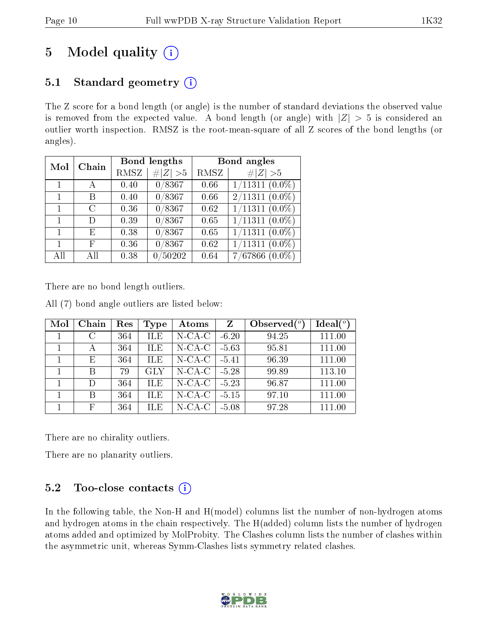# 5 Model quality  $(i)$

# 5.1 Standard geometry  $(i)$

The Z score for a bond length (or angle) is the number of standard deviations the observed value is removed from the expected value. A bond length (or angle) with  $|Z| > 5$  is considered an outlier worth inspection. RMSZ is the root-mean-square of all Z scores of the bond lengths (or angles).

| Mol | Chain |      | <b>Bond lengths</b> | Bond angles |                             |  |  |  |
|-----|-------|------|---------------------|-------------|-----------------------------|--|--|--|
|     |       | RMSZ | # $ Z  > 5$         | RMSZ        | Z   > 5                     |  |  |  |
|     |       | 0.40 | 0/8367              | 0.66        | $1/11311$ $(0.0\%)$         |  |  |  |
|     | В     | 0.40 | 0/8367              | 0.66        | $2/11311(0.0\%)$            |  |  |  |
|     | C     | 0.36 | $\sqrt{0/8367}$     | 0.62        | $\overline{1/11311}$ (0.0%) |  |  |  |
|     | D     | 0.39 | 0/8367              | 0.65        | $1/11311 (0.0\%)$           |  |  |  |
|     | Е     | 0.38 | 0/8367              | 0.65        | 1/11311<br>$(0.0\%)$        |  |  |  |
|     | F     | 0.36 | 0/8367              | 0.62        | 1/11311<br>$(0.0\%)$        |  |  |  |
| All | ΑH    | 0.38 | /50202<br>0         | 0.64        | 7/67866<br>$(0.0\%)$        |  |  |  |

There are no bond length outliers.

All (7) bond angle outliers are listed below:

| Mol | Chain         | Res | Type       | Atoms        | Z       | Observed $(°)$ | Ideal $(°)$ |
|-----|---------------|-----|------------|--------------|---------|----------------|-------------|
|     | $\mathcal{C}$ | 364 | <b>ILE</b> | $N$ -CA-C    | $-6.20$ | 94.25          | 111.00      |
|     | А             | 364 | <b>ILE</b> | $N-CA-C$     | $-5.63$ | 95.81          | 111.00      |
|     | Е             | 364 | <b>ILE</b> | $N-CA-C$     | $-5.41$ | 96.39          | 111.00      |
|     | В             | 79  | <b>GLY</b> | $N - CA - C$ | $-5.28$ | 99.89          | 113.10      |
|     | D             | 364 | <b>ILE</b> | $N-CA-C$     | $-5.23$ | 96.87          | 111.00      |
|     | В             | 364 | <b>ILE</b> | $N$ -CA-C    | $-5.15$ | 97.10          | 111.00      |
|     | F             | 364 | ILE        | $N$ -CA-C    | $-5.08$ | 97.28          | 111.00      |

There are no chirality outliers.

There are no planarity outliers.

# 5.2 Too-close contacts  $(i)$

In the following table, the Non-H and H(model) columns list the number of non-hydrogen atoms and hydrogen atoms in the chain respectively. The H(added) column lists the number of hydrogen atoms added and optimized by MolProbity. The Clashes column lists the number of clashes within the asymmetric unit, whereas Symm-Clashes lists symmetry related clashes.

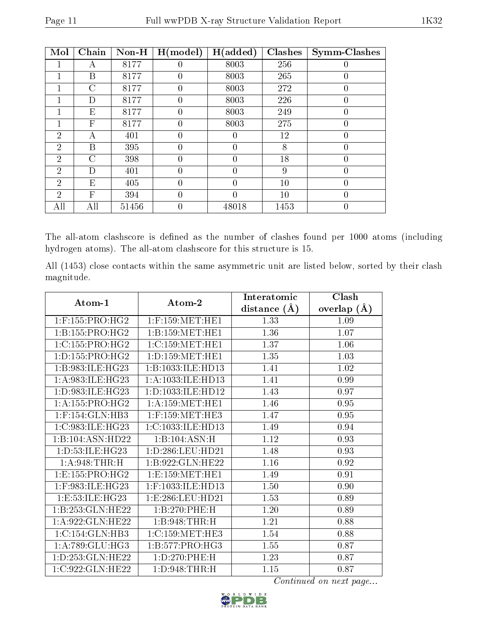|--|

| Mol            | Chain          | Non-H | H (model)      | H(added) | <b>Clashes</b> | Symm-Clashes     |
|----------------|----------------|-------|----------------|----------|----------------|------------------|
|                | А              | 8177  | 0              | 8003     | 256            | $\left( \right)$ |
|                | Β              | 8177  | 0              | 8003     | 265            | $\overline{0}$   |
|                | С              | 8177  | 0              | 8003     | 272            | 0                |
|                | D              | 8177  | 0              | 8003     | 226            | $\theta$         |
|                | Ε              | 8177  | $\overline{0}$ | 8003     | 249            | $\overline{0}$   |
|                | F              | 8177  | 0              | 8003     | 275            | 0                |
| $\overline{2}$ | А              | 401   | 0              | 0        | 12             | $\theta$         |
| $\overline{2}$ | Β              | 395   | 0              | 0        | 8              | $\overline{0}$   |
| $\overline{2}$ | $\overline{C}$ | 398   | 0              | 0        | 18             | 0                |
| $\overline{2}$ | D              | 401   | 0              | $\theta$ | 9              | $\theta$         |
| $\overline{2}$ | E              | 405   | 0              | 0        | 10             | $\theta$         |
| $\overline{2}$ | F              | 394   | 0              | 0        | 10             | $\overline{0}$   |
| All            | All            | 51456 | 0              | 48018    | 1453           | $\overline{0}$   |

The all-atom clashscore is defined as the number of clashes found per 1000 atoms (including hydrogen atoms). The all-atom clashscore for this structure is 15.

All (1453) close contacts within the same asymmetric unit are listed below, sorted by their clash magnitude.

| Atom-1                 | Atom-2               | Interatomic      | Clash              |
|------------------------|----------------------|------------------|--------------------|
|                        |                      | distance $(\AA)$ | $(\AA)$<br>overlap |
| $1:$ F:155:PRO:HG2     | $1:$ F:159:MET:HE1   | 1.33             | 1.09               |
| 1: B: 155: PRO:HG2     | 1:B:159:MET:HE1      | 1.36             | 1.07               |
| 1:C:155:PRO:HG2        | 1:C:159:MET:HE1      | 1.37             | 1.06               |
| 1: D: 155: PRO:HG2     | 1: D: 159: MET: HE1  | 1.35             | 1.03               |
| 1:B:983:ILE:HG23       | 1:B:1033:ILE:HD13    | 1.41             | 1.02               |
| 1: A:983: ILE: HG23    | 1:A:1033:ILE:HD13    | 1.41             | 0.99               |
| 1:D:983:ILE:HG23       | 1:D:1033:ILE:HD12    | 1.43             | 0.97               |
| 1: A: 155: PRO:HG2     | 1: A: 159: MET: HE1  | 1.46             | 0.95               |
| $1:$ F:154: $GLN:$ HB3 | $1:$ F:159:MET:HE3   | 1.47             | 0.95               |
| 1:C:983:ILE:HG23       | 1:C:1033:ILE:HD13    | 1.49             | 0.94               |
| 1:B:104:ASN:HD22       | 1:B:104:ASN:H        | 1.12             | 0.93               |
| 1:D:53:ILE:HG23        | 1:D:286:LEU:HD21     | 1.48             | 0.93               |
| 1: A:948:THR:H         | 1:B:922:GLN:HE22     | 1.16             | 0.92               |
| 1:E:155:PRO:HG2        | 1:E:159:MET:HE1      | 1.49             | 0.91               |
| 1:F:983:ILE:HG23       | 1:F:1033:ILE:HD13    | 1.50             | 0.90               |
| 1: E: 53: ILE: HG23    | 1: E: 286: LEU: HD21 | 1.53             | 0.89               |
| 1:B:253:GLN:HE22       | 1:B:270:PHE:H        | 1.20             | 0.89               |
| 1:A:922:GLN:HE22       | 1:B:948:THR:H        | 1.21             | 0.88               |
| 1:C:154:GLN:HB3        | 1:C:159:MET:HE3      | 1.54             | 0.88               |
| 1: A:789: GLU:HG3      | 1: B: 577: PRO: HG3  | 1.55             | 0.87               |
| 1:D:253:GLN:HE22       | 1: D: 270: PHE: H    | 1.23             | 0.87               |
| 1:C:922:GLN:HE22       | 1: D:948: THR:H      | 1.15             | 0.87               |

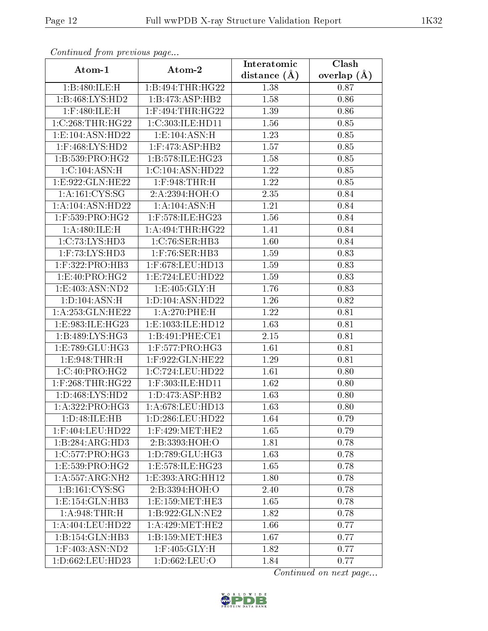| Conningea from previous page                          |                                | Interatomic       | Clash         |
|-------------------------------------------------------|--------------------------------|-------------------|---------------|
| Atom-1                                                | Atom-2                         | distance $(A)$    | overlap $(A)$ |
| 1:B:480:ILE:H                                         | 1:B:494:THR:HG22               | 1.38              | 0.87          |
| 1:B:468:LYS:HD2                                       | 1:B:473:ASP:HB2                | 1.58              | 0.86          |
| $1:$ F:480:ILE:H                                      | $1:$ F:494:THR:HG22            | 1.39              | 0.86          |
| 1:C:268:THR:HG22                                      | 1:C:303:ILE:HD11               | 1.56              | 0.85          |
| 1:E:104:ASN:HD22                                      | 1: E: 104: ASN:H               | 1.23              | 0.85          |
| $1:$ F:468:LYS:HD2                                    | $1:$ F:473:ASP:HB2             | 1.57              | 0.85          |
| 1:B:539:PRO:HG2                                       | 1:B:578:ILE:HG23               | 1.58              | 0.85          |
| 1:C:104:ASN:H                                         | 1:C:104:ASN:HD22               | 1.22              | 0.85          |
| 1:E:922:GLN:HE22                                      | 1:F:948:THR:H                  | $\overline{1.22}$ | 0.85          |
| $1: A: 161: \overline{\text{C} \text{YS}: \text{SG}}$ | 2:A:2394:HOH:O                 | 2.35              | 0.84          |
| 1:A:104:ASN:HD22                                      | 1:A:104:ASN:H                  | 1.21              | 0.84          |
| $1:$ F:539:PRO:HG2                                    | 1:F:578:ILE:HG23               | 1.56              | 0.84          |
| 1:A:480:ILE:H                                         | 1: A:494:THR:HG22              | 1.41              | 0.84          |
| 1:C:73:LYS:HD3                                        | 1:C:76:SER:HB3                 | 1.60              | 0.84          |
| 1:F:73:LYS:HD3                                        | 1:F:76:SER:HB3                 | 1.59              | 0.83          |
| 1:F:322:PRO:HB3                                       | 1:F:678:LEU:HD13               | 1.59              | 0.83          |
| 1: E:40: PRO:HG2                                      | 1:E:724:LEU:HD22               | 1.59              | 0.83          |
| 1:E:403:ASN:ND2                                       | 1: E: 405: GLY: H              | 1.76              | 0.83          |
| 1:D:104:ASN:H                                         | 1:D:104:ASN:HD22               | 1.26              | 0.82          |
| 1: A:253: GLN:HE22                                    | 1:A:270:PHE:H                  | 1.22              | 0.81          |
| 1:E:983:ILE:HG23                                      | 1:E:1033:ILE:HD12              | 1.63              | 0.81          |
| 1:B:489:LYS:HG3                                       | 1:B:491:PHE:CE1                | 2.15              | 0.81          |
| 1:E:789:GLU:HG3                                       | $1:$ F:577:PRO:HG3             | 1.61              | 0.81          |
| 1:E:948:THR:H                                         | 1:F:922:GLN:HE22               | 1.29              | 0.81          |
| 1:C:40:PRO:HG2                                        | 1:C:724:LEU:HD22               | 1.61              | 0.80          |
| $1:$ F:268:THR:HG22                                   | $1:$ F:303:ILE:HD11            | 1.62              | 0.80          |
| 1: D: 468: LYS: HD2                                   | 1: D: 473: ASP: HB2            | 1.63              | 0.80          |
| 1:A:322:PRO:HG3                                       | 1: A:678:LEU:HD13              | 1.63              | 0.80          |
| 1:D:48:ILE:HB                                         | 1:D:286:LEU:HD22               | 1.64              | 0.79          |
| 1:F:404:LEU:HD22                                      | $1:$ F:429:MET:HE2             | 1.65              | 0.79          |
| 1:B:284:ARG:HD3                                       | 2:B:3393:HOH:O                 | 1.81              | 0.78          |
| 1:C:577:PRO:HG3                                       | 1:D:789:GLU:HG3                | 1.63              | 0.78          |
| 1:E:539:PRO:HG2                                       | 1:E:578:ILE:HG23               | 1.65              | 0.78          |
| 1:A:557:ARG:NH2                                       | 1:E:393:ARG:HH12               | 1.80              | 0.78          |
| 1:B:161:CYS:SG                                        | 2:B:3394:HOH:O                 | 2.40              | 0.78          |
| 1: E: 154: GLN: HB3                                   | 1: E: 159: MET: HE3            | 1.65              | 0.78          |
| 1: A:948:THR:H                                        | 1:B:922:GLN:NE2                | 1.82              | 0.78          |
| 1:A:404:LEU:HD22                                      | $1: A:429: MET:H\overline{E2}$ | 1.66              | 0.77          |
| 1: B: 154: GLN: HB3                                   | 1:B:159:MET:HE3                | 1.67              | 0.77          |
| $1:$ F:403:ASN:ND2                                    | $1:$ F:405:GLY:H               | 1.82              | 0.77          |
| 1:D:662:LEU:HD23                                      | 1:D:662:LEU:O                  | 1.84              | 0.77          |

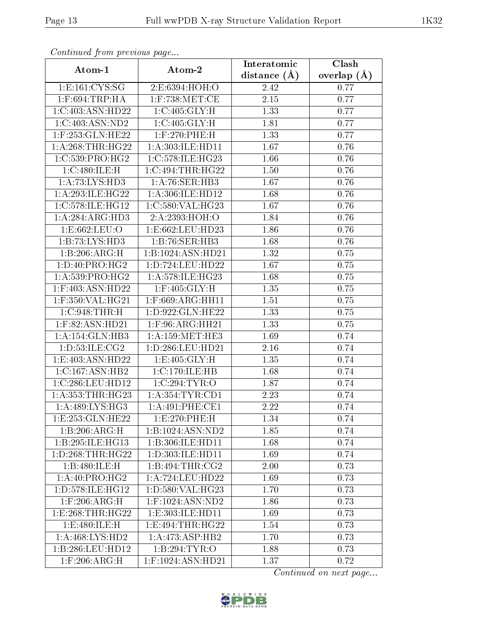| Continual from precious page |                     | Interatomic      | Clash           |
|------------------------------|---------------------|------------------|-----------------|
| Atom-1                       | Atom-2              | distance $(\AA)$ | overlap $(\AA)$ |
| 1: E: 161: CYS: SG           | 2:E:6394:HOH:O      | 2.42             | 0.77            |
| $1:$ F:694:TRP:HA            | $1:$ F:738:MET:CE   | $2.15\,$         | 0.77            |
| 1:C:403:ASN:HD22             | 1:C:405:GLY:H       | 1.33             | 0.77            |
| 1:C:403:ASN:ND2              | 1:C:405:GLY:H       | 1.81             | 0.77            |
| 1:F:253:GLN:HE22             | $1:$ F:270:PHE:H    | 1.33             | 0.77            |
| 1: A:268:THR:HG22            | 1:A:303:ILE:HD11    | 1.67             | 0.76            |
| 1:C:539:PRO:HG2              | 1:C:578:ILE:HG23    | 1.66             | 0.76            |
| 1:C:480:ILE:H                | 1:C:494:THR:HG22    | 1.50             | 0.76            |
| 1: A: 73: LYS: HD3           | 1: A:76: SER:HB3    | 1.67             | 0.76            |
| 1: A:293: ILE: HG22          | 1:A:306:ILE:HD12    | 1.68             | 0.76            |
| 1:C:578:ILE:HG12             | 1:C:580:VAL:HG23    | 1.67             | 0.76            |
| 1:A:284:ARG:HD3              | 2:A:2393:HOH:O      | 1.84             | 0.76            |
| 1:E:662:LEU:O                | 1:E:662:LEU:HD23    | 1.86             | 0.76            |
| 1:B:73:LYS:HD3               | 1:B:76:SER:HB3      | 1.68             | 0.76            |
| 1:B:206:ARG:H                | 1:B:1024:ASN:HD21   | 1.32             | 0.75            |
| 1: D: 40: PRO:HG2            | 1:D:724:LEU:HD22    | 1.67             | 0.75            |
| 1:A:539:PRO:HG2              | 1:A:578:ILE:HG23    | 1.68             | 0.75            |
| $1:$ F:403:ASN:HD22          | $1:$ F:405:GLY:H    | 1.35             | 0.75            |
| 1:F:350:VAL:HG21             | 1:F:669:ARG:HH11    | 1.51             | 0.75            |
| 1:C:948:THR:H                | 1:D:922:GLN:HE22    | 1.33             | 0.75            |
| $1:$ F:82:ASN:HD21           | $1:$ F:96:ARG:HH21  | 1.33             | 0.75            |
| 1: A:154: GLN:HB3            | 1: A: 159: MET: HE3 | 1.69             | 0.74            |
| 1: D: 53: ILE: CG2           | 1:D:286:LEU:HD21    | 2.16             | 0.74            |
| 1:E:403:ASN:HD22             | 1: E: 405: GLY: H   | 1.35             | 0.74            |
| 1:C:167:ASN:HB2              | 1:C:170:ILE:HB      | 1.68             | 0.74            |
| 1:C:286:LEU:HD12             | 1:C:294:TYR:O       | 1.87             | 0.74            |
| 1: A: 353: THR: HG23         | 1: A: 354: TYR: CD1 | 2.23             | 0.74            |
| 1:A:489:LYS:HG3              | 1:A:491:PHE:CE1     | 2.22             | 0.74            |
| 1:E:253:GLN:HE22             | 1:E:270:PHE:H       | 1.34             | 0.74            |
| 1:B:206:ARG:H                | 1:B:1024:ASN:ND2    | 1.85             | 0.74            |
| 1:B:295:ILE:HG13             | 1:B:306:ILE:HD11    | 1.68             | 0.74            |
| 1: D: 268: THR: HG22         | 1:D:303:ILE:HD11    | 1.69             | 0.74            |
| 1:B:480:ILE:H                | 1:B:494:THR:CG2     | 2.00             | 0.73            |
| 1:A:40:PRO:HG2               | 1:A:724:LEU:HD22    | 1.69             | 0.73            |
| 1: D: 578: ILE: HG12         | 1:D:580:VAL:HG23    | 1.70             | 0.73            |
| $1:$ F:206:ARG:H             | 1:F:1024:ASN:ND2    | 1.86             | 0.73            |
| 1: E:268: THR:HG22           | 1:E:303:ILE:HD11    | 1.69             | 0.73            |
| 1: E:480: ILE:H              | 1:E:494:THR:HG22    | 1.54             | 0.73            |
| 1: A:468: LYS: HD2           | 1:A:473:ASP:HB2     | 1.70             | 0.73            |
| 1:B:286:LEU:HD12             | 1:B:294:TYR:O       | 1.88             | 0.73            |
| $1:$ F:206:ARG:H             | 1:F:1024:ASN:HD21   | 1.37             | 0.72            |

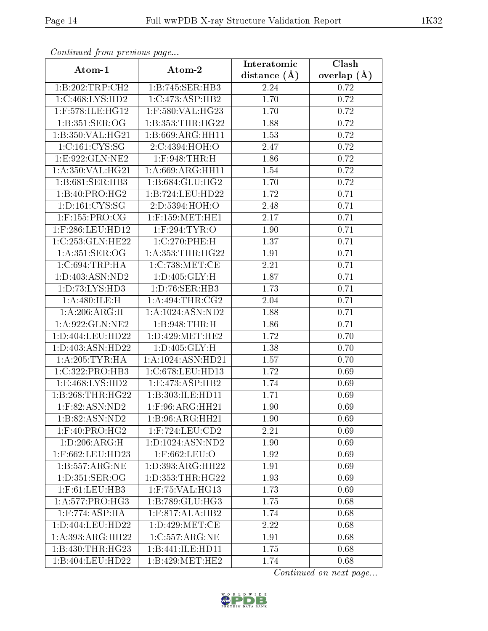| Continually from providuo pugo |                                                | Interatomic    | $\overline{\text{Clash}}$ |
|--------------------------------|------------------------------------------------|----------------|---------------------------|
| Atom-1                         | Atom-2                                         | distance $(A)$ | overlap $(A)$             |
| 1:B:202:TRP:CH2                | 1:B:745:SER:HB3                                | 2.24           | 0.72                      |
| 1:C:468:LYS:HD2                | 1:C:473:ASP:HB2                                | 1.70           | 0.72                      |
| 1:F:578:ILE:HG12               | 1:F:580:VAL:HG23                               | 1.70           | 0.72                      |
| 1:B:351:SER:OG                 | 1: B: 353: THR: HG22                           | 1.88           | 0.72                      |
| 1:B:350:VAL:HG21               | 1:B:669:ARG:HH11                               | 1.53           | 0.72                      |
| 1: C: 161: CYS: SG             | 2:C:4394:HOH:O                                 | 2.47           | 0.72                      |
| 1:E:922:GLN:NE2                | $1:$ F:948:THR:H                               | 1.86           | 0.72                      |
| 1: A:350: VAL:HG21             | 1: A:669: ARG: HH11                            | 1.54           | 0.72                      |
| 1:B:681:SER:HB3                | 1:B:684:GLU:HG2                                | 1.70           | 0.72                      |
| 1:B:40:PRO:HG2                 | 1:B:724:LEU:HD22                               | 1.72           | 0.71                      |
| 1: D: 161: CYS: SG             | 2:D:5394:HOH:O                                 | 2.48           | 0.71                      |
| $1:$ F:155:PRO:CG              | $1:$ F:159:MET:HE1                             | 2.17           | 0.71                      |
| 1:F:286:LEU:HD12               | $1:$ F:294:TYR:O                               | 1.90           | 0.71                      |
| 1:C:253:GLN:HE22               | 1:C:270:PHE:H                                  | 1.37           | 0.71                      |
| 1: A:351: SER:OG               | 1: A: 353: THR: HG22                           | 1.91           | 0.71                      |
| $1:C:694$ : TRP: HA            | 1:C:738:MET:CE                                 | 2.21           | 0.71                      |
| 1: D: 403: ASN: ND2            | 1: D:405: GLY: H                               | 1.87           | 0.71                      |
| 1:D:73:LYS:HD3                 | $1: D: 76: SER: \overline{HB3}$                | 1.73           | 0.71                      |
| 1:A:480:ILE:H                  | 1: A:494:THR:CG2                               | 2.04           | 0.71                      |
| 1: A:206: ARG:H                | 1:A:1024:ASN:ND2                               | 1.88           | 0.71                      |
| 1: A:922: GLN:NE2              | 1:B:948:THR:H                                  | 1.86           | 0.71                      |
| 1:D:404:LEU:HD22               | 1: D: 429: MET: HE2                            | 1.72           | 0.70                      |
| 1: D:403: ASN:HD22             | 1: D:405: GLY: H                               | 1.38           | 0.70                      |
| 1:A:205:TYR:HA                 | 1:A:1024:ASN:HD21                              | 1.57           | 0.70                      |
| 1:C:322:PRO:HB3                | 1:C:678:LEU:HD13                               | 1.72           | 0.69                      |
| 1: E: 468: LYS: HD2            | 1: E: 473: ASP: HB2                            | 1.74           | 0.69                      |
| 1:B:268:THR:HG22               | 1:B:303:ILE:HD11                               | 1.71           | 0.69                      |
| 1:F:82:ASN:ND2                 | $1:$ F:96:ARG:HH21                             | 1.90           | 0.69                      |
| 1:B:82:ASN:ND2                 | 1:B:96:ARG:HH21                                | 1.90           | 0.69                      |
| 1:F:40:PRO:HG2                 | $1:$ F:724:LEU:CD2                             | 2.21           | 0.69                      |
| 1:D:206:ARG:H                  | 1:D:1024:ASN:ND2                               | 1.90           | 0.69                      |
| 1:F:662:LEU:HD23               | $1:$ F:662:LEU:O                               | 1.92           | 0.69                      |
| 1:B:557:ARG:NE                 | 1:D:393:ARG:HH22                               | 1.91           | 0.69                      |
| 1: D:351: SER:OG               | 1:D:353:THR:HG22                               | 1.93           | 0.69                      |
| $1:$ F:61:LEU:HB3              | $1:$ F:75:VAL:HG13                             | 1.73           | 0.69                      |
| 1:A:577:PRO:HG3                | 1:B:789:GLU:HG3                                | 1.75           | 0.68                      |
| $1:$ F:774:ASP:HA              | $1:$ F:817:ALA:HB2                             | 1.74           | 0.68                      |
| 1:D:404:LEU:HD22               | 1: D:429: MET:CE                               | 2.22           | 0.68                      |
| 1:A:393:ARG:HH22               | 1:C:557:ARG:NE                                 | 1.91           | 0.68                      |
| 1:B:430:THR:HG23               | 1:B:441:ILE:HD11                               | 1.75           | 0.68                      |
| 1:B:404:LEU:HD22               | $1:B:429:\overline{\mathrm{MET}:\mathrm{HE2}}$ | 1.74           | 0.68                      |

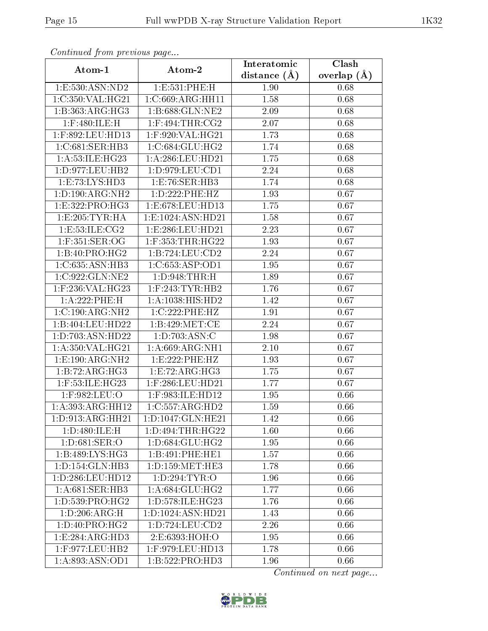| Continuation provided puga      |                      | Interatomic    | $\overline{\text{Clash}}$ |
|---------------------------------|----------------------|----------------|---------------------------|
| Atom-1                          | Atom-2               | distance $(A)$ | overlap $(A)$             |
| 1: E: 530: ASN: ND2             | 1:E:531:PHE:H        | 1.90           | 0.68                      |
| 1:C:350:VAL:HG21                | 1:C:669:ARG:HH11     | 1.58           | 0.68                      |
| 1:B:363:ARG:HG3                 | 1:B:688:GLN:NE2      | 2.09           | 0.68                      |
| $1:$ F:480:ILE:H                | $1:$ F:494:THR:CG2   | 2.07           | 0.68                      |
| 1:F:892:LEU:HD13                | 1:F:920:VAL:HG21     | 1.73           | 0.68                      |
| 1:C:681:SER:HB3                 | 1:C:684:GLU:HG2      | 1.74           | 0.68                      |
| 1:A:53:ILE:HG23                 | 1:A:286:LEU:HD21     | 1.75           | 0.68                      |
| 1:D:977:LEU:HB2                 | 1: D: 979: LEU: CD1  | 2.24           | 0.68                      |
| 1:E:73:LYS:HD3                  | 1:E:76:SER:HB3       | 1.74           | 0.68                      |
| 1: D: 190: ARG: NH2             | 1: D: 222: PHE: HZ   | 1.93           | 0.67                      |
| 1:E:322:PRO:HG3                 | 1:E:678:LEU:HD13     | 1.75           | 0.67                      |
| 1:E:205:TYR:HA                  | 1:E:1024:ASN:HD21    | 1.58           | 0.67                      |
| 1: E: 53: ILE: CG2              | 1:E:286:LEU:HD21     | 2.23           | 0.67                      |
| 1:F:351:SER:OG                  | $1:$ F:353:THR:HG22  | 1.93           | 0.67                      |
| 1:B:40:PRO:HG2                  | 1: B:724:LEU:CD2     | 2.24           | 0.67                      |
| 1:C:635:ASN:HB3                 | 1:C:653:ASP:OD1      | 1.95           | 0.67                      |
| 1:C:922:GLN:NE2                 | 1: D: 948: THR:H     | 1.89           | 0.67                      |
| $1:$ F:236:VAL:HG23             | $1:$ F:243:TYR:HB2   | 1.76           | 0.67                      |
| 1:A:222:PHE:H                   | 1: A: 1038: HIS: HD2 | 1.42           | 0.67                      |
| 1:C:190:ARG:NH2                 | 1:C:222:PHE:HZ       | 1.91           | 0.67                      |
| 1:B:404:LEU:HD22                | 1: B:429: MET:CE     | 2.24           | 0.67                      |
| 1:D:703:ASN:HD22                | 1: D: 703: ASN: C    | 1.98           | 0.67                      |
| 1: A:350: VAL:HG21              | 1: A:669:ARG:NH1     | 2.10           | 0.67                      |
| 1:E:190:ARG:NH2                 | 1:E:222:PHE:HZ       | 1.93           | 0.67                      |
| 1:B:72:ARG:HG3                  | 1:E:72:ARG:HG3       | 1.75           | 0.67                      |
| 1:F:53:ILE:HG23                 | 1:F:286:LEU:HD21     | 1.77           | 0.67                      |
| $1:$ F:982:LEU:O                | 1:F:983:ILE:HD12     | 1.95           | 0.66                      |
| 1:A:393:ARG:HH12                | 1:C:557:ARG:HD2      | 1.59           | 0.66                      |
| 1:D:913:ARG:HH21                | 1:D:1047:GLN:HE21    | 1.42           | 0.66                      |
| 1:D:480:ILE:H                   | 1:D:494:THR:HG22     | 1.60           | 0.66                      |
| 1: D:681: SER:O                 | 1: D: 684: GLU: HG2  | 1.95           | 0.66                      |
| 1:B:489:LYS:HG3                 | 1:B:491:PHE:HE1      | 1.57           | 0.66                      |
| 1: D: 154: GLN: HB3             | 1: D: 159: MET: HE3  | 1.78           | 0.66                      |
| 1:D:286:LEU:HD12                | 1:D:294:TYR:O        | 1.96           | 0.66                      |
| $1: A:681:SER:H\overline{B3}$   | 1: A:684: GLU:HG2    | 1.77           | 0.66                      |
| $1: D: 539: \overline{PRO:HG2}$ | 1:D:578:ILE:HG23     | 1.76           | 0.66                      |
| 1:D:206:ARG:H                   | 1:D:1024:ASN:HD21    | 1.43           | 0.66                      |
| 1:D:40:PRO:HG2                  | 1: D: 724: LEU: CD2  | 2.26           | 0.66                      |
| 1:E:284:ARG:HD3                 | 2:E:6393:HOH:O       | 1.95           | 0.66                      |
| 1:F:977:LEU:HB2                 | 1:F:979:LEU:HD13     | 1.78           | 0.66                      |
| 1:A:893:ASN:OD1                 | 1:B:522:PRO:HD3      | 1.96           | 0.66                      |

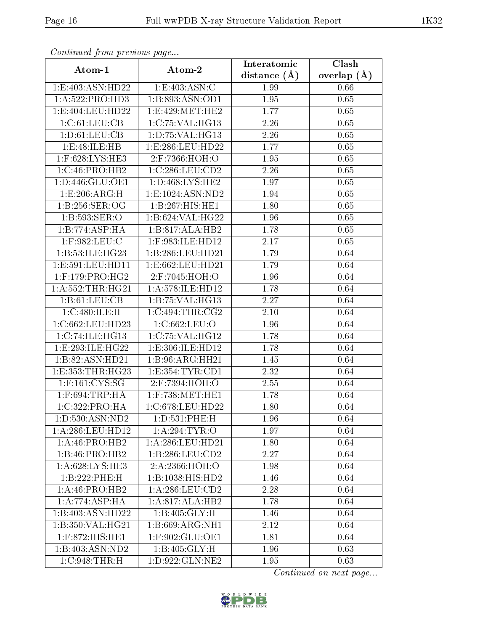| Continually from providuo pugo |                      | Interatomic    | Clash         |
|--------------------------------|----------------------|----------------|---------------|
| Atom-1                         | Atom-2               | distance $(A)$ | overlap $(A)$ |
| 1:E:403:ASN:HD22               | 1:E:403:ASN:C        | 1.99           | 0.66          |
| 1: A:522: PRO:HD3              | 1:B:893:ASN:OD1      | 1.95           | 0.65          |
| 1:E:404:LEU:HD22               | 1:E:429:MET:HE2      | 1.77           | 0.65          |
| 1:C:61:LEU:CB                  | 1:C:75:VAL:HG13      | 2.26           | 0.65          |
| 1: D: 61: LEU: CB              | 1: D: 75: VAL:HG13   | 2.26           | $0.65\,$      |
| 1:E:48:ILE:HB                  | 1:E:286:LEU:HD22     | 1.77           | 0.65          |
| 1:F:628:LYS:HE3                | 2:F:7366:HOH:O       | 1.95           | $0.65\,$      |
| 1:C:46:PRO:HB2                 | 1:C:286:LEU:CD2      | 2.26           | 0.65          |
| 1: D: 446: GLU: OE1            | 1: D: 468: LYS: HE2  | 1.97           | 0.65          |
| 1:E:206:ARG:H                  | 1:E:1024:ASN:ND2     | 1.94           | 0.65          |
| 1:B:256:SER:OG                 | 1:B:267:HIS:HE1      | 1.80           | 0.65          |
| 1: B: 593: SER: O              | 1:B:624:VAL:H G22    | 1.96           | 0.65          |
| 1:B:774:ASP:HA                 | 1:B:817:ALA:HB2      | 1.78           | 0.65          |
| $1:$ F:982:LEU:C               | 1:F:983:ILE:HD12     | 2.17           | 0.65          |
| 1: B:53: ILE: HG23             | 1:B:286:LEU:HD21     | 1.79           | 0.64          |
| 1: E: 591: LEU: HD11           | 1: E: 662: LEU: HD21 | 1.79           | 0.64          |
| $1:$ F:179:PRO:HG2             | 2:F:7045:HOH:O       | 1.96           | 0.64          |
| 1: A: 552: THR: HG21           | 1: A:578: ILE: HD12  | 1.78           | 0.64          |
| 1: B: 61: LEU: CB              | 1:B:75:VAL:HG13      | 2.27           | 0.64          |
| 1:C:480:ILE:H                  | 1:C:494:THR:CG2      | 2.10           | 0.64          |
| 1:C:662:LEU:HD23               | 1:C:662:LEU:O        | 1.96           | 0.64          |
| 1:C:74:ILE:HG13                | 1:C:75:VAL:HG12      | 1.78           | 0.64          |
| 1:E:293:ILE:HG22               | 1:E:306:ILE:HD12     | 1.78           | 0.64          |
| 1:B:82:ASN:HD21                | 1:B:96:ARG:HH21      | 1.45           | 0.64          |
| 1:E:353:THR:HG23               | 1:E:354:TYR:CD1      | 2.32           | 0.64          |
| $1:$ F:161:CYS:SG              | 2:F:7394:HOH:O       | 2.55           | 0.64          |
| $1:$ F:694:TRP:HA              | $1:$ F:738:MET:HE1   | 1.78           | 0.64          |
| 1:C:322:PRO:HA                 | 1:C:678:LEU:HD22     | 1.80           | 0.64          |
| 1: D: 530: ASN: ND2            | 1:D:531:PHE:H        | 1.96           | 0.64          |
| 1:A:286:LEU:HD12               | 1:A:294:TYR:O        | 1.97           | 0.64          |
| 1: A:46: PRO:HB2               | 1: A:286:LEU:HD21    | 1.80           | 0.64          |
| 1:B:46:PRO:HB2                 | 1:B:286:LEU:CD2      | 2.27           | 0.64          |
| 1:A:628:LYS:HE3                | 2:A:2366:HOH:O       | 1.98           | 0.64          |
| 1:B:222:PHE:H                  | 1:B:1038:HIS:HD2     | 1.46           | 0.64          |
| 1:A:46:PRO:HB2                 | 1: A:286:LEU:CD2     | 2.28           | 0.64          |
| 1:A:774:ASP:HA                 | 1:A:817:ALA:HB2      | 1.78           | 0.64          |
| 1:B:403:ASN:HD22               | 1:B:405:GLY:H        | 1.46           | 0.64          |
| 1:B:350:VAL:HG21               | 1:B:669:ARG:NH1      | 2.12           | 0.64          |
| 1:F:872:HIS:HE1                | 1:F:902:GLU:OE1      | 1.81           | 0.64          |
| 1:B:403:ASN:ND2                | 1: B:405: GLY:H      | 1.96           | 0.63          |
| 1:C:948:THR:H                  | 1: D: 922: GLN: NE2  | 1.95           | 0.63          |

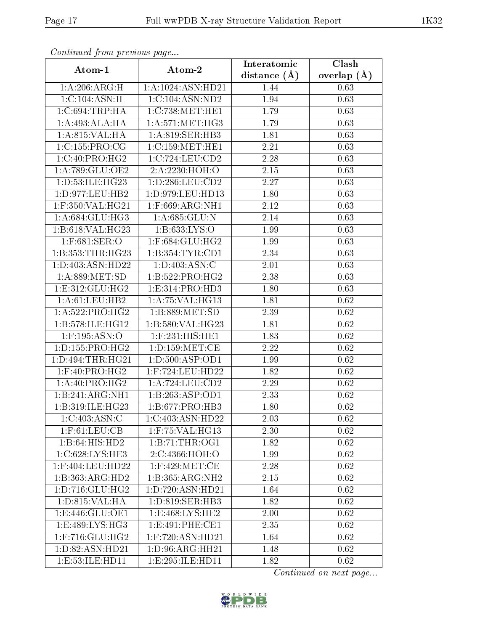| contentava promo provisão pago<br>Atom-1 | Atom-2               | Interatomic       | $\overline{\text{Clash}}$ |
|------------------------------------------|----------------------|-------------------|---------------------------|
|                                          |                      | distance $(A)$    | overlap $(A)$             |
| 1:A:206:ARG:H                            | 1:A:1024:ASN:HD21    | 1.44              | 0.63                      |
| 1:C:104:ASN:H                            | 1:C:104:ASN:ND2      | 1.94              | 0.63                      |
| $1:C:694$ : TRP: HA                      | 1:C:738:MET:HE1      | 1.79              | 0.63                      |
| 1:A:493:ALA:HA                           | 1: A:571:MET:HG3     | 1.79              | 0.63                      |
| 1:A:815:VAL:HA                           | 1:A:819:SER:HB3      | 1.81              | 0.63                      |
| 1:C:155:PRO:CG                           | 1:C:159:MET:HE1      | 2.21              | 0.63                      |
| 1:C:40:PRO:HG2                           | 1:C:724:LEU:CD2      | 2.28              | 0.63                      |
| 1: A:789: GLU:OE2                        | 2:A:2230:HOH:O       | 2.15              | 0.63                      |
| 1: D: 53: ILE: HG23                      | 1:D:286:LEU:CD2      | 2.27              | 0.63                      |
| 1:D:977:LEU:HB2                          | 1:D:979:LEU:HD13     | 1.80              | 0.63                      |
| 1:F:350:VAL:HG21                         | 1:F:669:ARG:NH1      | 2.12              | 0.63                      |
| 1: A:684: GLU:HG3                        | 1: A:685: GLU: N     | 2.14              | 0.63                      |
| 1:B:618:VAL:HG23                         | 1: B: 633: LYS: O    | 1.99              | 0.63                      |
| $1:$ F:68 $1:$ SER:O                     | $1:$ F:684:GLU:HG2   | 1.99              | 0.63                      |
| 1:B:353:THR:HG23                         | 1:B:354:TYR:CD1      | 2.34              | 0.63                      |
| 1: D: 403: ASN: HD22                     | 1: D:403: ASN:C      | 2.01              | 0.63                      |
| 1: A:889: MET:SD                         | 1:B:522:PRO:HG2      | 2.38              | 0.63                      |
| 1: E: 312: GLU: HG2                      | 1:E:314:PRO:HD3      | 1.80              | 0.63                      |
| 1:A:61:LEU:HB2                           | 1:A:75:VAL:HG13      | 1.81              | 0.62                      |
| 1: A:522: PRO:HG2                        | 1: B: 889: MET: SD   | 2.39              | 0.62                      |
| 1:B:578:ILE:HG12                         | 1:B:580:VAL:HG23     | $\overline{1}.81$ | 0.62                      |
| $1:$ F:195:ASN:O                         | 1:F:231:HIS:HE1      | 1.83              | 0.62                      |
| 1: D: 155: PRO:HG2                       | 1: D: 159: MET: CE   | 2.22              | 0.62                      |
| 1:D:494:THR:HG21                         | 1: D: 500: ASP: OD1  | 1.99              | 0.62                      |
| $1:$ F:40:PRO:HG2                        | 1:F:724:LEU:HD22     | 1.82              | 0.62                      |
| 1:A:40:PRO:HG2                           | 1: A: 724: LEU: CD2  | 2.29              | 0.62                      |
| 1:B:241:ARG:NH1                          | 1:B:263:ASP:OD1      | 2.33              | 0.62                      |
| 1:B:319:ILE:HG23                         | 1:B:677:PRO:HB3      | 1.80              | 0.62                      |
| 1:C:403:ASN:C                            | 1:C:403:ASN:HD22     | 2.03              | 0.62                      |
| $1:$ F:61:LEU:CB                         | 1:F:75:VAL:HG13      | 2.30              | 0.62                      |
| 1:B:64:HIS:HD2                           | 1:B:71:THR:OG1       | 1.82              | 0.62                      |
| 1:C:628:LYS:HE3                          | 2:C:4366:HOH:O       | 1.99              | 0.62                      |
| 1:F:404:LEU:HD22                         | $1:$ F:429:MET:CE    | 2.28              | 0.62                      |
| 1:B:363:ARG:HD2                          | 1:B:365:ARG:NH2      | 2.15              | 0.62                      |
| 1:D:716:GLU:HG2                          | 1: D: 720: ASN: HD21 | 1.64              | 0.62                      |
| 1: D: 815: VAL: HA                       | 1: D: 819: SER: HB3  | 1.82              | 0.62                      |
| 1: E: 446: GLU: OE1                      | 1: E: 468: LYS: HE2  | 2.00              | 0.62                      |
| 1: E:489: LYS: HG3                       | 1: E:491: PHE:CE1    | 2.35              | 0.62                      |
| $1:$ F:716: $GLU$ :HG2                   | 1:F:720:ASN:HD21     | 1.64              | 0.62                      |
| 1:D:82:ASN:HD21                          | 1:D:96:ARG:HH21      | 1.48              | 0.62                      |
| 1:E:53:ILE:HD11                          | 1:E:295:ILE:HD11     | 1.82              | 0.62                      |

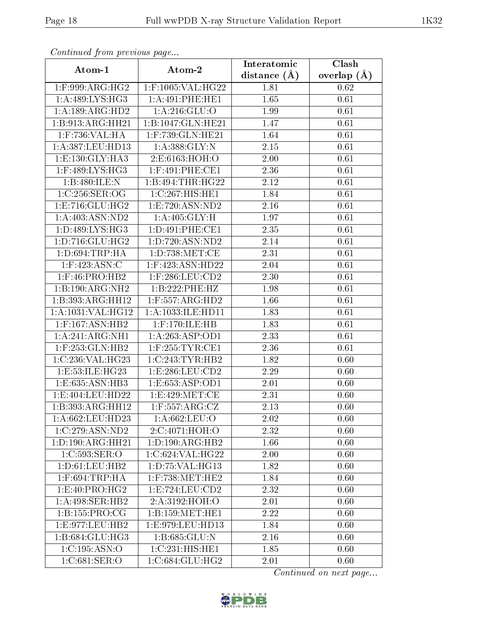| Continuata from previous page |                                       | Interatomic    | Clash           |
|-------------------------------|---------------------------------------|----------------|-----------------|
| Atom-1                        | Atom-2                                | distance $(A)$ | overlap $(\AA)$ |
| $1:$ F:999:ARG:HG2            | 1:F:1005:VAL:HG22                     | 1.81           | 0.62            |
| 1: A:489: LYS: HG3            | 1: A:491:PHE:HE1                      | 1.65           | 0.61            |
| 1:A:189:ARG:HD2               | 1: A:216: GLU:O                       | 1.99           | 0.61            |
| 1:B:913:ARG:HH21              | 1:B:1047:GLN:HE21                     | 1.47           | 0.61            |
| 1:F:736:VAL:HA                | 1:F:739:GLN:HE21                      | 1.64           | 0.61            |
| 1:A:387:LEU:HD13              | 1: A: 388: GLY:N                      | $2.15\,$       | 0.61            |
| 1: E: 130: GLY: HA3           | 2: E: 6163: HOH: O                    | 2.00           | 0.61            |
| $1:$ F:489:LYS:HG3            | $1:$ F:491:PHE:CE1                    | 2.36           | 0.61            |
| 1:B:480:ILE:N                 | 1:B:494:THR:HG22                      | 2.12           | 0.61            |
| 1:C:256:SER:OG                | 1:C:267:HIS:HE1                       | 1.84           | 0.61            |
| 1: E: 716: GLU: HG2           | 1:E:720:ASN:ND2                       | 2.16           | $0.61\,$        |
| 1: A:403: ASN:ND2             | 1: A:405: GLY:H                       | 1.97           | 0.61            |
| 1: D: 489: LYS: HG3           | 1: D:491: PHE:CE1                     | 2.35           | 0.61            |
| 1: D: 716: GLU: HG2           | 1:D:720:ASN:ND2                       | 2.14           | 0.61            |
| 1: D:694:TRP:HA               | 1: D: 738: MET: CE                    | 2.31           | 0.61            |
| 1:F:423:ASN:C                 | 1:F:423:ASN:HD22                      | 2.04           | 0.61            |
| $1:$ F:46:PRO:HB2             | $1:$ F:286:LEU:CD2                    | 2.30           | 0.61            |
| 1:B:190:ARG:NH2               | 1:B:222:PHE:HZ                        | 1.98           | 0.61            |
| 1:B:393:ARG:HH12              | $1:$ F:557:ARG:HD2                    | 1.66           | 0.61            |
| 1:A:1031:VAL:HG12             | 1:A:1033:ILE:HD11                     | 1.83           | 0.61            |
| $1:$ F:167:ASN:HB2            | 1:F:170:ILE:HB                        | 1.83           | 0.61            |
| 1:A:241:ARG:NH1               | 1: A:263: ASP:OD1                     | 2.33           | 0.61            |
| $1:$ F:253:GLN:HB2            | $1:$ F:255:TYR:CE1                    | 2.36           | 0.61            |
| 1:C:236:VAL:HG23              | 1:C:243:TYR:HB2                       | 1.82           | 0.60            |
| 1:E:53:ILE:HG23               | 1: E: 286: LEU: CD2                   | 2.29           | 0.60            |
| 1: E: 635: ASN: HB3           | 1:ES:653:ASP:OD1                      | 2.01           | 0.60            |
| 1:E:404:LEU:HD22              | 1: E:429: MET:CE                      | 2.31           | 0.60            |
| 1:B:393:ARG:HH12              | $1:$ F:557:ARG:CZ                     | 2.13           | 0.60            |
| 1:A:662:LEU:HD23              | 1:A:662:LEU:O                         | 2.02           | 0.60            |
| 1:C:279:ASN:ND2               | 2:C:4071:HOH:O                        | 2.32           | 0.60            |
| $1:D:190:ARG:H\overline{H21}$ | $1:D:190:A\overline{\mathrm{RG:HB2}}$ | 1.66           | 0.60            |
| 1:C:593:SER:O                 | 1:C:624:VAL:HG22                      | 2.00           | 0.60            |
| 1: D: 61: LEU: HB2            | 1: D: 75: VAL:HG13                    | 1.82           | 0.60            |
| $1:$ F:694:TRP:HA             | $1:$ F:738:MET:HE2                    | 1.84           | 0.60            |
| 1: E:40: PRO:HG2              | 1: E: 724: LEU: CD2                   | 2.32           | 0.60            |
| 1: A:498: SER: HB2            | 2:A:3192:HOH:O                        | 2.01           | 0.60            |
| 1:B:155:PRO:CG                | 1:B:159:MET:HE1                       | 2.22           | 0.60            |
| 1:E:977:LEU:HB2               | 1:E:979:LEU:HD13                      | 1.84           | 0.60            |
| 1:B:684:GLU:HG3               | 1:B:685:GLU:N                         | 2.16           | 0.60            |
| 1:C:195:ASN:O                 | 1:C:231:HIS:HE1                       | 1.85           | 0.60            |
| 1:C:681:SER:O                 | 1:C:684:GLU:HG2                       | 2.01           | 0.60            |

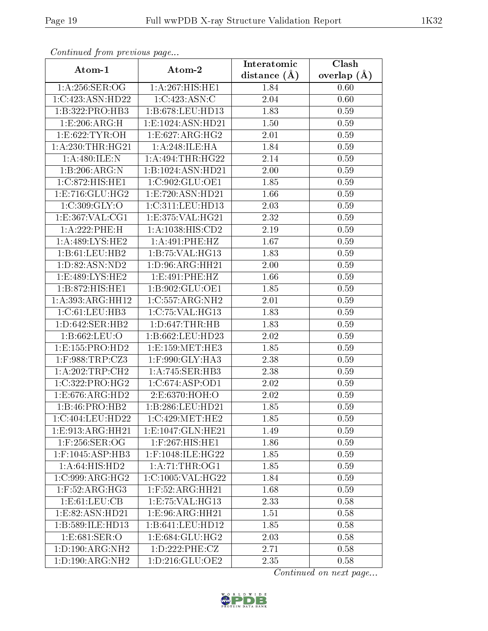| continuou provincuo pugo    |                      | Interatomic    | Clash         |
|-----------------------------|----------------------|----------------|---------------|
| Atom-1                      | Atom-2               | distance $(A)$ | overlap $(A)$ |
| 1: A:256: SER:OG            | 1:A:267:HIS:HE1      | 1.84           | 0.60          |
| 1:C:423:ASN:HD22            | 1:C:423:ASN:C        | 2.04           | 0.60          |
| 1:B:322:PRO:HB3             | 1:B:678:LEU:HD13     | 1.83           | 0.59          |
| 1:E:206:ARG:H               | 1:E:1024:ASN:HD21    | 1.50           | 0.59          |
| 1:E:622:TYR:OH              | 1:E:627:ARG:HG2      | 2.01           | 0.59          |
| 1: A:230:THR:HG21           | 1:A:248:ILE:HA       | 1.84           | 0.59          |
| 1:A:480:ILE:N               | 1:A:494:THR:HG22     | 2.14           | 0.59          |
| 1:B:206:ARG:N               | 1:B:1024:ASN:HD21    | 2.00           | 0.59          |
| 1:C:872:HIS:HE1             | 1:C:902:GLU:OE1      | 1.85           | 0.59          |
| 1: E: 716: GLU: HG2         | 1:E:720:ASN:HD21     | 1.66           | 0.59          |
| 1: C:309: GLY:O             | 1:C:311:LEU:HD13     | 2.03           | 0.59          |
| 1: E: 367: VAL: CG1         | 1:E:375:VAL:HG21     | 2.32           | 0.59          |
| 1:A:222:PHE:H               | 1: A: 1038: HIS: CD2 | 2.19           | 0.59          |
| 1: A:489: LYS: HE2          | 1:A:491:PHE:HZ       | 1.67           | 0.59          |
| 1:B:61:LEU:HB2              | 1:B:75:VAL:HG13      | 1.83           | 0.59          |
| 1: D: 82: ASN: ND2          | 1: D:96: ARG: HH21   | 2.00           | 0.59          |
| 1: E:489: LYS: HE2          | 1:E:491:PHE:HZ       | 1.66           | 0.59          |
| 1:B:872:HIS:HE1             | 1:B:902:GLU:OE1      | 1.85           | 0.59          |
| 1:A:393:ARG:HH12            | 1:C:557:ARG:NH2      | 2.01           | 0.59          |
| 1: C: 61: LEU: HB3          | 1:C:75:VAL:HG13      | 1.83           | 0.59          |
| 1: D:642: SER: HB2          | 1: D: 647: THR: HB   | 1.83           | 0.59          |
| 1:B:662:LEU:O               | 1:B:662:LEU:HD23     | 2.02           | 0.59          |
| 1: E: 155: PRO: HD2         | 1:E:159:MET:HE3      | 1.85           | 0.59          |
| 1:F:988:TRP:CZ3             | 1:F:990:GLY:HA3      | 2.38           | 0.59          |
| 1: A:202:TRP:CH2            | 1: A:745: SER:HB3    | 2.38           | 0.59          |
| 1:C:322:PRO:HG2             | 1:C:674:ASP:OD1      | 2.02           | 0.59          |
| 1: E: 676: ARG: HD2         | 2:E:6370:HOH:O       | 2.02           | 0.59          |
| 1:B:46:PRO:HB2              | 1:B:286:LEU:HD21     | 1.85           | 0.59          |
| 1:C:404:LEU:HD22            | 1:C:429:MET:HE2      | 1.85           | 0.59          |
| 1:E:913:ARG:HH21            | 1:E:1047:GLN:HE21    | 1.49           | 0.59          |
| $1:$ F:256:SER:OG           | 1:F:267:HIS:HE1      | 1.86           | 0.59          |
| $1:$ F:1045:ASP:HB3         | $1:$ F:1048:ILE:HG22 | 1.85           | 0.59          |
| $1:A:64:HI\overline{S:HD2}$ | 1: A:71:THR:OG1      | 1.85           | 0.59          |
| 1:C:999:ARG:HG2             | 1:C:1005:VAL:HG22    | 1.84           | 0.59          |
| $1:$ F:52:ARG:HG3           | $1:$ F:52:ARG:HH21   | 1.68           | 0.59          |
| 1:E:61:LEU:CB               | 1: E: 75: VAL:HG13   | 2.33           | 0.58          |
| 1: E:82: ASN:HD21           | 1:E:96:ARG:HH21      | 1.51           | 0.58          |
| 1:B:589:ILE:HD13            | 1:B:641:LEU:HD12     | 1.85           | 0.58          |
| 1:E:681:SER:O               | 1:E:684:GLU:HG2      | 2.03           | 0.58          |
| 1: D: 190: ARG: NH2         | 1:D:222:PHE:CZ       | 2.71           | 0.58          |
| 1: D: 190: ARG: NH2         | 1: D: 216: GLU: OE2  | 2.35           | 0.58          |

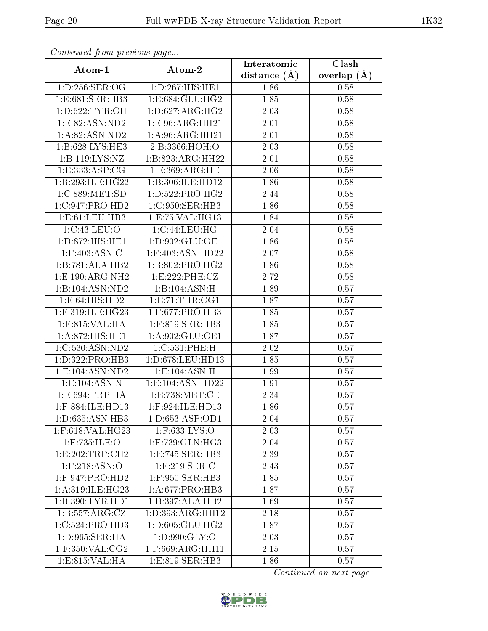| continuou provisious pago |                                      | Interatomic    | $\overline{\text{Clash}}$ |
|---------------------------|--------------------------------------|----------------|---------------------------|
| Atom-1                    | Atom-2                               | distance $(A)$ | overlap $(\AA)$           |
| 1:D:256:SER:OG            | 1:D:267:HIS:HE1                      | 1.86           | 0.58                      |
| 1: E: 681: SER: HB3       | 1: E: 684: GLU: HG2                  | 1.85           | 0.58                      |
| 1: D:622: TYR: OH         | 1: D:627: ARG: HG2                   | 2.03           | 0.58                      |
| 1: E:82: ASN:ND2          | 1:E:96:ARG:HH21                      | 2.01           | 0.58                      |
| 1:A:82:ASN:ND2            | 1: A:96: ARG: HH21                   | 2.01           | 0.58                      |
| 1:B:628:LYS:HE3           | 2:B:3366:HOH:O                       | 2.03           | 0.58                      |
| 1:B:119:LYS:NZ            | 1:B:823:ARG:HH22                     | 2.01           | 0.58                      |
| 1:E:333:ASP:CG            | 1: E: 369: ARG: HE                   | 2.06           | 0.58                      |
| 1:B:293:ILE:HG22          | $1:B:306:I\overline{\text{LE:HD12}}$ | 1.86           | 0.58                      |
| 1:C:889:MET:SD            | 1:D:522:PRO:HG2                      | 2.44           | 0.58                      |
| 1:C:947:PRO:HD2           | 1:C:950:SER:HB3                      | 1.86           | 0.58                      |
| 1:E:61:LEU:HB3            | 1: E: 75: VAL:HG13                   | 1.84           | 0.58                      |
| 1:C:43:LEU:O              | 1:C:44:LEU:HG                        | 2.04           | 0.58                      |
| 1: D:872: HIS: HE1        | 1:D:902:GLU:OE1                      | 1.86           | 0.58                      |
| $1:$ F:403:ASN:C          | 1:F:403:ASN:HD22                     | 2.07           | 0.58                      |
| 1:B:781:ALA:HB2           | 1:B:802:PRO:HG2                      | 1.86           | 0.58                      |
| 1: E: 190: ARG: NH2       | 1:E:222:PHE:CZ                       | 2.72           | 0.58                      |
| 1:B:104:ASN:ND2           | 1:B:104:ASN:H                        | 1.89           | 0.57                      |
| 1: E:64: HIS: HD2         | 1: E: 71: THR: OG1                   | 1.87           | 0.57                      |
| 1:F:319:ILE:HG23          | 1:F:677:PRO:HB3                      | 1.85           | 0.57                      |
| 1:F:815:VAL:HA            | $1:$ F:819:SER:HB3                   | 1.85           | 0.57                      |
| 1:A:872:HIS:HE1           | 1:A:902:GLU:OE1                      | 1.87           | 0.57                      |
| 1:C:530:ASN:ND2           | 1: C: 531: PHE: H                    | 2.02           | 0.57                      |
| 1:D:322:PRO:HB3           | 1:D:678:LEU:HD13                     | 1.85           | 0.57                      |
| 1: E: 104: ASN: ND2       | 1: E: 104: ASN: H                    | 1.99           | 0.57                      |
| 1: E: 104: ASN: N         | 1: E: 104: ASN: HD22                 | 1.91           | 0.57                      |
| 1: E:694: TRP: HA         | 1: E: 738: MET:CE                    | 2.34           | 0.57                      |
| 1:F:884:ILE:HD13          | 1:F:924:ILE:HD13                     | 1.86           | 0.57                      |
| 1:D:635:ASN:HB3           | 1: D:653: ASP:OD1                    | 2.04           | 0.57                      |
| 1:F:618:VAL:HG23          | $1:$ F:633:LYS:O                     | 2.03           | 0.57                      |
| $1:$ F:735:ILE:O          | 1:F:739:GLN:HG3                      | 2.04           | 0.57                      |
| 1: E:202:TRP:CH2          | 1: E: 745: SER: HB3                  | 2.39           | 0.57                      |
| $1:$ F:218:ASN:O          | $1:$ F:219:SER:C                     | 2.43           | 0.57                      |
| $1:$ F:947:PRO:HD2        | $1:$ F:950:SER:HB3                   | 1.85           | 0.57                      |
| 1: A:319: ILE: HG23       | 1: A:677: PRO:HB3                    | 1.87           | 0.57                      |
| 1:B:390:TYR:HD1           | 1:B:397:ALA:HB2                      | 1.69           | 0.57                      |
| 1:B:557:ARG:CZ            | 1:D:393:ARG:HH12                     | 2.18           | 0.57                      |
| 1:C:524:PRO:HD3           | 1:D:605:GLU:HG2                      | 1.87           | 0.57                      |
| 1:D:965:SER:HA            | 1:D:990:GLY:O                        | 2.03           | 0.57                      |
| $1:$ F:350:VAL:CG2        | 1:F:669:ARG:HH11                     | 2.15           | 0.57                      |
| 1:E:815:VAL:HA            | 1:E:819:SER:HB3                      | 1.86           | 0.57                      |

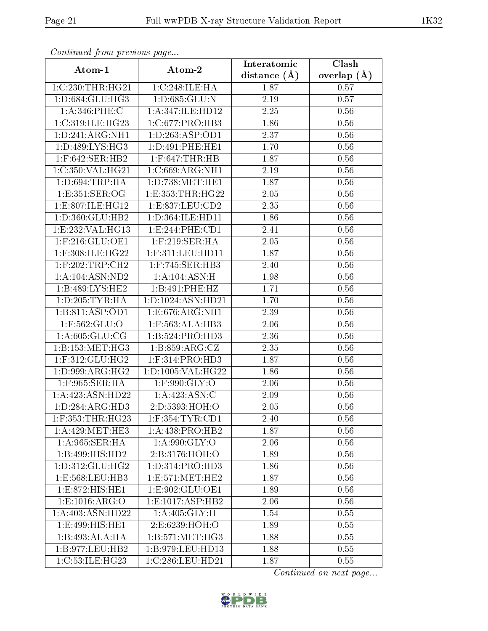| Connenaca promo precio do pago |                      | Interatomic    | Clash         |
|--------------------------------|----------------------|----------------|---------------|
| Atom-1                         | Atom-2               | distance $(A)$ | overlap $(A)$ |
| 1:C:230:THR:HG21               | 1:C:248:ILE:HA       | 1.87           | 0.57          |
| 1: D: 684: GLU: HG3            | 1:D:685:GLU:N        | 2.19           | 0.57          |
| $1: A:346:$ PHE:C              | 1:A:347:ILE:HD12     | 2.25           | 0.56          |
| 1:C:319:ILE:HG23               | 1:C:677:PRO:HB3      | 1.86           | 0.56          |
| 1:D:241:ARG:NH1                | 1: D: 263: ASP: OD1  | 2.37           | 0.56          |
| 1:D:489:LYS:HG3                | 1: D:491: PHE: HE1   | 1.70           | $0.56\,$      |
| $1:$ F:642:SER:HB2             | $1:$ F:647:THR:HB    | 1.87           | 0.56          |
| 1:C:350:VAL:HG21               | 1:C:669:ARG:NH1      | 2.19           | 0.56          |
| 1: D:694:TRP:HA                | 1: D: 738: MET: HE1  | 1.87           | 0.56          |
| 1: E: 351: SER: OG             | 1: E: 353: THR: HG22 | 2.05           | 0.56          |
| 1:E:807:ILE:HG12               | 1:E:837:LEU:CD2      | 2.35           | 0.56          |
| 1:D:360:GLU:HB2                | 1:D:364:ILE:HD11     | 1.86           | 0.56          |
| 1:E:232:VAL:HG13               | 1:E:244:PHE:CD1      | 2.41           | 0.56          |
| $1:$ F:216:GLU:OE1             | $1:$ F:219:SER:HA    | 2.05           | 0.56          |
| 1:F:308:ILE:HG22               | $1:$ F:311:LEU:HD11  | 1.87           | 0.56          |
| $1:$ F:202:TRP:CH2             | $1:$ F:745:SER:HB3   | 2.40           | 0.56          |
| 1: A: 104: ASN: ND2            | 1:A:104:ASN:H        | 1.98           | 0.56          |
| $1:B:489:LYS:H\overline{E2}$   | 1:B:491:PHE:HZ       | 1.71           | 0.56          |
| 1: D: 205: TYR: HA             | 1:D:1024:ASN:HD21    | 1.70           | 0.56          |
| 1:B:811:ASP:OD1                | 1:E:676:ARG:NH1      | 2.39           | 0.56          |
| 1:F:562:GLU:O                  | 1:F:563:ALA:HB3      | 2.06           | 0.56          |
| 1: A:605: GLU:CG               | 1:B:524:PRO:HD3      | 2.36           | 0.56          |
| 1: B: 153: MET:HG3             | 1: B: 859: ARG: CZ   | 2.35           | 0.56          |
| $1:$ F:312:GLU:HG2             | 1:F:314:PRO:HD3      | 1.87           | 0.56          |
| 1: D:999:ARG:HG2               | 1:D:1005:VAL:HG22    | 1.86           | 0.56          |
| $1:$ F:965:SER:HA              | $1:$ F:990:GLY:O     | 2.06           | 0.56          |
| 1:A:423:ASN:HD22               | 1:A:423:ASN:C        | 2.09           | 0.56          |
| 1: D: 284: ARG: HD3            | 2:D:5393:HOH:O       | 2.05           | 0.56          |
| $1:$ F:353:THR:HG23            | $1:$ F:354:TYR:CD1   | 2.40           | 0.56          |
| 1: A:429:MET:HE3               | 1:A:438:PRO:HB2      | 1.87           | 0.56          |
| 1:A:965:SER:HA                 | 1: A:990: GLY:O      | 2.06           | 0.56          |
| 1:B:499:HIS:HD2                | 2:B:3176:HOH:O       | 1.89           | 0.56          |
| 1: D: 312: GLU: HG2            | 1:D:314:PRO:HD3      | 1.86           | 0.56          |
| 1:E:568:LEU:HB3                | 1:E:571:MET:HE2      | 1.87           | 0.56          |
| 1: E: 872: HIS: HE1            | 1: E: 902: GLU: OE1  | 1.89           | 0.56          |
| 1: E: 1016: ARG: O             | 1:E:1017:ASP:HB2     | 2.06           | 0.56          |
| 1: A:403:A SN:H D22            | 1: A:405: GLY: H     | 1.54           | 0.55          |
| 1: E:499: HIS: HE1             | 2:E:6239:HOH:O       | 1.89           | 0.55          |
| 1:B:493:ALA:HA                 | 1: B: 571: MET: HG3  | 1.88           | 0.55          |
| 1:B:977:LEU:HB2                | 1:B:979:LEU:HD13     | 1.88           | 0.55          |
| $1:C:53:\overline{ILE:HG23}$   | 1:C:286:LEU:HD21     | 1.87           | 0.55          |

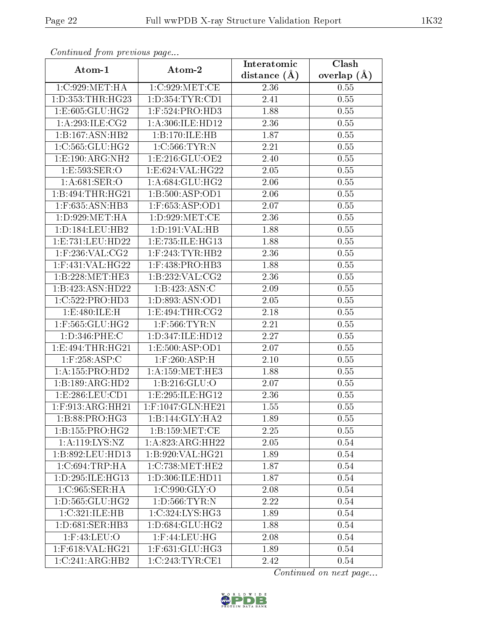| contentava promono ao pago       |                                            | Interatomic      | $\overline{\text{Clash}}$ |
|----------------------------------|--------------------------------------------|------------------|---------------------------|
| Atom-1                           | Atom-2                                     | distance $(\AA)$ | overlap $(\AA)$           |
| 1:C:929:MET:HA                   | 1:C:929:MET:CE                             | 2.36             | 0.55                      |
| 1: D: 353: THR: HG23             | 1: D: 354: TYR: CD1                        | 2.41             | 0.55                      |
| 1: E: 605: GLU: HG2              | $1:$ F:524:PRO:HD3                         | 1.88             | 0.55                      |
| 1: A:293: ILE: CG2               | 1:A:306:ILE:HD12                           | 2.36             | 0.55                      |
| 1:B:167:ASN:HB2                  | 1:B:170:ILE:HB                             | 1.87             | 0.55                      |
| 1:C:565:GLU:HG2                  | 1:C:566:TYR:N                              | 2.21             | 0.55                      |
| 1:E:190:ARG:NH2                  | 1: E: 216: GLU: OE2                        | 2.40             | 0.55                      |
| 1:E:593:SER:O                    | 1:E:624:VAL:HG22                           | 2.05             | 0.55                      |
| 1: A:681:SER:O                   | 1: A:684: GLU:HG2                          | 2.06             | 0.55                      |
| 1:B:494:THR:HG21                 | 1:B:500:ASP:OD1                            | 2.06             | 0.55                      |
| 1:F:635:ASN:HB3                  | 1:F:653:ASP:OD1                            | 2.07             | 0.55                      |
| 1: D: 929: MET: HA               | 1: D:929: MET:CE                           | 2.36             | 0.55                      |
| 1: D: 184: LEU: HB2              | 1: D: 191: VAL: HB                         | 1.88             | 0.55                      |
| 1:E:731:LEU:HD22                 | 1:E:735:ILE:HG13                           | 1.88             | 0.55                      |
| $1:$ F:236:VAL:CG2               | $1:$ F:243:TYR:HB2                         | 2.36             | 0.55                      |
| $1:$ F:431:VAL:HG22              | $1:$ F:438:PRO:HB3                         | 1.88             | 0.55                      |
| 1:B:228:MET:HE3                  | 1:B:232:VAL:CG2                            | 2.36             | 0.55                      |
| 1:B:423:ASN:HD22                 | 1:B:423:ASN:C                              | 2.09             | 0.55                      |
| 1:C:522:PRO:HD3                  | 1:D:893:ASN:OD1                            | $2.05\,$         | 0.55                      |
| 1:E:480:ILE:H                    | 1: E:494: THR:CG2                          | 2.18             | 0.55                      |
| $1:$ F:565: $GLU:$ H $G2$        | $1:$ F:566:TYR:N                           | 2.21             | 0.55                      |
| 1:D:346:PHE:C                    | 1:D:347:ILE:HD12                           | 2.27             | 0.55                      |
| 1: E:494: THR: HG21              | 1:E:500:ASP:OD1                            | 2.07             | $0.55\,$                  |
| $1:$ F:258:ASP:C                 | $1:$ F:260:ASP:H                           | 2.10             | 0.55                      |
| 1: A: 155: PRO: HD2              | 1: A: 159: MET: HE3                        | 1.88             | 0.55                      |
| 1:B:189:ARG:HD2                  | 1:B:216:GLU:O                              | 2.07             | 0.55                      |
| 1: E: 286: LEU: CD1              | 1:E:295:ILE:HG12                           | 2.36             | 0.55                      |
| $1:$ F:913:ARG:HH21              | 1:F:1047:GLN:HE21                          | 1.55             | 0.55                      |
| 1:B:88:PRO:HG3                   | 1:B:144:GLY:HA2                            | 1.89             | 0.55                      |
| $1:B:155:PRO:H\overline{G2}$     | 1: B: 159: MET: CE                         | 2.25             | 0.55                      |
| 1: A:119: LYS: NZ                | 1: A:823:ARG:HH22                          | 2.05             | 0.54                      |
| 1:B:892:LEU:HD13                 | 1: B:920: VAL:HG21                         | 1.89             | 0.54                      |
| $1:C:694$ : TRP: HA              | $1:C:738:\overline{\text{MET}:\text{HE}2}$ | 1.87             | 0.54                      |
| 1:D:295:ILE:HG13                 | 1:D:306:ILE:HD11                           | 1.87             | 0.54                      |
| 1:C:965:SER:HA                   | 1:C:990:GLY:O                              | 2.08             | 0.54                      |
| $1: D: 565: GLU: \overline{HG2}$ | 1: D: 566: TYR: N                          | 2.22             | 0.54                      |
| 1:C:321:ILE:HB                   | 1:C:324:LYS:HG3                            | 1.89             | 0.54                      |
| 1: D:681: SER:HB3                | 1:D:684:GLU:HG2                            | 1.88             | 0.54                      |
| $1:$ F:43:LEU:O                  | $1:$ F:44:LEU:HG                           | 2.08             | 0.54                      |
| $1:$ F:618:VAL:HG21              | $1:$ F:631:GLU:HG3                         | 1.89             | 0.54                      |
| 1:C:241:ARG:HB2                  | 1:C:243:TYR:CE1                            | 2.42             | 0.54                      |

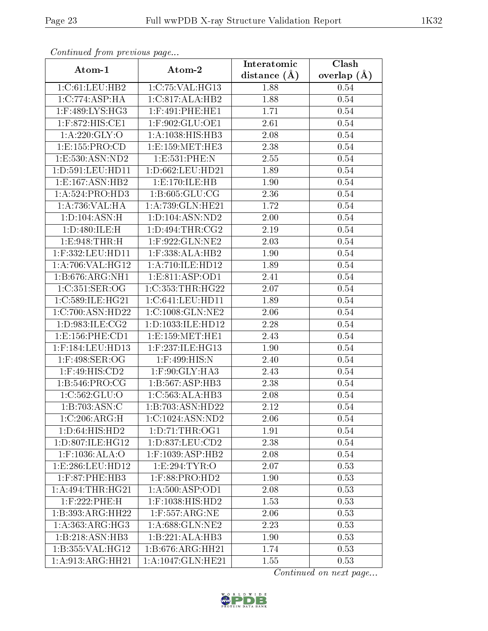| sonomaca jiom procesar pago  |                      | Interatomic    | Clash           |
|------------------------------|----------------------|----------------|-----------------|
| Atom-1                       | Atom-2               | distance $(A)$ | overlap $(\AA)$ |
| 1:C:61:LEU:HB2               | 1:C:75:VAL:HG13      | 1.88           | 0.54            |
| 1:C:774:ASP:HA               | 1:C:817:ALA:HB2      | 1.88           | 0.54            |
| 1:F:489:LYS:HG3              | $1:$ F:491:PHE:HE1   | 1.71           | 0.54            |
| 1:F:872:HIS:CE1              | 1:F:902:GLU:OE1      | 2.61           | 0.54            |
| 1: A:220: GLY:O              | 1:A:1038:HIS:HB3     | 2.08           | 0.54            |
| 1:E:155:PRO:CD               | 1: E: 159: MET: HE3  | 2.38           | 0.54            |
| 1:E:530:ASN:ND2              | 1:E:531:PHE:N        | 2.55           | 0.54            |
| 1: D:591: LEU: HD11          | 1: D: 662: LEU: HD21 | 1.89           | 0.54            |
| 1: E: 167: ASN: HB2          | 1:E:170:ILE:HB       | 1.90           | 0.54            |
| 1: A:524: PRO:HD3            | 1: B:605: GLU:CG     | 2.36           | 0.54            |
| 1:A:736:VAL:HA               | 1:A:739:GLN:HE21     | 1.72           | 0.54            |
| 1: D: 104: ASN: H            | 1: D: 104: ASN: ND2  | 2.00           | 0.54            |
| 1:D:480:ILE:H                | 1: D: 494: THR: CG2  | 2.19           | 0.54            |
| 1: E: 948: THR: H            | $1:$ F:922:GLN:NE2   | 2.03           | 0.54            |
| 1:F:332:LEU:HD11             | $1:$ F:338:ALA:HB2   | 1.90           | 0.54            |
| 1:A:706:VAL:HG12             | 1:A:710:ILE:HD12     | 1.89           | 0.54            |
| 1:B:676:ARG:NH1              | 1: E:811: ASP:OD1    | 2.41           | 0.54            |
| 1:C:351:SER:OG               | 1:C:353:THR:HG22     | 2.07           | 0.54            |
| 1:C:589:ILE:HG21             | 1:C:641:LEU:HD11     | 1.89           | 0.54            |
| 1:C:700:ASN:HD22             | 1:C:1008:GLN:NE2     | 2.06           | 0.54            |
| 1: D:983: ILE: CG2           | 1:D:1033:ILE:HD12    | 2.28           | 0.54            |
| 1: E: 156: PHE: CD1          | 1: E: 159: MET: HE1  | 2.43           | 0.54            |
| 1:F:184:LEU:HD13             | 1:F:237:ILE:HG13     | 1.90           | 0.54            |
| $1:$ F:498:SER:OG            | 1:F:499:HIS:N        | 2.40           | 0.54            |
| $1:$ F:49:HIS:CD2            | 1:F:90:GLY:HA3       | 2.43           | 0.54            |
| 1: B:546: PRO:CG             | 1:B:567:ASP:HB3      | 2.38           | 0.54            |
| 1: C: 562: GLU: O            | 1:C:563:ALA:HB3      | 2.08           | 0.54            |
| 1:B:703:ASN:C                | 1:B:703:ASN:HD22     | 2.12           | 0.54            |
| 1:C:206:ARG:H                | 1:C:1024:ASN:ND2     | 2.06           | 0.54            |
| 1:D:64:HIS:HD2               | 1: D: 71: THR: OG1   | 1.91           | 0.54            |
| 1:D:807:ILE:HG12             | 1: D: 837: LEU: CD2  | 2.38           | 0.54            |
| $1:$ F:1036:ALA:O            | $1:$ F:1039:ASP:HB2  | 2.08           | 0.54            |
| 1: E: 286: LEU: HD12         | 1:E:294:TYR:O        | 2.07           | 0.53            |
| 1:F:87:PHE:HB3               | $1:$ F:88:PRO:HD2    | 1.90           | 0.53            |
| 1: A:494:THR:HG21            | 1: A:500: ASP:OD1    | 2.08           | 0.53            |
| $1:$ F:222:PHE:H             | 1:F:1038:HIS:HD2     | 1.53           | 0.53            |
| 1:B:393:ARG:HH22             | $1:$ F:557:ARG:NE    | 2.06           | 0.53            |
| $1:A:363:ARG:H\overline{G3}$ | 1:A:688:GLN:NE2      | 2.23           | 0.53            |
| 1:B:218:ASN:HB3              | 1:B:221:ALA:HB3      | 1.90           | 0.53            |
| 1:B:355:VAL:HG12             | 1:B:676:ARG:HH21     | 1.74           | 0.53            |
| 1:A:913:ARG:HH21             | 1:A:1047:GLN:HE21    | 1.55           | 0.53            |

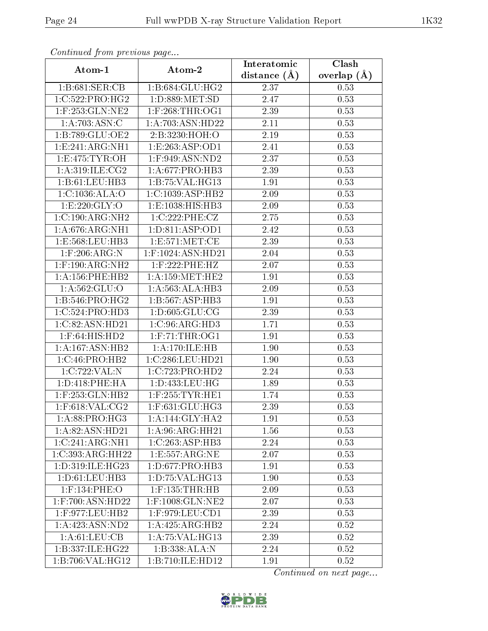| contentwow from procto we page |                                          | Interatomic    | Clash         |
|--------------------------------|------------------------------------------|----------------|---------------|
| Atom-1                         | Atom-2                                   | distance $(A)$ | overlap $(A)$ |
| 1:B:681:SER:CB                 | 1:B:684:GLU:HG2                          | 2.37           | 0.53          |
| 1:C:522:PRO:HG2                | 1: D: 889: MET: SD                       | 2.47           | 0.53          |
| $1:$ F:253:GLN:NE2             | $1:$ F:268:THR:OG1                       | 2.39           | 0.53          |
| 1:A:703:ASN:C                  | 1:A:703:ASN:HD22                         | 2.11           | 0.53          |
| 1:B:789:GLU:OE2                | 2:B:3230:HOH:O                           | 2.19           | 0.53          |
| 1: E: 241: ARG: NH1            | 1: E: 263: ASP:OD1                       | 2.41           | 0.53          |
| 1: E: 475: TYR: OH             | $1:$ F:949:ASN:ND2                       | 2.37           | 0.53          |
| 1: A:319: ILE: CG2             | 1: A:677: PRO:HB3                        | 2.39           | 0.53          |
| 1:B:61:LEU:HB3                 | 1:B:75:VAL:HG13                          | 1.91           | 0.53          |
| 1: C: 1036: ALA: O             | 1:C:1039:ASP:HB2                         | 2.09           | 0.53          |
| 1:E:220:GLY:O                  | 1:E:1038:HIS:HB3                         | 2.09           | 0.53          |
| 1:C:190:ARG:NH2                | 1:C:222:PHE:CZ                           | 2.75           | 0.53          |
| 1: A:676: ARG: NH1             | 1: D: 811: ASP: OD1                      | 2.42           | 0.53          |
| 1:E:568:LEU:HB3                | 1: E: 571: MET:CE                        | 2.39           | 0.53          |
| $1:$ F:206:ARG:N               | 1:F:1024:ASN:HD21                        | 2.04           | 0.53          |
| $1:$ F:190:ARG:NH2             | $1:$ F:222:PHE:HZ                        | 2.07           | 0.53          |
| 1: A: 156: PHE: HB2            | 1: A: 159: MET: HE2                      | 1.91           | 0.53          |
| 1: A:562: GLU:O                | 1:A:563:ALA:HB3                          | 2.09           | 0.53          |
| 1:B:546:PRO:HG2                | $1:B:567:\overline{ASP:HB3}$             | 1.91           | 0.53          |
| 1:C:524:PRO:HD3                | 1: D: 605: GLU: CG                       | 2.39           | 0.53          |
| 1:C:82:ASN:HD21                | 1:C:96:ARG:HD3                           | 1.71           | 0.53          |
| $1:$ F:64:HIS:HD2              | $1:$ F:71:THR:OG1                        | 1.91           | 0.53          |
| 1: A: 167: ASN: HB2            | 1:A:170:ILE:HB                           | 1.90           | 0.53          |
| 1:C:46:PRO:HB2                 | 1:C:286:LEU:HD21                         | 1.90           | 0.53          |
| 1:C:722:VAL:N                  | 1:C:723:PRO:HD2                          | 2.24           | 0.53          |
| 1: D:418: PHE: HA              | 1: D: 433: LEU: HG                       | 1.89           | 0.53          |
| 1:F:253:GLN:HB2                | $1:$ F:255:TYR:HE1                       | 1.74           | 0.53          |
| $1:$ F:618:VAL:CG2             | 1:F:631:GLU:HG3                          | 2.39           | 0.53          |
| 1:A:88:PRO:HG3                 | 1: A:144: GLY:HA2                        | 1.91           | 0.53          |
| 1:A:82:ASN:HD21                | 1:A:96:ARG:HH21                          | 1.56           | 0.53          |
| 1:C:241:ARG:NH1                | 1:C:263:ASP:HB3                          | 2.24           | 0.53          |
| 1:C:393:ARG:HH22               | 1:E:557:ARG:NE                           | 2.07           | 0.53          |
| 1:D:319:ILE:HG23               | 1:D:677:PRO:HB3                          | 1.91           | 0.53          |
| 1: D: 61: LEU: HB3             | 1: D: 75: VAL: HG13                      | 1.90           | 0.53          |
| $1:$ F:134:PHE:O               | $1:$ F:135:THR:HB                        | 2.09           | 0.53          |
| $1:$ F:700:ASN:HD22            | $1:$ F:1008:GLN: $\overline{\text{NE2}}$ | 2.07           | 0.53          |
| $1:$ F:977:LEU:HB2             | $1:$ F:979:LEU:CD1                       | 2.39           | 0.53          |
| 1:A:423:ASN:ND2                | $1:A:425:ARG:\overline{HB2}$             | 2.24           | 0.52          |
| 1: A:61: LEU: CB               | 1: A:75: VAL:HG13                        | 2.39           | 0.52          |
| 1:B:337:ILE:HG22               | 1:B:338:ALA:N                            | 2.24           | 0.52          |
| 1:B:706:VAL:HG12               | 1:B:710:ILE:HD12                         | 1.91           | 0.52          |

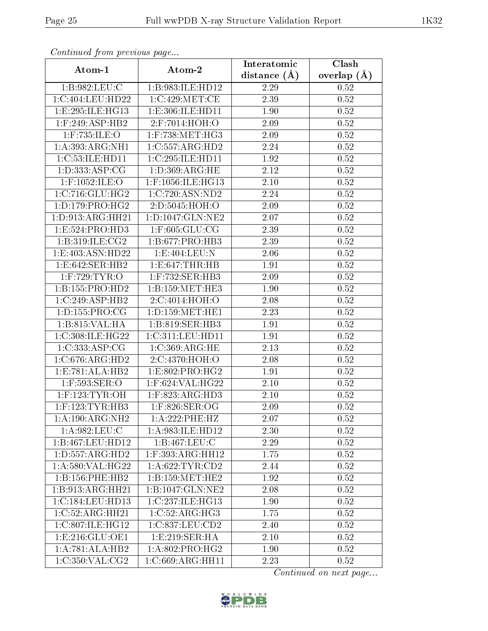| contentava promo provisão pago |                                   | Interatomic    | $\overline{\text{Clash}}$ |
|--------------------------------|-----------------------------------|----------------|---------------------------|
| Atom-1                         | Atom-2                            | distance $(A)$ | overlap $(\AA)$           |
| 1:B:982:LEU:C                  | 1:B:983:ILE:HD12                  | 2.29           | 0.52                      |
| 1:C:404:LEU:HD22               | 1:C:429:MET:CE                    | 2.39           | 0.52                      |
| 1: E: 295: ILE: HG13           | 1:E:306:ILE:HD11                  | 1.90           | 0.52                      |
| $1:$ F:249:ASP:HB2             | 2:F:7014:HOH:O                    | 2.09           | 0.52                      |
| $1:$ F:735:ILE:O               | $1:$ F:738:MET:HG3                | 2.09           | 0.52                      |
| 1: A: 393: ARG: NH1            | 1:C:557:ARG:HD2                   | 2.24           | 0.52                      |
| 1:C:53:ILE:HD11                | 1:C:295:ILE:HD11                  | 1.92           | 0.52                      |
| 1:D:333:ASP:CG                 | 1: D: 369: ARG: HE                | 2.12           | 0.52                      |
| 1:F:1052:ILE:O                 | 1:F:1056:ILE:HG13                 | 2.10           | 0.52                      |
| 1:C:716:GLU:HG2                | 1:C:720:ASN:ND2                   | 2.24           | 0.52                      |
| 1: D: 179: PRO:HG2             | 2:D:5045:HOH:O                    | 2.09           | 0.52                      |
| 1: D: 913: ARG: HH21           | $1: D: 1047: GLN: \overline{NE2}$ | 2.07           | 0.52                      |
| 1: E: 524: PRO: HD3            | $1:$ F:605: $GLU$ :CG             | 2.39           | 0.52                      |
| 1: B:319: ILE: CG2             | 1:B:677:PRO:HB3                   | 2.39           | 0.52                      |
| 1: E:403: ASN:HD22             | 1:E:404:LEU:N                     | 2.06           | 0.52                      |
| 1:E:642:SER:HB2                | 1:E:647:THR:HB                    | 1.91           | 0.52                      |
| $1:$ F:729:TYR:O               | 1:F:732:SER:HB3                   | 2.09           | 0.52                      |
| 1:B:155:PRO:HD2                | 1:B:159:MET:HE3                   | 1.90           | 0.52                      |
| 1:C:249:ASP:HB2                | 2:C:4014:HOH:O                    | 2.08           | 0.52                      |
| 1: D: 155: PRO: CG             | 1: D: 159: MET: HE1               | 2.23           | 0.52                      |
| 1:B:815:VAL:HA                 | 1:B:819:SER:HB3                   | 1.91           | 0.52                      |
| 1:C:308:ILE:HG22               | 1:C:311:LEU:HD11                  | 1.91           | $0.52\,$                  |
| 1:C:333:ASP:CG                 | 1:C:369:ARG:HE                    | 2.13           | 0.52                      |
| 1:C:676:ARG:HD2                | 2:C:4370:HOH:O                    | 2.08           | $0.52\,$                  |
| 1:E:781:ALA:HB2                | 1: E: 802: PRO:HG2                | 1.91           | 0.52                      |
| 1:F:593:SER:O                  | $1:$ F:624:VAL:HG22               | 2.10           | 0.52                      |
| $1:$ F:123:TYR:OH              | $1:$ F:823:ARG:HD3                | 2.10           | 0.52                      |
| $1:$ F:123:TYR:HB3             | 1:F:826:SER:OG                    | 2.09           | 0.52                      |
| 1: A:190:ARG:NH2               | 1:A:222:PHE:HZ                    | 2.07           | 0.52                      |
| 1:A:982:LEU:C                  | 1:A:983:ILE:HD12                  | 2.30           | 0.52                      |
| 1:B:467:LEU:HD12               | 1:B:467:LEU:C                     | 2.29           | 0.52                      |
| 1: D: 557: ARG: HD2            | $1:$ F:393:ARG:HH12               | 1.75           | 0.52                      |
| 1: A:580: VAL:HG22             | 1: A:622:TYR:CD2                  | 2.44           | 0.52                      |
| 1:B:156:PHE:HB2                | 1: B: 159: MET: HE2               | 1.92           | 0.52                      |
| 1:B:913:ARG:HH21               | 1:B:1047:GLN:NE2                  | 2.08           | 0.52                      |
| 1:C:184:LEU:HD13               | 1:C:237:ILE:HG13                  | 1.90           | 0.52                      |
| 1:C:52:ARG:HH21                | 1:C:52:ARG:HG3                    | 1.75           | 0.52                      |
| 1:C:807:ILE:HG12               | 1:C:837:LEU:CD2                   | 2.40           | 0.52                      |
| 1: E: 216: GLU: OE1            | 1:E:219:SER:HA                    | 2.10           | 0.52                      |
| 1:A:781:ALA:HB2                | 1: A:802: PRO:HG2                 | 1.90           | 0.52                      |
| 1:C:350:VAL:CG2                | 1:C:669:ARG:HH11                  | 2.23           | 0.52                      |

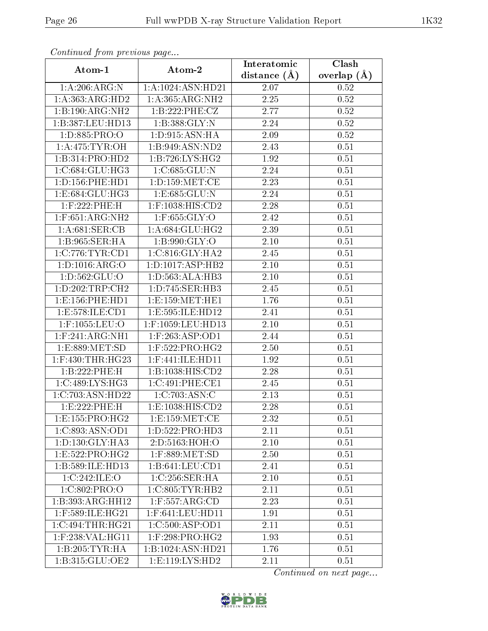| Continual from precious page   |                         | Interatomic      | Clash         |
|--------------------------------|-------------------------|------------------|---------------|
| Atom-1                         | Atom-2                  | distance $(\AA)$ | overlap $(A)$ |
| 1:A:206:ARG:N                  | 1: A: 1024: ASN: HD21   | 2.07             | 0.52          |
| 1:A:363:ARG:HD2                | 1: A: 365: ARG: NH2     | 2.25             | 0.52          |
| 1:B:190:ARG:NH2                | 1:B:222:PHE:CZ          | 2.77             | 0.52          |
| 1:B:387:LEU:HD13               | 1:B:388:GLY:N           | 2.24             | 0.52          |
| 1:D:885:PRO:O                  | 1: D: 915: ASN: HA      | 2.09             | 0.52          |
| 1: A:475: TYR:OH               | 1:B:949:ASN:ND2         | 2.43             | 0.51          |
| $1:B:314:PR\overline{O:HD2}$   | 1:B:726:LYS:HG2         | 1.92             | 0.51          |
| 1:C:684:GLU:HG3                | 1:C:685:GLU:N           | 2.24             | 0.51          |
| 1: D: 156: PHE: HD1            | $1: D: 159$ : $MET: CE$ | 2.23             | 0.51          |
| 1: E: 684: GLU: HG3            | 1:E:685:GLU:N           | 2.24             | 0.51          |
| 1:F:222:PHE:H                  | $1:$ F:1038:HIS:CD2     | 2.28             | $0.51\,$      |
| $1:$ F:651:ARG:NH2             | $1:$ F:655:GLY:O        | 2.42             | 0.51          |
| 1: A:681:SER:CB                | 1: A:684: GLU: HG2      | 2.39             | 0.51          |
| 1:B:965:SER:HA                 | 1: B:990: GLY:O         | 2.10             | 0.51          |
| 1:C:776:TYR:CD1                | 1:C:816:GLY:HA2         | 2.45             | 0.51          |
| 1: D: 1016: ARG: O             | 1:D:1017:ASP:HB2        | 2.10             | 0.51          |
| 1: D: 562: GLU: O              | 1: D: 563: ALA: HB3     | 2.10             | 0.51          |
| 1: D: 202: TRP:CH2             | 1:D:745:SER:HB3         | 2.45             | 0.51          |
| 1: E: 156: PHE: HD1            | 1:E:159:MET:HE1         | 1.76             | 0.51          |
| 1: E: 578: ILE: CD1            | 1:E:595:ILE:HD12        | 2.41             | 0.51          |
| $1:$ F:1055:LEU:O              | 1:F:1059:LEU:HD13       | 2.10             | 0.51          |
| $1:$ F:241:ARG:NH1             | $1:$ F:263:ASP:OD1      | 2.44             | 0.51          |
| 1: E: 889: MET: SD             | $1:$ F:522:PRO:HG2      | 2.50             | 0.51          |
| 1:F:430:THR:HG23               | 1:F:441:ILE:HD11        | 1.92             | $0.51\,$      |
| 1:B:222:PHE:H                  | 1:B:1038:HIS:CD2        | 2.28             | 0.51          |
| 1:C:489:LYS:HG3                | 1:C:491:PHE:CE1         | 2.45             | 0.51          |
| 1:C:703:ASN:HD22               | 1:C:703:ASN:C           | 2.13             | 0.51          |
| 1:E:222:PHE:H                  | 1: E: 1038: HIS: CD2    | 2.28             | 0.51          |
| 1:E:155:PRO:HG2                | 1: E: 159: MET:CE       | 2.32             | 0.51          |
| 1:C:893:ASN:OD1                | 1:D:522:PRO:HD3         | 2.11             | $0.51\,$      |
| 1: D: 130: GLY: HA3            | 2:D:5163:HOH:O          | 2.10             | 0.51          |
| 1:E:522:PRO:HG2                | 1:F:889:MET:SD          | 2.50             | 0.51          |
| 1:B:589:ILE:HD13               | 1: B:641:LEU:CD1        | 2.41             | 0.51          |
| 1:C:242:ILE:O                  | 1:C:256:SER:HA          | 2.10             | 0.51          |
| 1:C:802:PRO:O                  | 1:C:805:TYR:HB2         | 2.11             | 0.51          |
| 1:B:393:ARG:HH12               | 1:F:557:ARG:CD          | 2.23             | 0.51          |
| $1:$ F:589:ILE:HG $21$         | 1:F:641:LEU:HD11        | 1.91             | 0.51          |
| 1:C:494:THR:HG21               | 1:C:500:ASP:OD1         | 2.11             | 0.51          |
| $1:$ F:238:VAL:HG11            | $1:$ F:298:PRO:HG2      | 1.93             | 0.51          |
| 1:B:205:TYR:HA                 | 1:B:1024:ASN:HD21       | 1.76             | 0.51          |
| $1: B:315: GL\overline{U:OE2}$ | 1:E:119:LYS:HD2         | 2.11             | 0.51          |

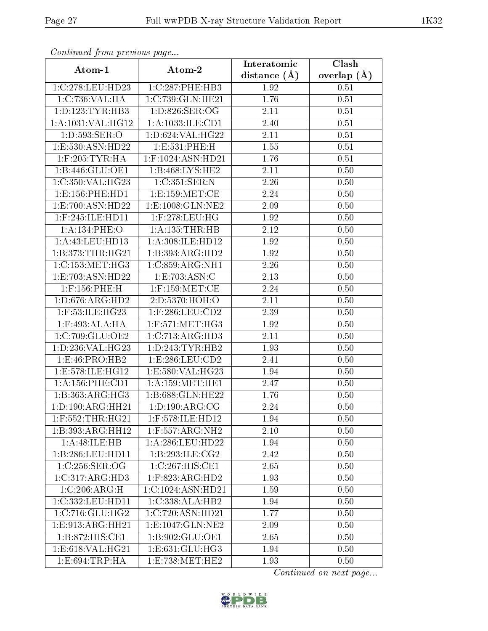| Continuation from providuo pugo |                      | Interatomic    | Clash         |
|---------------------------------|----------------------|----------------|---------------|
| Atom-1                          | Atom-2               | distance $(A)$ | overlap $(A)$ |
| 1:C:278:LEU:HD23                | 1:C:287:PHE:HB3      | 1.92           | 0.51          |
| 1:C:736:VAL:HA                  | 1:C:739:GLN:HE21     | 1.76           | 0.51          |
| 1: D: 123: TYR: HB3             | 1: D:826: SER:OG     | 2.11           | 0.51          |
| 1:A:1031:VAL:HG12               | 1:A:1033:ILE:CD1     | 2.40           | 0.51          |
| 1: D: 593: SER: O               | 1:D:624:VAL:HG22     | 2.11           | 0.51          |
| 1:E:530:ASN:HD22                | 1:E:531:PHE:H        | 1.55           | $0.51\,$      |
| $1:$ F:205:TYR:HA               | 1:F:1024:ASN:HD21    | 1.76           | 0.51          |
| 1: B:446: GLU:OE1               | 1:B:468:LYS:HE2      | 2.11           | 0.50          |
| 1:C:350:VAL:HG23                | 1:C:351:SER:N        | 2.26           | 0.50          |
| 1: E: 156: PHE: HD1             | 1: E: 159: MET:CE    | 2.24           | 0.50          |
| 1:E:700:ASN:HD22                | 1:E:1008:GLN:NE2     | 2.09           | 0.50          |
| $1:$ F:245:ILE:HD11             | 1:F:278:LEU:HG       | 1.92           | 0.50          |
| 1: A:134: PHE:O                 | 1: A: 135: THR: HB   | 2.12           | 0.50          |
| 1:A:43:LEU:HD13                 | 1:A:308:ILE:HD12     | 1.92           | 0.50          |
| 1:B:373:THR:HG21                | 1:B:393:ARG:HD2      | 1.92           | 0.50          |
| 1:C:153:MET:HG3                 | 1:C:859:ARG:NH1      | 2.26           | 0.50          |
| 1:E:703:ASN:HD22                | 1:E:703:ASN:C        | 2.13           | 0.50          |
| $1:$ F:156:PHE:H                | $1:$ F:159:MET:CE    | 2.24           | 0.50          |
| 1: D: 676: ARG: HD2             | 2:D:5370:HOH:O       | 2.11           | 0.50          |
| 1:F:53:ILE:HG23                 | $1:$ F:286:LEU:CD2   | 2.39           | 0.50          |
| 1:F:493:ALA:HA                  | $1:$ F:571:MET:HG3   | 1.92           | 0.50          |
| 1:C:709:GLU:OE2                 | 1:C:713:ARG:HD3      | 2.11           | 0.50          |
| 1:D:236:VAL:HG23                | 1: D: 243: TYR: HB2  | 1.93           | 0.50          |
| $1: E: 46: P\overline{RO:H}B2$  | 1: E: 286: LEU: CD2  | 2.41           | 0.50          |
| 1:E:578:ILE:HG12                | 1:E:580:VAL:HG23     | 1.94           | 0.50          |
| 1: A: 156: PHE: CD1             | 1: A: 159:MET: HE1   | 2.47           | 0.50          |
| 1:B:363:ARG:HG3                 | 1:B:688:GLN:HE22     | 1.76           | 0.50          |
| 1: D: 190: ARG: HH21            | 1: D: 190: ARG: CG   | 2.24           | 0.50          |
| $1:$ F:552:THR:HG21             | 1:F:578:ILE:HD12     | 1.94           | 0.50          |
| 1:B:393:ARG:HH12                | 1:F:557:ARG:NH2      | $2.10\,$       | 0.50          |
| 1:A:48:ILE:HB                   | 1:A:286:LEU:HD22     | 1.94           | 0.50          |
| 1:B:286:LEU:HD11                | 1:B:293:ILE:CG2      | 2.42           | 0.50          |
| 1:C:256:SER:OG                  | 1:C:267:HIS:CE1      | 2.65           | 0.50          |
| 1:C:317:ARG:HD3                 | $1:$ F:823:ARG:HD2   | 1.93           | 0.50          |
| 1:C:206:ARG:H                   | 1:C:1024:ASN:HD21    | 1.59           | 0.50          |
| 1:C:332:LEU:HD11                | 1:C:338:ALA:HB2      | 1.94           | 0.50          |
| 1:C:716:GLU:HG2                 | 1:C:720:ASN:HD21     | 1.77           | 0.50          |
| 1: E: 913: ARG: HH21            | 1: E: 1047: GLN: NE2 | 2.09           | 0.50          |
| 1:B:872:HIS:CE1                 | 1:B:902:GLU:OE1      | 2.65           | 0.50          |
| 1:E:618:VAL:HG21                | 1: E: 631: GLU: HG3  | 1.94           | 0.50          |
| 1: E:694:TRP:HA                 | 1:E:738:MET:HE2      | 1.93           | 0.50          |

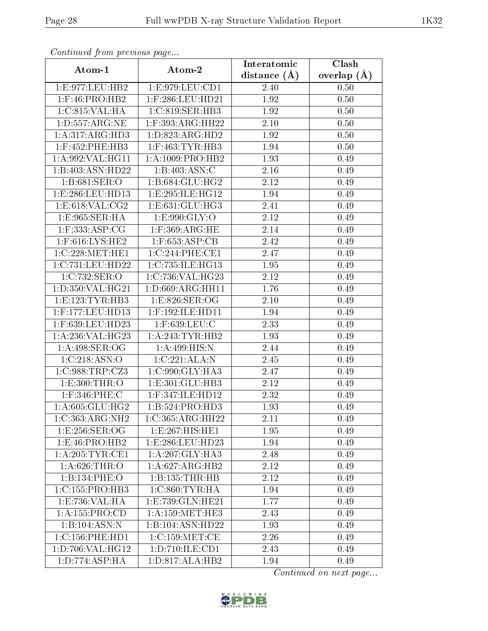| sonnaca jioin piceneas pago |                               | Interatomic    | $\overline{\text{Clash}}$ |
|-----------------------------|-------------------------------|----------------|---------------------------|
| Atom-1                      | Atom-2                        | distance $(A)$ | overlap $(A)$             |
| 1:E:977:LEU:HB2             | 1:E:979:LEU:CD1               | 2.40           | 0.50                      |
| $1:$ F:46:PRO:HB2           | $1:$ F:286:LEU:HD21           | 1.92           | 0.50                      |
| 1:C:815:VAL:HA              | 1: C:819: SER: HB3            | 1.92           | 0.50                      |
| 1: D: 557: ARG: NE          | 1:F:393:ARG:HH22              | $2.10\,$       | 0.50                      |
| 1:A:317:ARG:HD3             | 1:D:823:ARG:HD2               | 1.92           | 0.50                      |
| $1:$ F:452:PHE:HB3          | $1:$ F:463:TYR:HB3            | 1.94           | 0.50                      |
| 1:A:992:VAL:HG11            | 1:A:1009:PRO:HB2              | 1.93           | 0.49                      |
| 1:B:403:ASN:HD22            | 1:B:403:ASN:C                 | 2.16           | 0.49                      |
| 1:B:681:SER:O               | 1:B:684:GLU:HG2               | 2.12           | 0.49                      |
| 1:E:286:LEU:HD13            | 1:E:295:ILE:HG12              | 1.94           | 0.49                      |
| 1:E:618:VAL:CG2             | 1: E: 631: GLU: HG3           | 2.41           | 0.49                      |
| 1:E:965:SER:HA              | 1: E: 990: GLY:O              | 2.12           | 0.49                      |
| $1:$ F:333:ASP:CG           | $1:$ F:369:ARG:HE             | 2.14           | 0.49                      |
| $1:$ F:616:LYS:HE2          | $1:$ F:653:ASP:CB             | 2.42           | 0.49                      |
| 1:C:228:MET:HE1             | 1:C:244:PHE:CE1               | 2.47           | 0.49                      |
| 1:C:731:LEU:HD22            | 1:C:735:ILE:HG13              | 1.95           | 0.49                      |
| 1:C:732:SER:O               | 1:C:736:VAL:HG23              | 2.12           | 0.49                      |
| 1: D: 350: VAL:HG21         | 1:D:669:ARG:HH11              | 1.76           | 0.49                      |
| 1: E: 123: TYR: HB3         | 1: E:826: SER:OG              | $2.10\,$       | 0.49                      |
| 1:F:177:LEU:HD13            | 1:F:192:ILE:HD11              | 1.94           | 0.49                      |
| 1:F:639:LEU:HD23            | $1:$ F:639:LEU:C              | 2.33           | 0.49                      |
| 1:A:236:VAL:HG23            | 1: A:243:TYR:HB2              | 1.93           | 0.49                      |
| 1: A:498: SER:OG            | 1: A:499: HIS:N               | 2.44           | 0.49                      |
| 1:C:218:ASN:O               | 1:C:221:ALA:N                 | 2.45           | 0.49                      |
| 1:C:988:TRP:CZ3             | 1:C:990:GLY:HA3               | 2.47           | 0.49                      |
| 1:E:300:THR:O               | 1:E:301:GLU:HB3               | 2.12           | 0.49                      |
| $1:$ F:346:PHE:C            | 1:F:347:ILE:HD12              | 2.32           | 0.49                      |
| 1: A:605: GLU: HG2          | 1:B:524:PRO:HD3               | 1.93           | 0.49                      |
| 1:C:363:ARG:NH2             | 1:C:365:ARG:HH22              | 2.11           | 0.49                      |
| 1:E:256:SER:OG              | 1:E:267:HIS:HE1               | 1.95           | 0.49                      |
| 1: E: 46: PRO: HB2          | 1:E:286:LEU:HD23              | 1.94           | 0.49                      |
| 1: A:205:TYR:CE1            | $1:A:207:GLY:H\overline{A3}$  | 2.48           | 0.49                      |
| 1: A:626:THR.               | 1:A:627:ARG:HB2               | 2.12           | 0.49                      |
| 1:B:134:PHE:O               | 1:B:135:THR:HB                | 2.12           | 0.49                      |
| 1:C:155:PRO:HB3             | 1:C:860:TYR:HA                | 1.94           | 0.49                      |
| 1:E:736:VAL:HA              | 1:E:739:GLN:HE21              | 1.77           | 0.49                      |
| 1:A:155:PRO:CD              | 1: A: 159:MET:HE3             | 2.43           | 0.49                      |
| 1:B:104:ASN:N               | $1:B:104:A\overline{SN:HD22}$ | 1.93           | 0.49                      |
| 1:C:156:PHE:HD1             | 1:C:159:MET:CE                | $2.26\,$       | 0.49                      |
| 1:D:706:VAL:HG12            | 1: D: 710: ILE: CD1           | 2.43           | 0.49                      |
| 1: D: 774: ASP:HA           | 1:D:817:ALA:HB2               | 1.94           | 0.49                      |

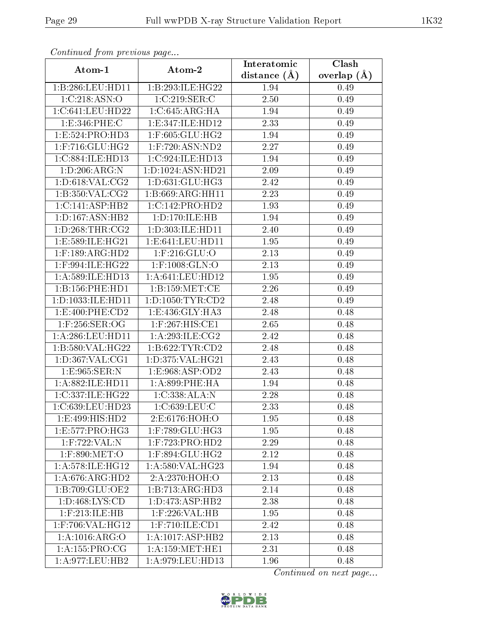| Contentaca prome providuo pago  |                                       | Interatomic    | Clash         |
|---------------------------------|---------------------------------------|----------------|---------------|
| Atom-1                          | Atom-2                                | distance $(A)$ | overlap $(A)$ |
| 1:B:286:LEU:HD11                | 1:B:293:ILE:HG22                      | 1.94           | 0.49          |
| 1:C:218:ASN:O                   | 1:C:219:SER:C                         | 2.50           | 0.49          |
| 1:C:641:LEU:HD22                | 1:C:645:ARG:HA                        | 1.94           | 0.49          |
| 1:E:346:PHE:C                   | 1:E:347:ILE:HD12                      | 2.33           | 0.49          |
| 1:E:524:PRO:HD3                 | 1:F:605:GLU:HG2                       | 1.94           | 0.49          |
| $1:$ F:716:GLU:HG2              | $1:$ F:720:ASN:ND2                    | 2.27           | 0.49          |
| 1:C:884:ILE:HD13                | 1:C:924:ILE:HD13                      | 1.94           | 0.49          |
| 1:D:206:ARG:N                   | 1: D: 1024: ASN: HD21                 | 2.09           | 0.49          |
| 1: D:618: VAL: CG2              | 1:D:631:GLU:HG3                       | 2.42           | 0.49          |
| 1: B:350: VAL: CG2              | 1:B:669:ARG:HH11                      | 2.23           | 0.49          |
| 1: C:141: ASP:HB2               | 1:C:142:PRO:HD2                       | 1.93           | 0.49          |
| $1: D: 167: \overline{ASN:HB2}$ | 1:D:170:ILE:HB                        | 1.94           | 0.49          |
| 1: D: 268: THR: CG2             | 1:D:303:ILE:HD11                      | 2.40           | 0.49          |
| 1:E:589:ILE:HG21                | 1:E:641:LEU:HD11                      | 1.95           | 0.49          |
| $1:$ F:189:ARG:HD2              | $1:$ F:216:GLU: $\overline{O}$        | 2.13           | 0.49          |
| 1:F:994:ILE:HG22                | $1:$ F:1008:GLN:O                     | 2.13           | 0.49          |
| 1: A:589: ILE: HD13             | 1: A:641:LEU:HD12                     | 1.95           | 0.49          |
| 1:B:156:PHE:HD1                 | 1: B: 159: MET: CE                    | 2.26           | 0.49          |
| 1:D:1033:ILE:HD11               | 1: D: 1050: TYR: CD2                  | 2.48           | 0.49          |
| 1: E:400: PHE:CD2               | 1:E:436:GLY:HA3                       | 2.48           | 0.48          |
| $1:$ F:256:SER:OG               | $1:$ F:267:HIS:CE1                    | 2.65           | 0.48          |
| 1: A:286:LEU:HD11               | 1:A:293:ILE:CG2                       | 2.42           | 0.48          |
| 1:B:580:VAL:HG22                | 1: B:622: TYR: CD2                    | 2.48           | 0.48          |
| 1: D: 367: VAL: CG1             | 1:D:375:VAL:HG21                      | 2.43           | 0.48          |
| 1:E:965:SER:N                   | 1: E:968: ASP:OD2                     | 2.43           | 0.48          |
| 1:A:882:ILE:HD11                | 1:A:899:PHE:HA                        | 1.94           | 0.48          |
| 1:C:337:ILE:HG22                | 1:C:338:ALA:N                         | 2.28           | 0.48          |
| 1:C:639:LEU:HD23                | 1:C:639:LEU:C                         | 2.33           | 0.48          |
| 1:E:499:HIS:HD2                 | 2:E:6176:HOH:O                        | 1.95           | 0.48          |
| 1:E:577:PRO:HG3                 | 1:F:789:GLU:HG3                       | 1.95           | 0.48          |
| 1:F:722:VAL:N                   | $1:$ F:723:PRO:HD2                    | 2.29           | 0.48          |
| 1:F:890:MET:O                   | 1:F:894:GLU:HG2                       | 2.12           | 0.48          |
| 1: A:578: ILE: HG12             | 1: A:580: VAL:HG23                    | 1.94           | 0.48          |
| 1: A:676:ARG:HD2                | 2:A:2370:HOH:O                        | 2.13           | 0.48          |
| 1: B:709: GLU:OE2               | 1:B:713:ARG:HD3                       | 2.14           | 0.48          |
| 1: D:468: LYS: CD               | 1: D: 473: ASP: HB2                   | 2.38           | 0.48          |
| $1:$ F:213:ILE:HB               | $1:$ F:226:VAL:HB                     | 1.95           | 0.48          |
| 1:F:706:VAL:HG12                | $1:$ F:710:ILE:CD1                    | 2.42           | 0.48          |
| 1: A: 1016: ARG: O              | 1:A:1017:ASP:HB2                      | 2.13           | 0.48          |
| 1:A:155:PRO:CG                  | 1: A: 159: MET: HE1                   | 2.31           | 0.48          |
| 1: A:977:LEU:HB2                | $1:\overline{A}:979:\!{\rm LEU:HD13}$ | 1.96           | 0.48          |

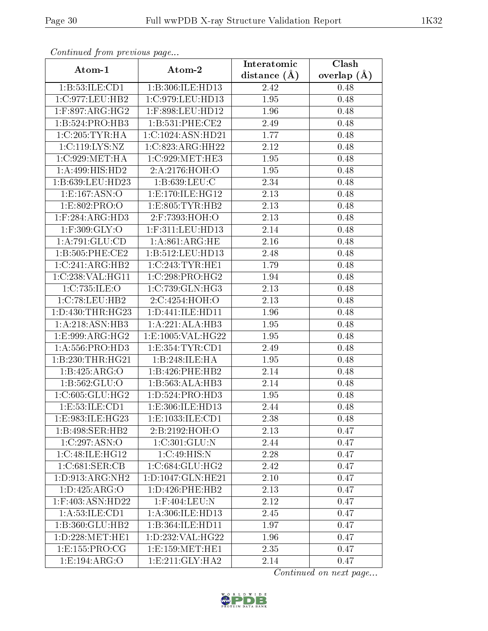| sonnaca jioin piceneas pago      |                      | Interatomic    | $\overline{\text{Clash}}$ |
|----------------------------------|----------------------|----------------|---------------------------|
| Atom-1                           | Atom-2               | distance $(A)$ | overlap $(A)$             |
| 1: B:53: ILE: CD1                | 1:B:306:ILE:HD13     | 2.42           | 0.48                      |
| 1:C:977:LEU:HB2                  | 1:C:979:LEU:HD13     | 1.95           | 0.48                      |
| $1:$ F:897:ARG:HG2               | 1:F:898:LEU:HD12     | 1.96           | 0.48                      |
| 1:B:524:PRO:HB3                  | 1: B: 531: PHE: CE2  | 2.49           | 0.48                      |
| 1:C:205:TYR:HA                   | 1:C:1024:ASN:HD21    | 1.77           | 0.48                      |
| 1:C:119:LYS:NZ                   | 1:C:823:ARG:HH22     | 2.12           | 0.48                      |
| 1:C:929:MET:HA                   | 1:C:929:MET:HE3      | 1.95           | 0.48                      |
| 1: A:499: HIS: HD2               | 2: A:2176:HOH:O      | 1.95           | 0.48                      |
| 1:B:639:LEU:HD23                 | 1: B: 639: LEU: C    | 2.34           | 0.48                      |
| 1: E: 167: ASN:O                 | 1: E: 170: ILE: HG12 | 2.13           | 0.48                      |
| 1:E:802:PRO:O                    | 1: E: 805: TYR: HB2  | 2.13           | 0.48                      |
| $1:$ F:284:AR $\overline{G:HD3}$ | 2:F:7393:HOH:O       | 2.13           | 0.48                      |
| $1:$ F:309:GLY:O                 | $1:$ F:311:LEU:HD13  | 2.14           | 0.48                      |
| 1: A:791: GLU:CD                 | 1: A:861: ARG: HE    | $2.16\,$       | 0.48                      |
| 1: B: 505: PHE: CE2              | 1:B:512:LEU:HD13     | 2.48           | 0.48                      |
| 1:C:241:ARG:HB2                  | 1:C:243:TYR:HE1      | 1.79           | 0.48                      |
| 1:C:238:VAL:HG11                 | 1:C:298:PRO:HG2      | 1.94           | 0.48                      |
| 1:C:735:ILE:O                    | 1:C:739:GLN:HG3      | 2.13           | 0.48                      |
| 1:C:78:LEU:HB2                   | 2:C:4254:HOH:O       | 2.13           | 0.48                      |
| 1: D: 430: THR: HG23             | 1: D: 441: ILE: HD11 | 1.96           | 0.48                      |
| 1:A:218:ASN:HB3                  | 1:A:221:ALA:HB3      | 1.95           | 0.48                      |
| 1:E:999:ARG:HG2                  | 1:E:1005:VAL:HG22    | 1.95           | 0.48                      |
| 1: A: 556: PRO: HD3              | 1: E: 354: TYR: CD1  | 2.49           | 0.48                      |
| 1:B:230:THR:HG21                 | 1:B:248:ILE:HA       | 1.95           | 0.48                      |
| 1:B:425:ARG:O                    | 1:B:426:PHE:HB2      | 2.14           | 0.48                      |
| 1:B:562:GLU:O                    | 1:B:563:ALA:HB3      | 2.14           | 0.48                      |
| 1:C:605:GLU:HG2                  | 1: D: 524: PRO: HD3  | 1.95           | 0.48                      |
| 1:E:53:ILE:CD1                   | 1:E:306:ILE:HD13     | 2.44           | 0.48                      |
| 1:E:983:ILE:HG23                 | 1: E: 1033: ILE: CD1 | 2.38           | 0.48                      |
| 1:B:498:SER:HB2                  | 2:B:2192:HOH:O       | 2.13           | 0.47                      |
| 1:C:297:ASN:O                    | 1:C:301:GLU:N        | 2.44           | 0.47                      |
| 1:C:48:ILE:HG12                  | 1:C:49:HIS:N         | 2.28           | 0.47                      |
| 1:C:681:SER:CB                   | 1:C:684:GLU:HG2      | 2.42           | 0.47                      |
| 1: D:913: ARG: NH2               | 1:D:1047:GLN:HE21    | 2.10           | 0.47                      |
| 1: D: 425: ARG: O                | 1: D: 426: PHE: HB2  | 2.13           | 0.47                      |
| $1:$ F:403:ASN:HD22              | $1:$ F:404:LEU:N     | 2.12           | 0.47                      |
| 1: A: 53: ILE: CD1               | 1: A:306: ILE: HD13  | 2.45           | 0.47                      |
| 1:B:360:GLU:HB2                  | 1:B:364:ILE:HD11     | 1.97           | 0.47                      |
| 1: D: 228: MET: HE1              | 1:D:232:VAL:HG22     | 1.96           | 0.47                      |
| 1:E:155:PRO:CG                   | 1: E: 159: MET: HE1  | 2.35           | 0.47                      |
| 1:E:194:ARG:O                    | 1:E:211:GLY:HA2      | 2.14           | 0.47                      |

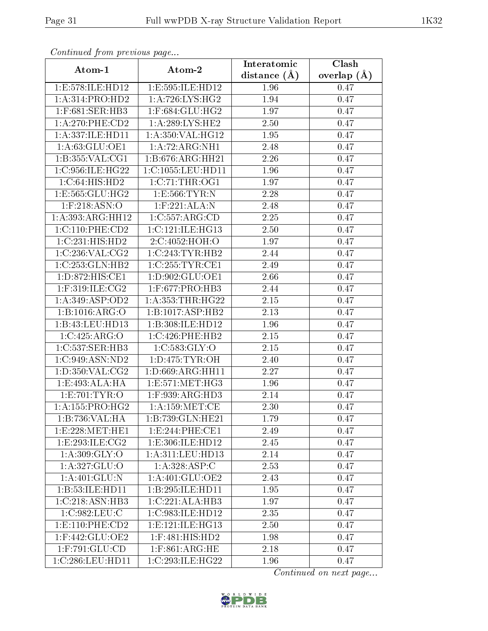| contentwow from procto we page   |                                | Interatomic    | Clash         |
|----------------------------------|--------------------------------|----------------|---------------|
| Atom-1                           | Atom-2                         | distance $(A)$ | overlap $(A)$ |
| 1:E:578:ILE:HD12                 | 1:E:595:ILE:HD12               | 1.96           | 0.47          |
| 1:A:314:PRO:HD2                  | 1: A:726: LYS: HG2             | 1.94           | 0.47          |
| 1:F:681:SER:HB3                  | 1:F:684:GLU:HG2                | 1.97           | 0.47          |
| $1: A:270:$ PHE: $CD2$           | $1: A:289: LY\overline{S:HE2}$ | 2.50           | 0.47          |
| 1:A:337:ILE:HD11                 | 1:A:350:VAL:HG12               | 1.95           | 0.47          |
| 1:A:63:GLU:OE1                   | 1:A:72:ARG:NH1                 | 2.48           | 0.47          |
| 1:B:355:VAL:CG1                  | 1:B:676:ARG:HH21               | 2.26           | 0.47          |
| 1:C:956:ILE:HG22                 | 1:C:1055:LEU:HDI1              | 1.96           | 0.47          |
| 1:C:64:HIS:HD2                   | 1:C:71:THR:OG1                 | 1.97           | 0.47          |
| 1: E: 565: GLU: HG2              | 1: E: 566: TYR: N              | 2.28           | 0.47          |
| $1:$ F:218:ASN:O                 | $1:$ F:221:ALA:N               | 2.48           | 0.47          |
| 1:A:393:ARG:HH12                 | 1:C:557:ARG:CD                 | 2.25           | 0.47          |
| 1:C:110:PHE:CD2                  | 1:C:121:ILE:HG13               | 2.50           | 0.47          |
| 1:C:231:HIS:HD2                  | 2:C:4052:HOH:O                 | 1.97           | 0.47          |
| 1:C:236:VAL:CG2                  | 1:C:243:TYR:HB2                | 2.44           | 0.47          |
| 1:C:253:GLN:HB2                  | 1:C:255:TYR:CE1                | 2.49           | 0.47          |
| 1:D:872:HIS:CE1                  | 1: D:902: GLU:OE1              | 2.66           | 0.47          |
| 1:F:319:ILE:CG2                  | $1:$ F:677:PRO:HB3             | 2.44           | 0.47          |
| 1: A:349: ASP:OD2                | 1:A:353:THR:HG22               | $2.15\,$       | 0.47          |
| 1:B:1016:ARG:O                   | 1:B:1017:ASP:HB2               | 2.13           | 0.47          |
| 1:B:43:LEU:HD13                  | 1:B:308:ILE:HD12               | 1.96           | 0.47          |
| 1:C:425:ARG:O                    | 1:C:426:PHE:HB2                | 2.15           | 0.47          |
| 1:C:537:SER:HB3                  | 1:C:583:GLY:O                  | $2.15\,$       | 0.47          |
| 1:C:949:ASN:ND2                  | 1: D: 475: TYR: OH             | 2.40           | 0.47          |
| 1: D: 350: VAL: CG2              | 1:D:669:ARG:HH11               | 2.27           | 0.47          |
| 1:E:493:ALA:HA                   | 1:E:571:MET:HG3                | 1.96           | 0.47          |
| 1:E:701:TYR:O                    | $1:$ F:939:ARG:HD3             | 2.14           | 0.47          |
| 1: A: 155: PRO:HG2               | 1: A: 159:MET:CE               | 2.30           | 0.47          |
| 1:B:736:VAL:HA                   | 1:B:739:GLN:HE21               | 1.79           | 0.47          |
| 1: E: 228: MET: HE1              | 1:E:244:PHE:CE1                | 2.49           | 0.47          |
| 1:E:293:ILE:CG2                  | 1:E:306:ILE:HD12               | 2.45           | 0.47          |
| 1: A:309: GLY:O                  | 1:A:311:LEU:HD13               | 2.14           | 0.47          |
| 1:A:327:GLU:O                    | 1: A:328: ASP:C                | 2.53           | 0.47          |
| 1: A:401: GLU:N                  | 1: A:401: GLU:OE2              | 2.43           | 0.47          |
| 1:B:53:ILE:HD11                  | 1:B:295:ILE:HD11               | 1.95           | 0.47          |
| 1:C:218:ASN:HB3                  | 1:C:221:ALA:HB3                | 1.97           | 0.47          |
| 1:C:982:LEU:C                    | 1:C:983:ILE:HD12               | 2.35           | 0.47          |
| $1: E: 110: PHE: \overline{CD2}$ | 1: E: 121: ILE: HGI3           | 2.50           | 0.47          |
| $1:$ F:442:GLU:OE2               | 1:F:481:HIS:HD2                | 1.98           | 0.47          |
| $1:$ F:791:GLU:CD                | $1:$ F:861:ARG:HE              | 2.18           | 0.47          |
| 1:C:286:LEU:HD11                 | 1:C:293:ILE:HG22               | 1.96           | 0.47          |

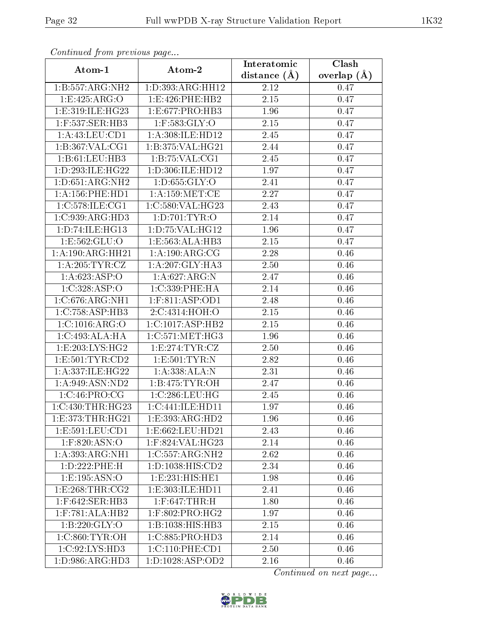| Continuata from previous page    |                               | Interatomic    | Clash         |
|----------------------------------|-------------------------------|----------------|---------------|
| Atom-1                           | Atom-2                        | distance $(A)$ | overlap $(A)$ |
| 1:B:557:ARG:NH2                  | 1:D:393:ARG:HH12              | 2.12           | 0.47          |
| 1:E:425:ARG:O                    | 1:E:426:PHE:HB2               | 2.15           | 0.47          |
| 1: E: 319: ILE: HG <sub>23</sub> | 1:E:677:PRO:HB3               | 1.96           | 0.47          |
| $1:$ F:537:SER:HB3               | $1:$ F:583:GLY:O              | 2.15           | 0.47          |
| 1:A:43:LEU:CD1                   | 1:A:308:ILE:HD12              | 2.45           | 0.47          |
| 1:B:367:VAL:CG1                  | 1:B:375:VAL:HG21              | 2.44           | 0.47          |
| 1:B:61:LEU:HB3                   | 1:B:75:VAL:CG1                | 2.45           | 0.47          |
| 1:D:293:ILE:HG22                 | 1:D:306:ILE:HD12              | 1.97           | 0.47          |
| 1: D:651: ARG: NH2               | 1:D:655:GLY:O                 | 2.41           | 0.47          |
| 1: A: 156: PHE: HD1              | 1: A: 159: MET:CE             | 2.27           | 0.47          |
| 1:C:578:ILE:CG1                  | 1:C:580:VAL:HG23              | 2.43           | 0.47          |
| 1:C:939:ARG:HD3                  | 1:D:701:TYR:O                 | 2.14           | 0.47          |
| 1:D:74:ILE:HG13                  | 1: D: 75: VAL:HG12            | 1.96           | 0.47          |
| 1:E:562:GLU:O                    | 1:E:563:ALA:HB3               | 2.15           | 0.47          |
| 1:A:190:ARG:HH21                 | 1: A:190:ARG:CG               | 2.28           | 0.46          |
| 1: A:205: TYR: CZ                | 1:A:207:GLY:HA3               | 2.50           | 0.46          |
| 1: A:623: ASP:O                  | 1:A:627:ARG:N                 | 2.47           | 0.46          |
| 1:C:328:ASP:O                    | 1:C:339:PHE:HA                | 2.14           | 0.46          |
| 1:C:676:ARG:NH1                  | 1:F:811:ASP:OD1               | 2.48           | 0.46          |
| 1:C:758:ASP:HB3                  | 2:C:4314:HOH:O                | 2.15           | 0.46          |
| 1:C:1016:ARG:O                   | 1:C:1017:ASP:HB2              | 2.15           | 0.46          |
| 1:C:493:ALA:HA                   | 1:C:571:MET:HG3               | 1.96           | 0.46          |
| 1:E:203:LYS:HG2                  | 1:E:274:TYR:CZ                | 2.50           | 0.46          |
| 1: E: 501: TYR: CD2              | 1: E: 501: TYR: N             | 2.82           | 0.46          |
| 1:A:337:ILE:HG22                 | 1:A:338:ALA:N                 | 2.31           | 0.46          |
| 1:A:949:ASN:ND2                  | 1:B:475:TYR:OH                | 2.47           | 0.46          |
| 1:C:46:PRO:CG                    | 1:C:286:LEU:HG                | 2.45           | 0.46          |
| 1:C:430:THR:HG23                 | 1:C:441:ILE:HD11              | 1.97           | 0.46          |
| 1:E:373:THR:HG21                 | 1:E:393:ARG:HD2               | 1.96           | 0.46          |
| 1:E:591:LEU:CD1                  | 1:E:662:LEU:HD21              | 2.43           | 0.46          |
| 1:F:820:ASN:O                    | 1:F:824:VAL:HG23              | 2.14           | 0.46          |
| 1: A: 393:ARG:NH1                | 1:C:557:ARG:NH2               | 2.62           | 0.46          |
| 1:D:222:PHE:H                    | 1: D: 1038: HIS: CD2          | 2.34           | 0.46          |
| 1: E: 195: ASN:O                 | 1: E: 231: HIS: HE1           | 1.98           | 0.46          |
| 1: E:268: THR:CG2                | 1:E:303:ILE:HD11              | 2.41           | 0.46          |
| 1:F:642:SER:HB3                  | $1:$ F:647:THR:H              | 1.80           | 0.46          |
| $1:$ F:781:ALA:HB2               | 1:F:802:PRO:HG2               | 1.97           | 0.46          |
| 1: B: 220: GLY:O                 | $1:B:1038:HIS:\overline{HB3}$ | $2.15\,$       | 0.46          |
| 1:C:860:TYR:OH                   | 1:C:885:PRO:HD3               | 2.14           | 0.46          |
| 1:C:92:LYS:HD3                   | 1:C:110:PHE:CD1               | 2.50           | 0.46          |
| 1: D: 986: ARG: HD3              | 1: D: 1028: ASP: OD2          | 2.16           | 0.46          |

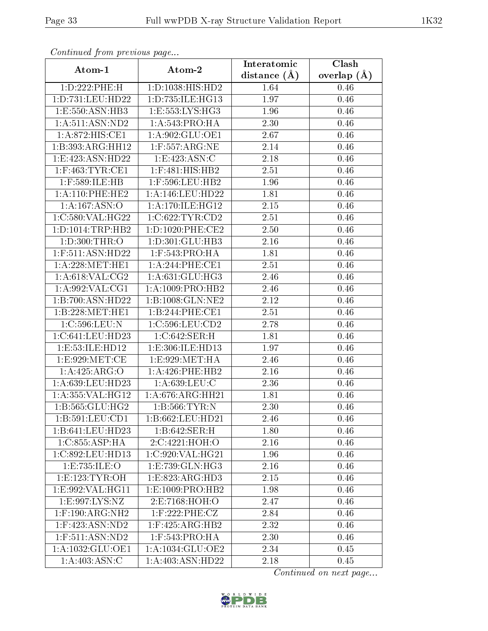| contentwow from procto we page  |                      | Interatomic    | $\overline{\text{Clash}}$ |
|---------------------------------|----------------------|----------------|---------------------------|
| Atom-1                          | Atom-2               | distance $(A)$ | overlap $(\AA)$           |
| 1:D:222:PHE:H                   | 1: D: 1038: HIS: HD2 | 1.64           | 0.46                      |
| 1:D:731:LEU:HD22                | 1:D:735:ILE:HG13     | 1.97           | 0.46                      |
| 1:E:550:ASN:HB3                 | 1:E:553:LYS:HG3      | 1.96           | 0.46                      |
| 1:A:511:ASN:ND2                 | 1: A:543: PRO:HA     | 2.30           | 0.46                      |
| 1:A:872:HIS:CE1                 | 1:A:902:GLU:OE1      | 2.67           | 0.46                      |
| 1:B:393:ARG:HH12                | $1:$ F:557:ARG:NE    | 2.14           | 0.46                      |
| 1:E:423:ASN:HD22                | 1:E:423:ASN:C        | 2.18           | 0.46                      |
| $1:$ F:463:TYR:CE1              | $1:$ F:481:HIS:HB2   | 2.51           | 0.46                      |
| 1:F:589:ILE:HB                  | 1:F:596:LEU:HB2      | 1.96           | 0.46                      |
| 1: A:110: PHE:HE2               | 1: A:146:LEU:HD22    | 1.81           | 0.46                      |
| 1:A:167:ASN:O                   | 1: A:170: ILE: HG12  | 2.15           | 0.46                      |
| 1:C:580:VAL:HG22                | 1:C:622:TYR:CD2      | 2.51           | 0.46                      |
| 1: D: 1014: TRP: HB2            | 1: D: 1020: PHE: CE2 | 2.50           | 0.46                      |
| 1: D:300: THR:O                 | 1: D: 301: GLU: HB3  | 2.16           | 0.46                      |
| $1:$ F:511:ASN:HD22             | $1:$ F:543:PRO:HA    | 1.81           | 0.46                      |
| 1: A:228: MET:HE1               | 1:A:244:PHE:CE1      | 2.51           | 0.46                      |
| 1: A:618: VAL: CG2              | 1: A:631: GLU: HG3   | 2.46           | 0.46                      |
| 1: A:992: VAL:CG1               | 1:A:1009:PRO:HB2     | 2.46           | 0.46                      |
| 1:B:700:ASN:HD22                | 1:B:1008:GLN:NE2     | 2.12           | 0.46                      |
| 1:B:228:MET:HE1                 | 1:B:244:PHE:CE1      | 2.51           | 0.46                      |
| 1:C:596:LEU:N                   | 1:C:596:LEU:CD2      | 2.78           | 0.46                      |
| 1:C:641:LEU:HD23                | 1:C:642:SER:H        | 1.81           | 0.46                      |
| 1:E:53:ILE:HD12                 | 1:E:306:ILE:HD13     | 1.97           | 0.46                      |
| 1:E:929:MET:CE                  | 1:E:929:MET:HA       | 2.46           | 0.46                      |
| 1:A:425:ARG:O                   | 1:A:426:PHE:HB2      | 2.16           | 0.46                      |
| 1:A:639:LEU:HD23                | 1:A:639:LEU:C        | 2.36           | 0.46                      |
| 1:A:355:VAL:HG12                | 1: A:676:ARG:HH21    | 1.81           | 0.46                      |
| 1:B:565:GLU:HG2                 | 1:B:566:TYR:N        | 2.30           | 0.46                      |
| 1:B:591:LEU:CD1                 | 1:B:662:LEU:HD21     | 2.46           | 0.46                      |
| 1:B:641:LEU:HD23                | 1:B:642:SER:H        | 1.80           | 0.46                      |
| 1:C:855:ASP:HA                  | 2:C:4221:HOH:O       | 2.16           | 0.46                      |
| 1:C:892:LEU:HD13                | 1:C:920:VAL:HG21     | 1.96           | 0.46                      |
| 1:E:735:ILE:O                   | 1:E:739:GLN:HG3      | 2.16           | 0.46                      |
| 1: E: 123: TYR: OH              | 1: E: 823: ARG: HD3  | 2.15           | 0.46                      |
| $1: E:992: VAL:H\overline{G11}$ | 1:E:1009:PRO:HB2     | 1.98           | 0.46                      |
| 1:E:997:LYS:NZ                  | 2: E: 7168: HOH:O    | 2.47           | 0.46                      |
| $1:$ F:190:ARG:NH2              | $1:$ F:222:PHE:CZ    | 2.84           | 0.46                      |
| 1:F:423:ASN:ND2                 | $1:$ F:425:ARG:HB2   | 2.32           | 0.46                      |
| $1:$ F:511:ASN:ND2              | $1:$ F:543:PRO:HA    | 2.30           | 0.46                      |
| 1:A:1032:GLU:OE1                | 1:A:1034:GLU:OE2     | 2.34           | 0.45                      |
| 1: A:403:ASN:C                  | 1:A:403:ASN:HD22     | 2.18           | 0.45                      |

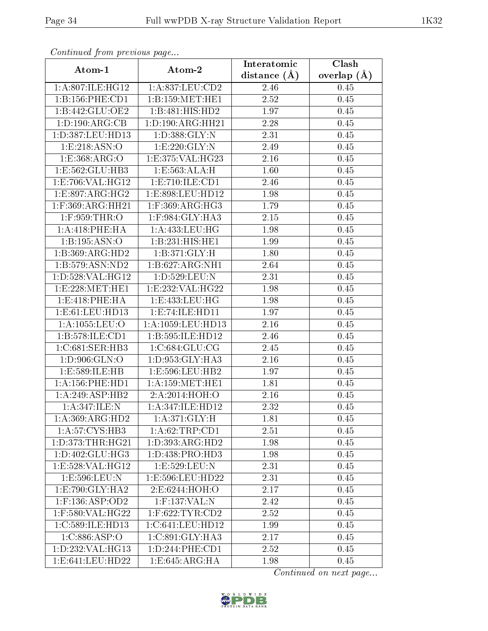| Connenaca promo precio do pago |                      | Interatomic    | $\overline{\text{Clash}}$ |
|--------------------------------|----------------------|----------------|---------------------------|
| Atom-1                         | Atom-2               | distance $(A)$ | overlap $(A)$             |
| 1:A:807:ILE:HG12               | 1:A:837:LEU:CD2      | 2.46           | 0.45                      |
| 1:B:156:PHE:CD1                | 1:B:159:MET:HE1      | 2.52           | 0.45                      |
| 1: B:442: GLU:OE2              | 1:B:481:HIS:HD2      | 1.97           | 0.45                      |
| 1: D: 190: ARG: CB             | 1: D: 190: ARG: HH21 | $2.28\,$       | 0.45                      |
| 1:D:387:LEU:HD13               | 1:D:388:GLY:N        | 2.31           | 0.45                      |
| 1: E: 218: ASN:O               | 1:E:220:GLY:N        | 2.49           | 0.45                      |
| 1:E:368:ARG:O                  | 1:E:375:VAL:HG23     | 2.16           | 0.45                      |
| 1:E:562:GLU:HB3                | 1: E: 563: ALA: H    | 1.60           | 0.45                      |
| 1:E:706:VAL:HG12               | 1: E: 710: ILE: CD1  | 2.46           | 0.45                      |
| 1: E: 897: ARG: HG2            | 1:E:898:LEU:HD12     | 1.98           | 0.45                      |
| 1:F:369:ARG:HH21               | $1:$ F:369:ARG:HG3   | 1.79           | 0.45                      |
| 1:F:959:THR:O                  | 1:F:984:GLY:HA3      | 2.15           | 0.45                      |
| 1: A:418: PHE: HA              | 1: A: 433: LEU: HG   | 1.98           | 0.45                      |
| 1: B: 195: ASN: O              | 1:B:231:HIS:HEL      | 1.99           | 0.45                      |
| 1:B:369:ARG:HD2                | 1:B:371:GLY:H        | 1.80           | 0.45                      |
| 1:B:579:ASN:ND2                | 1:B:627:ARG:NH1      | 2.64           | 0.45                      |
| 1: D: 528: VAL: HG12           | 1:D:529:LEU:N        | 2.31           | 0.45                      |
| 1:E:228:MET:HE1                | 1:E:232:VAL:HG22     | 1.98           | 0.45                      |
| 1: E:418: PHE: HA              | 1:E:433:LEU:HG       | 1.98           | 0.45                      |
| 1: E: 61: LEU: HD13            | 1: E: 74: ILE: HD11  | 1.97           | 0.45                      |
| 1:A:1055:LEU:O                 | 1:A:1059:LEU:HD13    | 2.16           | 0.45                      |
| 1:B:578:ILE:CD1                | 1:B:595:ILE:HD12     | 2.46           | 0.45                      |
| 1:C:681:SER:HB3                | 1:C:684:GLU:CG       | 2.45           | 0.45                      |
| 1:D:906:GLN:O                  | 1:D:953:GLY:HA3      | 2.16           | 0.45                      |
| 1:E:589:ILE:HB                 | 1:E:596:LEU:HB2      | 1.97           | 0.45                      |
| $1: A:156:$ PHE:HD1            | 1: A: 159: MET: HE1  | 1.81           | 0.45                      |
| 1:A:249:ASP:HB2                | 2:A:2014:HOH:O       | 2.16           | 0.45                      |
| 1:A:347:ILE:N                  | 1:A:347:ILE:HD12     | 2.32           | $\overline{0}.45$         |
| 1:A:369:ARG:HD2                | 1: A:371: GLY: H     | 1.81           | 0.45                      |
| 1:A:57:CYS:HB3                 | 1:A:62:TRP:CD1       | 2.51           | 0.45                      |
| 1: D: 373: THR: HG21           | 1:D:393:ARG:HD2      | 1.98           | 0.45                      |
| 1: D: 402: GLU: HG3            | 1: D: 438: PRO: HD3  | 1.98           | 0.45                      |
| 1:E:528:VAL:HG12               | 1:E:529:LEU:N        | 2.31           | 0.45                      |
| 1:E:596:LEU:N                  | 1:E:596:LEU:HD22     | 2.31           | 0.45                      |
| 1:E:790:GLY:HA2                | 2:E:6244:HOH:O       | 2.17           | 0.45                      |
| $1:$ F:136:ASP:OD2             | $1:$ F:137:VAL:N     | 2.42           | 0.45                      |
| 1:F:580:VAL:HG22               | $1:$ F:622:TYR:CD2   | 2.52           | 0.45                      |
| 1:C:589:ILE:HD13               | 1:C:641:LEU:HD12     | 1.99           | 0.45                      |
| 1:C:886:ASP:O                  | 1:C:891:GLY:HA3      | 2.17           | 0.45                      |
| 1: D: 232: VAL: HG13           | 1:D:244:PHE:CD1      | 2.52           | 0.45                      |
| 1:E:641:LEU:HD22               | 1:E:645:ARG:HA       | 1.98           | 0.45                      |

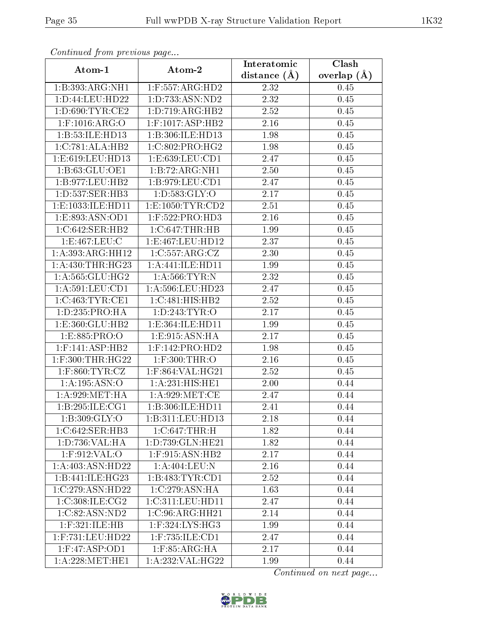| continuou provisious pago |                                      | Interatomic    | Clash         |
|---------------------------|--------------------------------------|----------------|---------------|
| Atom-1                    | Atom-2                               | distance $(A)$ | overlap $(A)$ |
| 1:B:393:ARG:NH1           | $1:$ F:557:ARG:HD2                   | 2.32           | 0.45          |
| 1: D: 44: LEU: HD22       | 1:D:733:ASN:ND2                      | 2.32           | 0.45          |
| 1: D:690: TYR: CE2        | 1: D: 719: ARG: HB2                  | 2.52           | 0.45          |
| $1:$ F:1016:ARG:O         | $1:$ F:1017:ASP:HB2                  | 2.16           | 0.45          |
| 1:B:53:ILE:HD13           | 1:B:306:ILE:HD13                     | 1.98           | 0.45          |
| 1:C:781:ALA:HB2           | 1:C:802:PRO:HG2                      | 1.98           | 0.45          |
| 1:E:619:LEU:HD13          | 1: E: 639: LEU: CD1                  | 2.47           | 0.45          |
| 1:B:63:GLU:OE1            | 1:B:72:ARG:NH1                       | 2.50           | 0.45          |
| 1:B:977:LEU:HB2           | 1:B:979:LEU:CD1                      | 2.47           | 0.45          |
| 1: D: 537: SER: HB3       | 1: D: 583: GLY: O                    | 2.17           | 0.45          |
| 1:E:1033:ILE:HD11         | 1:E:1050:TYR:CD2                     | 2.51           | 0.45          |
| 1:E:893:ASN:OD1           | $1:$ F:522:PRO:HD3                   | 2.16           | 0.45          |
| 1:C:642:SER:HB2           | 1:C:647:THR:HB                       | 1.99           | 0.45          |
| 1:E:467:LEU:C             | 1:E:467:LEU:HD12                     | 2.37           | 0.45          |
| 1:A:393:ARG:HH12          | 1:C:557:ARG:CZ                       | 2.30           | 0.45          |
| 1: A:430:THR:HG23         | 1:A:441:ILE:HD11                     | 1.99           | 0.45          |
| 1:A:565:GLU:HG2           | 1: A:566:TYR:N                       | 2.32           | 0.45          |
| 1: A:591:LEU:CD1          | $1:\overline{A}:596:\text{LEU}:HD23$ | 2.47           | 0.45          |
| 1:C:463:TYR:CE1           | 1:C:481:HIS:HB2                      | $2.52\,$       | 0.45          |
| 1: D: 235: PRO: HA        | 1: D: 243: TYR: O                    | 2.17           | 0.45          |
| 1:E:360:GLU:HB2           | 1:E:364:ILE:HD11                     | 1.99           | 0.45          |
| 1:E:885:PRO:O             | 1:E:915:ASN:HA                       | 2.17           | 0.45          |
| $1:$ F:141:ASP:HB2        | $1:$ F:142:PRO:HD2                   | 1.98           | 0.45          |
| 1:F:300:THR:HG22          | 1:F:300:THR:O                        | 2.16           | 0.45          |
| $1:$ F:860:TYR:CZ         | $1:$ F:864:VAL:HG21                  | 2.52           | 0.45          |
| 1:A:195:ASN:O             | 1: A:231:HIS:HE1                     | 2.00           | 0.44          |
| 1: A:929: MET:HA          | 1: A:929: MET:CE                     | 2.47           | 0.44          |
| 1:B:295:ILE:CG1           | 1:B:306:ILE:HD11                     | 2.41           | 0.44          |
| 1: B:309: GLY:O           | 1:B:311:LEU:HD13                     | 2.18           | 0.44          |
| 1:C:642:SER:HB3           | 1:C:647:THR:H                        | 1.82           | 0.44          |
| 1:D:736:VAL:HA            | 1:D:739:GLN:HE21                     | 1.82           | 0.44          |
| 1:F:912:VAL:O             | $1:$ F:915:ASN:HB2                   | 2.17           | 0.44          |
| 1: A:403: ASN:HD22        | 1:A:404:LEU:N                        | 2.16           | 0.44          |
| 1:B:441:ILE:HG23          | 1:B:483:TYR:CD1                      | 2.52           | 0.44          |
| 1:C:279:ASN:HD22          | 1:C:279:ASN:HA                       | 1.63           | 0.44          |
| 1:C:308:ILE:CG2           | 1:C:311:LEU:HD11                     | 2.47           | 0.44          |
| 1:C:82:ASN:ND2            | 1:C:96:ARG:HH21                      | 2.14           | 0.44          |
| 1:F:321:ILE:HB            | 1:F:324:LYS:HG3                      | 1.99           | 0.44          |
| 1:F:731:LEU:HD22          | 1:F:735:ILE:CD1                      | 2.47           | 0.44          |
| 1:F:47:ASP:OD1            | $1:$ F:85:ARG:HA                     | 2.17           | 0.44          |
| 1: A:228: MET:HE1         | 1:A:232:VAL:HG22                     | 1.99           | 0.44          |

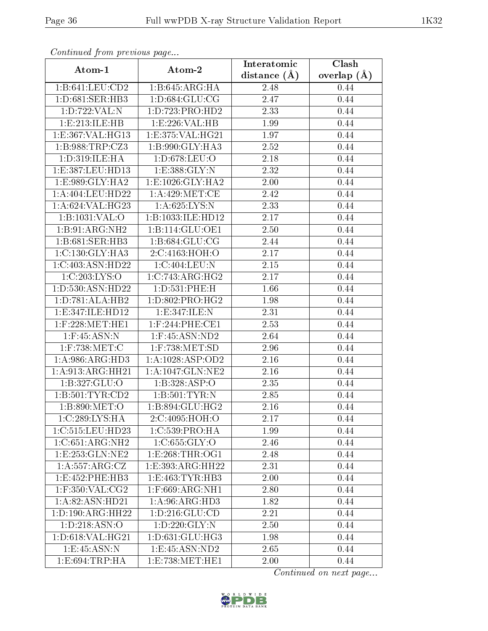| contentava promo providuo pago       |                              | Interatomic    | Clash           |
|--------------------------------------|------------------------------|----------------|-----------------|
| Atom-1                               | Atom-2                       | distance $(A)$ | overlap $(\AA)$ |
| 1:B:641:LEU:CD2                      | 1:B:645:ARG:HA               | 2.48           | 0.44            |
| 1:D:681:SER:HB3                      | 1: D: 684: GLU: CG           | 2.47           | 0.44            |
| 1:D:722:VAL:N                        | 1: D: 723: PRO: HD2          | 2.33           | 0.44            |
| 1: E: 213: ILE: HB                   | 1:E:226:VAL:HB               | 1.99           | 0.44            |
| 1:E:367:VAL:HG13                     | 1:E:375:VAL:HG21             | 1.97           | 0.44            |
| 1: B: 988: TRP: CZ3                  | 1:B:990:GLY:HA3              | 2.52           | 0.44            |
| 1:D:319:ILE:HA                       | 1:D:678:LEU:O                | 2.18           | 0.44            |
| 1:E:387:LEU:HD13                     | 1:E:388:GLY:N                | 2.32           | 0.44            |
| 1:E:989:GLY:HA2                      | 1: E: 1026: GLY: HA2         | 2.00           | 0.44            |
| 1:A:404:LEU:HD22                     | 1: A:429: MET:CE             | 2.42           | 0.44            |
| 1:A:624:VAL:HG23                     | 1: A:625: LYS: N             | 2.33           | 0.44            |
| 1:B:1031:VAL:O                       | 1:B:1033:ILE:HD12            | 2.17           | 0.44            |
| 1:B:91:ARG:NH2                       | 1:B:114:GLU:OE1              | 2.50           | 0.44            |
| $1:B:681: \overline{\text{SER:HB3}}$ | 1:B:684:GLU:CG               | 2.44           | 0.44            |
| 1: C: 130: GLY: HA3                  | 2:C:4163:HOH:O               | 2.17           | 0.44            |
| 1:C:403:ASN:HD22                     | 1:C:404:LEU:N                | $2.15\,$       | 0.44            |
| 1:C:203:LYS:O                        | $1:C:743:ARG:\overline{HG2}$ | 2.17           | 0.44            |
| 1: D: 530: ASN: HD22                 | 1:D:531:PHE:H                | 1.66           | 0.44            |
| 1:D:781:ALA:HB2                      | 1:D:802:PRO:HG2              | 1.98           | 0.44            |
| 1: E: 347: ILE: HD12                 | 1:E:347:ILE:N                | 2.31           | 0.44            |
| $1:$ F:228:MET:HE1                   | $1:$ F:244:PHE:CE1           | 2.53           | 0.44            |
| $1:$ F:45:ASN:N                      | $1:$ F:45:ASN:ND2            | 2.64           | 0.44            |
| $1:$ F:738:MET:C                     | $1:$ F:738:MET:SD            | 2.96           | 0.44            |
| 1: A:986:ARG:HD3                     | 1:A:1028:ASP:OD2             | 2.16           | 0.44            |
| 1:A:913:ARG:HH21                     | 1:A:1047:GLN:NE2             | 2.16           | 0.44            |
| 1:B:327:GLU:O                        | 1:B:328:ASP:O                | 2.35           | 0.44            |
| 1: B: 501: TYR: CD2                  | 1: B:501:TYR:N               | 2.85           | 0.44            |
| 1:B:890:MET:O                        | 1:B:894:GLU:HG2              | 2.16           | 0.44            |
| $1:C:289:LYS:\overline{HA}$          | 2:C:4095:HOH:O               | 2.17           | 0.44            |
| 1:C:515:LEU:HD23                     | 1:C:539:PRO:HA               | 1.99           | 0.44            |
| 1:C:651:ARG:NH2                      | 1:C:655:GLY:O                | 2.46           | 0.44            |
| 1: E: 253: GLN: NE2                  | 1: E:268: THR:OG1            | 2.48           | 0.44            |
| 1: A: 557: ARG: CZ                   | 1: E: 393: ARG: HH22         | 2.31           | 0.44            |
| 1:E:452:PHE:HB3                      | 1:E:463:TYR:HB3              | 2.00           | 0.44            |
| $1:$ F:350:VAL:CG2                   | $1:$ F:669:ARG:NH1           | 2.80           | 0.44            |
| 1: A:82: ASN:HD21                    | $1:A:96:A\overline{RG:HD3}$  | 1.82           | 0.44            |
| 1: D: 190: ARG: HH22                 | 1: D: 216: GLU: CD           | 2.21           | 0.44            |
| 1: D: 218: ASN:O                     | 1:D:220:GLY:N                | 2.50           | 0.44            |
| 1:D:618:VAL:HG21                     | 1: D: 631: GLU: HG3          | 1.98           | 0.44            |
| 1:E:45:ASN:N                         | 1: E: 45: ASN: ND2           | 2.65           | 0.44            |
| 1: E:694:TRP:HA                      | 1:E:738:MET:HE1              | 2.00           | 0.44            |

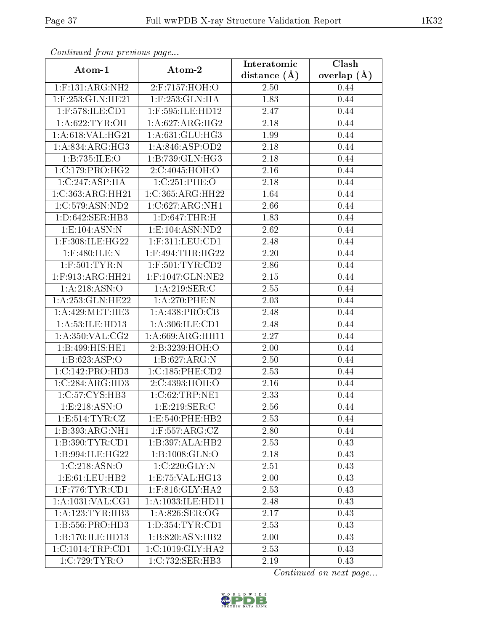| $P$ is a set of $P$ is a set of $P$ and $P$ is a set of $P$<br>Atom-1 | Atom-2                                  | Interatomic    | Clash           |
|-----------------------------------------------------------------------|-----------------------------------------|----------------|-----------------|
|                                                                       |                                         | distance $(A)$ | overlap $(\AA)$ |
| $1:$ F:131:ARG:NH2                                                    | 2:F:7157:HOH:O                          | 2.50           | 0.44            |
| 1:F:253:GLN:HE21                                                      | $1:$ F:253: $GLN:HA$                    | 1.83           | 0.44            |
| $1:$ F:578:ILE:CD1                                                    | 1:F:595:ILE:HD12                        | 2.47           | 0.44            |
| 1: A:622: TYR: OH                                                     | 1: A:627: ARG:HG2                       | 2.18           | 0.44            |
| 1: A:618: VAL:HG21                                                    | 1: A:631: GLU: HG3                      | 1.99           | 0.44            |
| 1:A:834:ARG:HG3                                                       | 1: A:846: ASP:OD2                       | 2.18           | 0.44            |
| 1:B:735:ILE:O                                                         | 1:B:739:GLN:HG3                         | 2.18           | 0.44            |
| 1:C:179:PRO:HG2                                                       | 2:C:4045:HOH:O                          | 2.16           | 0.44            |
| 1:C:247:ASP:HA                                                        | 1:C:251:PHE:O                           | 2.18           | 0.44            |
| 1:C:363:ARG:HH21                                                      | 1:C:365:ARG:HH22                        | 1.64           | 0.44            |
| 1:C:579:ASN:ND2                                                       | 1:C:627:ARG:NH1                         | 2.66           | 0.44            |
| 1: D:642: SER: HB3                                                    | $1: D:647$ : THR: H                     | 1.83           | 0.44            |
| 1:E:104:ASN:N                                                         | 1:E:104:ASN:ND2                         | 2.62           | 0.44            |
| 1:F:308:ILE:HG22                                                      | $1:$ F:311:LEU:CD1                      | 2.48           | 0.44            |
| $1:$ F:480:ILE:N                                                      | $1:$ F:494:THR:HG22                     | 2.20           | 0.44            |
| $1:$ F:501:TYR:N                                                      | $1:$ F:501:TYR:CD2                      | 2.86           | 0.44            |
| $1:$ F:913:ARG:HH21                                                   | $1:$ F:1047:GLN:NE2                     | 2.15           | 0.44            |
| 1: A:218: ASN:O                                                       | 1:A:219:SER:C                           | 2.55           | 0.44            |
| 1: A:253: GLN:HE22                                                    | 1:A:270:PHE:N                           | 2.03           | 0.44            |
| 1: A:429:MET:HE3                                                      | 1: A:438: PRO:CB                        | 2.48           | 0.44            |
| 1: A:53: ILE: HD13                                                    | 1: A:306: ILE: CD1                      | 2.48           | 0.44            |
| 1: A:350: VAL: CG2                                                    | 1: A:669: ARG: HH11                     | 2.27           | 0.44            |
| 1:B:499:HIS:HET                                                       | 2:B:3239:HOH:O                          | 2.00           | 0.44            |
| 1:B:623:ASP:O                                                         | 1:B:627:ARG:N                           | 2.50           | 0.44            |
| 1:C:142:PRO:HD3                                                       | 1:C:185:PHE:CD2                         | 2.53           | 0.44            |
| 1:C:284:ARG:HD3                                                       | 2:C:4393:HOH:O                          | 2.16           | 0.44            |
| 1:C:57:CYS:HB3                                                        | $1:C:62$ : TRP:NE1                      | 2.33           | 0.44            |
| 1:E:218:ASN:O                                                         | 1:E:219:SER:C                           | 2.56           | 0.44            |
| 1: E: 514: TYR: CZ                                                    | 1:E:540:PHE:HB2                         | 2.53           | 0.44            |
| 1:B:393:ARG:NH1                                                       | $1:$ F:557:ARG:CZ                       | 2.80           | 0.44            |
| 1:B:390:TYR:CD1                                                       | 1:B:397:ALA:HB2                         | 2.53           | 0.43            |
| 1:B:994:ILE:HG22                                                      | 1:B:1008:GLN:O                          | 2.18           | 0.43            |
| 1:C:218:ASN:O                                                         | 1:C:220:GLY:N                           | 2.51           | 0.43            |
| 1: E: 61: LEU: HB2                                                    | 1: E: 75: VAL:HG13                      | 2.00           | 0.43            |
| $1:$ F:776:TYR:CD1                                                    | $1:$ F:816:GLY: $\overline{\text{HA2}}$ | 2.53           | 0.43            |
| 1:A:1031:VAL:CG1                                                      | 1:A:1033:ILE:HD11                       | 2.48           | 0.43            |
| 1:A:123:TYR:HB3                                                       | 1:A:826:SER:OG                          | 2.17           | 0.43            |
| 1:B:556:PRO:HD3                                                       | $1: D: 354: TYR: \overline{CD1}$        | 2.53           | 0.43            |
| 1:B:170:ILE:HD13                                                      | 1:B:820:ASN:HB2                         | 2.00           | 0.43            |
| 1:C:1014:TRP:CD1                                                      | 1:C:1019:GLY:HA2                        | 2.53           | 0.43            |
| 1:C:729:TYR:O                                                         | 1:C:732:SER:HB3                         | 2.19           | 0.43            |

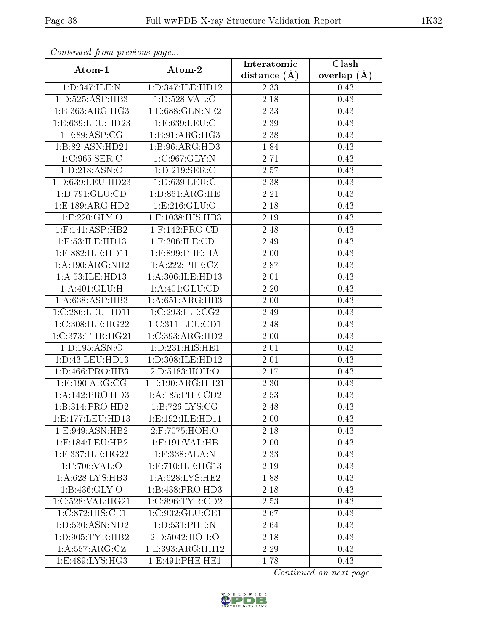| Connenaca promo precio do pago |                      | Interatomic    | Clash         |
|--------------------------------|----------------------|----------------|---------------|
| Atom-1                         | Atom-2               | distance $(A)$ | overlap $(A)$ |
| 1:D:347:ILE:N                  | 1:D:347:ILE:HD12     | 2.33           | 0.43          |
| 1: D: 525: ASP: HB3            | 1: D: 528: VAL: O    | 2.18           | 0.43          |
| 1:E:363:ARG:HG3                | 1:E:688:GLN:NE2      | 2.33           | 0.43          |
| 1:E:639:LEU:HD23               | 1: E: 639: LEU: C    | 2.39           | 0.43          |
| 1: E:89: ASP:CG                | 1: E: 91: ARG: HG3   | 2.38           | 0.43          |
| 1:B:82:ASN:HD21                | 1:B:96:ARG:HD3       | 1.84           | 0.43          |
| 1:C:965:SER:C                  | 1:C:967:GLY:N        | 2.71           | 0.43          |
| 1: D: 218: ASN: O              | 1: D:219: SER: C     | 2.57           | 0.43          |
| 1:D:639:LEU:HD23               | 1:D:639:LEU:C        | 2.38           | 0.43          |
| 1: D: 791: GLU: CD             | 1: D: 861: ARG: HE   | 2.21           | 0.43          |
| 1:E:189:ARG:HD2                | 1:E:216:GLU:O        | 2.18           | 0.43          |
| $1:$ F:220:GLY:O               | 1:F:1038:HIS:HB3     | 2.19           | 0.43          |
| $1:$ F:141:ASP:HB2             | $1:$ F:142:PRO:CD    | 2.48           | 0.43          |
| $1:$ F:53:ILE:HD13             | $1:$ F:306:ILE:CD1   | 2.49           | 0.43          |
| 1:F:882:ILE:HD11               | $1:$ F:899:PHE:HA    | 2.00           | 0.43          |
| 1: A:190:ARG:NH2               | 1:A:222:PHE:CZ       | 2.87           | 0.43          |
| 1: A:53: ILE: HD13             | 1:A:306:ILE:HD13     | 2.01           | 0.43          |
| 1: A:401: GLU:H                | 1:A:401:GLU:CD       | 2.20           | 0.43          |
| 1: A:638: ASP:HB3              | 1:A:651:ARG:HB3      | 2.00           | 0.43          |
| 1:C:286:LEU:HD11               | 1:C:293:ILE:CG2      | 2.49           | 0.43          |
| 1:C:308:ILE:HG22               | 1:C:311:LEU:CD1      | 2.48           | 0.43          |
| 1:C:373:THR:HG21               | 1:C:393:ARG:HD2      | 2.00           | 0.43          |
| 1: D: 195: ASN: O              | 1:D:231:HIS:HE1      | 2.01           | 0.43          |
| 1:D:43:LEU:HD13                | 1:D:308:ILE:HD12     | 2.01           | 0.43          |
| 1:D:466:PRO:HB3                | 2:D:5183:HOH:O       | 2.17           | 0.43          |
| 1:E:190:ARG:CG                 | 1:E:190:ARG:HH21     | 2.30           | 0.43          |
| 1:A:142:PRO:HD3                | 1: A:185:PHE:CD2     | 2.53           | 0.43          |
| 1:B:314:PRO:HD2                | 1:B:726:LYS:CG       | 2.48           | 0.43          |
| 1: E: 177: LEU: HD13           | 1: E: 192: ILE: HD11 | 2.00           | 0.43          |
| 1:E:949:ASN:HB2                | 2:F:7075:HOH:O       | 2.18           | 0.43          |
| $1:$ F:184:LEU:HB2             | $1:$ F:191:VAL:HB    | 2.00           | 0.43          |
| 1:F:337:ILE:HG22               | 1:F:338:ALA:N        | 2.33           | 0.43          |
| $1:$ F:706:VAL:O               | $1:$ F:710:ILE:HG13  | 2.19           | 0.43          |
| 1: A:628: LYS: HB3             | 1: A:628:LYS:HE2     | 1.88           | 0.43          |
| 1:B:436:GLY:O                  | 1:B:438:PRO:HD3      | 2.18           | 0.43          |
| 1:C:528:VAL:HG21               | 1:C:896:TYR:CD2      | 2.53           | 0.43          |
| 1:C:872:HIS:CE1                | 1:C:902:GLU:OE1      | 2.67           | 0.43          |
| 1: D: 530: ASN: ND2            | 1:D:531:PHE:N        | 2.64           | 0.43          |
| 1: D: 905: TYR: HB2            | 2:D:5042:HOH:O       | 2.18           | 0.43          |
| 1:A:557:ARG:CZ                 | 1:E:393:ARG:HH12     | 2.29           | 0.43          |
| 1:E:489:LYS:HG3                | 1:E:491:PHE:HE1      | 1.78           | 0.43          |

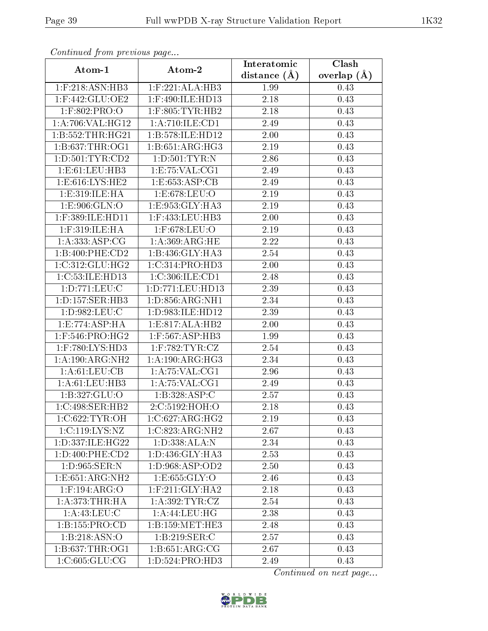| contentava promo providendo pago       |                                 | Interatomic    | $\overline{\text{Clash}}$ |
|----------------------------------------|---------------------------------|----------------|---------------------------|
| Atom-1                                 | Atom-2                          | distance $(A)$ | overlap $(\AA)$           |
| 1:F:218:ASN:HB3                        | 1:F:221:ALA:HB3                 | 1.99           | 0.43                      |
| $1:$ F:442:GLU:OE2                     | 1:F:490:ILE:HD13                | 2.18           | 0.43                      |
| $1:$ F:802:PRO:O                       | $1:$ F:805:TYR:HB2              | 2.18           | 0.43                      |
| 1:A:706:VAL:HG12                       | 1:A:710:ILE:CD1                 | 2.49           | 0.43                      |
| 1:B:552:THR:HG21                       | 1:B:578:ILE:HD12                | 2.00           | 0.43                      |
| 1: B: 637: THR: OG1                    | 1:B:651:ARG:HG3                 | 2.19           | 0.43                      |
| 1: D: 501: TYR: CD2                    | 1: D:501: TYR:N                 | 2.86           | 0.43                      |
| 1:E:61:LEU:HB3                         | 1:E:75:VAL:CG1                  | 2.49           | 0.43                      |
| 1:E:616:LYS:HE2                        | 1:E:653:ASP:CB                  | 2.49           | 0.43                      |
| 1:E:319:ILE:HA                         | 1:E:678:LEU:O                   | 2.19           | 0.43                      |
| 1:E:906:GLN:O                          | 1:E:953:GLY:HA3                 | 2.19           | 0.43                      |
| 1:F:389:ILE:HD11                       | $1:$ F:433:LEU:HB3              | 2.00           | 0.43                      |
| $1:$ F:319:ILE:HA                      | $1:$ F:678:LEU:O                | 2.19           | 0.43                      |
| 1: A: 333:ASP:CG                       | 1: A:369:ARG:HE                 | 2.22           | 0.43                      |
| 1:B:400:PHE:CD2                        | 1:B:436:GLY:HA3                 | 2.54           | 0.43                      |
| 1:C:312:GLU:HG2                        | 1:C:314:PRO:HD3                 | 2.00           | 0.43                      |
| 1:C:53:ILE:HD13                        | 1:C:306:ILE:CD1                 | 2.48           | 0.43                      |
| 1:D:771:LEU:C                          | 1:D:771:LEU:HD13                | 2.39           | 0.43                      |
| $1: D: 157: \overline{\text{SER:HB3}}$ | 1:D:856:ARG:NH1                 | 2.34           | 0.43                      |
| 1:D:982:LEU:C                          | 1:D:983:ILE:HD12                | 2.39           | 0.43                      |
| 1:E:774:ASP:HA                         | 1: E: 817: ALA: HB2             | 2.00           | 0.43                      |
| 1:F:546:PRO:HG2                        | 1:F:567:ASP:HB3                 | 1.99           | 0.43                      |
| $1:$ F:780:LYS:HD3                     | $1:$ F:782:TYR:CZ               | 2.54           | 0.43                      |
| 1: A:190:ARG:NH2                       | 1:A:190:ARG:HG3                 | 2.34           | 0.43                      |
| 1: A:61:LEU:CB                         | 1: A:75: VAL:CG1                | 2.96           | 0.43                      |
| 1: A:61: LEU:HB3                       | 1: A:75:VAL:CG1                 | 2.49           | 0.43                      |
| 1:B:327:GLU:O                          | 1:B:328:ASP:C                   | 2.57           | 0.43                      |
| 1:C:498:SER:HB2                        | 2:C:5192:HOH:O                  | 2.18           | 0.43                      |
| 1:C:622:TYR:OH                         | 1:C:627:ARG:HG2                 | 2.19           | 0.43                      |
| 1:C:119:LYS:NZ                         | 1:C:823:ARG:NH2                 | 2.67           | 0.43                      |
| 1:D:337:ILE:HG22                       | 1:D:338:ALA:N                   | 2.34           | 0.43                      |
| 1: D:400: PHE:CD2                      | 1:D:436:GLY:HA3                 | 2.53           | 0.43                      |
| 1: D:965: SER:N                        | 1: D:968: ASP:OD2               | 2.50           | 0.43                      |
| 1: E: 651: ARG: NH2                    | 1: E: 655: GLY: O               | 2.46           | 0.43                      |
| $1:$ F:194:ARG:O                       | $1:$ F:211:GLY:HA2              | 2.18           | 0.43                      |
| 1:A:373:THR:HA                         | 1: A:392: TYR: CZ               | 2.54           | 0.43                      |
| 1: A:43: LEU: C                        | 1: A:44: LEU: HG                | 2.38           | 0.43                      |
| 1:B:155:PRO:CD                         | 1:B:159:MET:HE3                 | 2.48           | 0.43                      |
| 1:B:218:ASN:O                          | 1:B:219:SER:C                   | 2.57           | 0.43                      |
| 1: B: 637: THR: OG1                    | $1:B:651:ARG:\overline{CG}$     | 2.67           | 0.43                      |
| 1:C:605:GLU:CG                         | $1: D: 524: \overline{PRO:HD3}$ | 2.49           | 0.43                      |

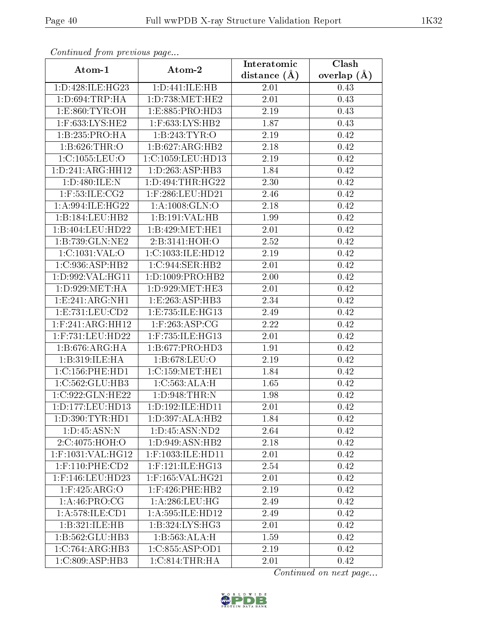| Conneand Irone provided page |                      | Interatomic    | Clash         |
|------------------------------|----------------------|----------------|---------------|
| Atom-1                       | Atom-2               | distance $(A)$ | overlap $(A)$ |
| 1: D: 428: ILE: HG23         | 1:D:441:ILE:HB       | 2.01           | 0.43          |
| 1: D:694:TRP:HA              | 1: D: 738: MET: HE2  | 2.01           | 0.43          |
| 1: E: 860: TYR: OH           | 1: E: 885: PRO: HD3  | 2.19           | 0.43          |
| $1:$ F:633:LYS:HE2           | 1:F:633:LYS:HB2      | 1.87           | 0.43          |
| 1:B:235:PRO:HA               | 1:B:243:TYR:O        | 2.19           | 0.42          |
| 1:B:626:THR:O                | 1:B:627:ARG:HB2      | 2.18           | 0.42          |
| 1:C:1055:LEU:O               | 1:C:1059:LEU:HD13    | 2.19           | 0.42          |
| 1:D:241:ARG:HH12             | 1: D: 263: ASP: HB3  | 1.84           | 0.42          |
| 1:D:480:ILE:N                | 1:D:494:THR:HG22     | 2.30           | 0.42          |
| $1:$ F:53:ILE:CG2            | 1:F:286:LEU:HD21     | 2.46           | 0.42          |
| 1:A:994:ILE:HG22             | 1: A:1008: GLN:O     | 2.18           | 0.42          |
| 1:B:184:LEU:HB2              | 1:B:191:VAL:HB       | 1.99           | 0.42          |
| 1:B:404:LEU:HD22             | 1:B:429:MET:HE1      | 2.01           | 0.42          |
| $1:B:739:\overline{GLN:NE2}$ | 2:B:3141:HOH:O       | 2.52           | 0.42          |
| 1:C:1031:VAL:O               | 1:C:1033:ILE:HD12    | 2.19           | 0.42          |
| 1:C:936:ASP:HB2              | 1:C:944:SER:HB2      | 2.01           | 0.42          |
| 1:D:992:VAL:HG11             | 1: D: 1009: PRO: HB2 | 2.00           | 0.42          |
| 1: D: 929: MET: HA           | 1: D:929:MET:HE3     | $2.01\,$       | 0.42          |
| 1: E: 241: ARG: NH1          | 1:E:263:ASP:HB3      | 2.34           | 0.42          |
| 1: E: 731: LEU: CD2          | 1:E:735:ILE:HG13     | 2.49           | 0.42          |
| $1:$ F:241:ARG:HH12          | $1:$ F:263:ASP:CG    | 2.22           | 0.42          |
| 1:F:731:LEU:HD22             | 1:F:735:ILE:HG13     | 2.01           | 0.42          |
| 1:B:676:ARG:HA               | 1:B:677:PRO:HD3      | 1.91           | 0.42          |
| 1:B:319:ILE:HA               | 1:B:678:LEU:O        | 2.19           | 0.42          |
| 1:C:156:PHE:HD1              | 1:C:159:MET:HE1      | 1.84           | 0.42          |
| 1:C:562:GLU:HB3              | 1:C:563:ALA:H        | 1.65           | 0.42          |
| 1:C:922:GLN:HE22             | 1: D:948: THEN: N    | 1.98           | 0.42          |
| 1: D: 177: LEU: HD13         | 1: D: 192: ILE: HD11 | 2.01           | 0.42          |
| 1:D:390:TYR:HD1              | 1:D:397:ALA:HB2      | 1.84           | 0.42          |
| 1: D: 45: ASN: N             | 1: D: 45: ASN: ND2   | 2.64           | 0.42          |
| 2:C:4075:HOH:O               | 1:D:949:ASN:HB2      | 2.18           | 0.42          |
| $1:$ F:1031:VAL:HG12         | 1:F:1033:ILE:HD11    | 2.01           | 0.42          |
| $1:$ F:110:PHE:CD2           | $1:$ F:121:ILE:HG13  | 2.54           | 0.42          |
| 1:F:146:LEU:HD23             | 1:F:165:VAL:HG21     | 2.01           | 0.42          |
| $1:$ F:425:ARG:O             | $1:$ F:426:PHE:HB2   | 2.19           | 0.42          |
| 1:A:46:PRO:CG                | 1: A:286:LEU:HG      | 2.49           | 0.42          |
| 1:A:578:ILE:CD1              | 1:A:595:ILE:HD12     | 2.49           | 0.42          |
| 1:B:321:ILE:HB               | 1: B: 324: LYS: HG3  | 2.01           | 0.42          |
| 1:B:562:GLU:HB3              | 1:B:563:ALA:H        | 1.59           | 0.42          |
| 1:C:764:ARG:HB3              | 1:C:855:ASP:OD1      | 2.19           | 0.42          |
| 1: C:809: ASP:HB3            | 1:C:814:THR:HA       | 2.01           | 0.42          |

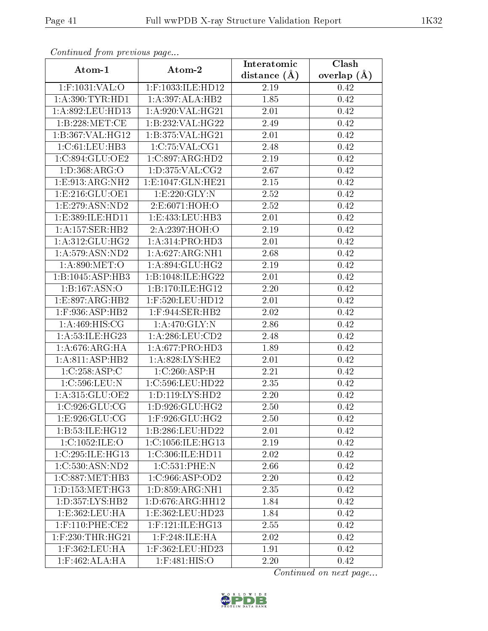| sonnanasa jionn pisonsas pags |                                              | Interatomic       | $\overline{\text{Clash}}$ |
|-------------------------------|----------------------------------------------|-------------------|---------------------------|
| Atom-1                        | Atom-2                                       | distance $(A)$    | overlap $(A)$             |
| 1:F:1031:VAL:O                | 1:F:1033:ILE:HD12                            | 2.19              | 0.42                      |
| 1: A:390: TYR: HD1            | 1:A:397:ALA:HB2                              | $\overline{1.85}$ | 0.42                      |
| 1:A:892:LEU:HD13              | 1:A:920:VAL:HG21                             | 2.01              | 0.42                      |
| 1: B: 228: MET:CE             | 1:B:232:VAL:HG22                             | 2.49              | 0.42                      |
| 1:B:367:VAL:HG12              | $1:B:375:V\overline{\mathrm{AL:HG21}}$       | 2.01              | 0.42                      |
| 1:C:61:LEU:HB3                | 1:C:75:VAL:CG1                               | 2.48              | 0.42                      |
| 1:C:894:GLU:OE2               | 1:C:897:ARG:HD2                              | 2.19              | 0.42                      |
| 1: D: 368: ARG: O             | 1: D: 375: VAL: CG2                          | 2.67              | 0.42                      |
| 1: E: 913: ARG: NH2           | 1:E:1047:GLN:HE21                            | 2.15              | 0.42                      |
| 1: E: 216: GLU: OE1           | 1:E:220:GLY:N                                | 2.52              | 0.42                      |
| 1: E: 279: ASN: ND2           | 2:E:6071:HOH:O                               | 2.52              | 0.42                      |
| 1:E:389:ILE:HD11              | 1:E:433:LEU:HB3                              | 2.01              | 0.42                      |
| 1: A: 157: SER: HB2           | 2:A:2397:HOH:O                               | 2.19              | 0.42                      |
| 1:A:312:GLU:HG2               | 1: A:314: PRO:HD3                            | $2.01\,$          | 0.42                      |
| 1:A:579:ASN:ND2               | 1: A:627: ARG: NH1                           | 2.68              | 0.42                      |
| 1: A:890:MET:O                | 1: A:894: GLU: HG2                           | 2.19              | 0.42                      |
| 1:B:1045:ASP:HB3              | 1:B:1048:ILE:HG22                            | 2.01              | 0.42                      |
| 1:B:167:ASN:O                 | 1:B:170:ILE:HG12                             | 2.20              | 0.42                      |
| 1:E:897:ARG:HB2               | 1:F:520:LEU:HD12                             | 2.01              | 0.42                      |
| 1:F:936:ASP:HB2               | $1:$ F:944:SER:HB2                           | 2.02              | 0.42                      |
| 1: A:469:HIS:CG               | 1: A:470: GLY:N                              | 2.86              | 0.42                      |
| 1:A:53:ILE:HG23               | 1: A:286:LEU:CD2                             | 2.48              | 0.42                      |
| 1: A:676:ARG:HA               | 1: A:677: PRO:HD3                            | 1.89              | 0.42                      |
| 1:A:811:ASP:HB2               | 1:A:828:LYS:HE2                              | 2.01              | 0.42                      |
| 1:C:258:ASP:C                 | 1:C:260:ASP:H                                | 2.21              | 0.42                      |
| 1:C:596:LEU:N                 | 1:C:596:LEU:HD22                             | 2.35              | 0.42                      |
| 1: A:315: GLU:OE2             | 1: D: 119: LYS: HD2                          | 2.20              | 0.42                      |
| 1:C:926:GLU:CG                | 1:D:926:GLU:HG2                              | 2.50              | 0.42                      |
| 1:E:926:GLU:CG                | $1:$ F:926: $GLU$ :HG2                       | 2.50              | 0.42                      |
| 1:B:53:ILE:HGI2               | $1:B:286:LEU:H\overline{D22}$                | 2.01              | 0.42                      |
| 1:C:1052:ILE:O                | $1:C:1056:\overline{\text{ILE:HG13}}$        | 2.19              | 0.42                      |
| 1:C:295:ILE:HG13              | 1:C:306:ILE:HD11                             | 2.02              | 0.42                      |
| 1:C:530:ASN:ND2               | 1:C:531:PHE:N                                | 2.66              | 0.42                      |
| 1:C:887:MET:HB3               | 1:C:966:ASP:OD2                              | 2.20              | 0.42                      |
| 1: D: 153: MET: HG3           | 1: D: 859: ARG: NH1                          | 2.35              | 0.42                      |
| 1: D: 357: LYS: HB2           | $1: D:676: \overline{\text{AG}:\text{HH}12}$ | 1.84              | 0.42                      |
| 1: E: 362: LEU: HA            | 1: E: 362: LEU: HD23                         | 1.84              | 0.42                      |
| $1:$ F:110:PHE:CE2            | $1:$ F:121:ILE:HG $13$                       | 2.55              | 0.42                      |
| $1:$ F:230:THR:HG21           | $1:$ F:248:ILE:HA                            | 2.02              | 0.42                      |
| 1:F:362:LEU:HA                | 1:F:362:LEU:HD23                             | 1.91              | 0.42                      |
| $1:$ F:462:ALA:HA             | 1:F:481:HIS:O                                | 2.20              | 0.42                      |

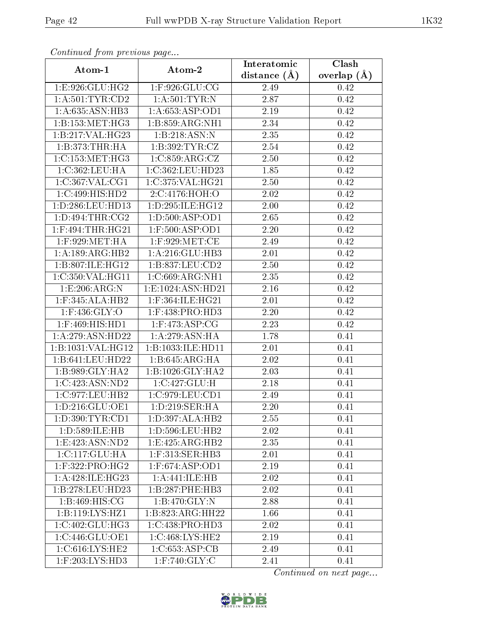| Contentaca promo provious pago |                       | Interatomic    | $\overline{\text{Clash}}$ |
|--------------------------------|-----------------------|----------------|---------------------------|
| Atom-1                         | Atom-2                | distance $(A)$ | overlap $(\AA)$           |
| 1:E:926:GLU:HG2                | $1:$ F:926:GLU:CG     | 2.49           | 0.42                      |
| 1: A: 501: TYR: CD2            | 1: A:501:TYR:N        | 2.87           | 0.42                      |
| 1: A:635: ASN:HB3              | 1: A:653: ASP:OD1     | 2.19           | 0.42                      |
| 1: B: 153: MET:HG3             | 1:B:859:ARG:NH1       | 2.34           | 0.42                      |
| 1:B:217:VAL:HG23               | 1:B:218:ASN:N         | 2.35           | 0.42                      |
| 1:B:373:THR:HA                 | 1: B:392: TYR: CZ     | 2.54           | 0.42                      |
| 1:C:153:MET:HG3                | 1:C:859:ARG:CZ        | $2.50\,$       | 0.42                      |
| 1:C:362:LEU:HA                 | 1:C:362:LEU:HD23      | 1.85           | 0.42                      |
| 1:C:367:VAL:CG1                | 1:C:375:VAL:HG21      | 2.50           | 0.42                      |
| 1:C:499:HIS:HD2                | 2:C:4176:HOH:O        | 2.02           | 0.42                      |
| 1:D:286:LEU:HD13               | 1:D:295:ILE:HG12      | 2.00           | 0.42                      |
| 1: D: 494: THR: CG2            | 1: D:500: ASP:OD1     | 2.65           | 0.42                      |
| $1:$ F:494:THR:HG21            | $1:$ F:500:ASP:OD1    | $2.20\,$       | 0.42                      |
| $1:$ F:929:MET:HA              | $1:$ F:929:MET:CE     | 2.49           | 0.42                      |
| 1:A:189:ARG:HB2                | 1: A:216: GLU:HB3     | 2.01           | 0.42                      |
| 1:B:807:ILE:HG12               | 1:B:837:LEU:CD2       | 2.50           | 0.42                      |
| 1:C:350:VAL:HG11               | 1:C:669:ARG:NH1       | 2.35           | 0.42                      |
| 1:E:206:ARG:N                  | 1: E: 1024: ASN: HD21 | 2.16           | 0.42                      |
| $1:$ F:345:ALA:HB2             | $1:$ F:364:ILE:HG21   | 2.01           | 0.42                      |
| $1:$ F:436: $GLY$ :O           | $1:$ F:438:PRO:HD3    | 2.20           | 0.42                      |
| $1:$ F:469:HIS:HD1             | $1:$ F:473:ASP:CG     | 2.23           | 0.42                      |
| 1:A:279:ASN:HD22               | 1:A:279:ASN:HA        | 1.78           | 0.41                      |
| 1:B:1031:VAL:HG12              | 1:B:1033:ILE:HD11     | 2.01           | 0.41                      |
| 1:B:641:LEU:HD22               | 1:B:645:ARG:HA        | 2.02           | 0.41                      |
| 1:B:989:GLY:HA2                | 1:B:1026:GLY:HA2      | 2.03           | 0.41                      |
| 1:C:423:ASN:ND2                | 1:C:427:GLU:H         | 2.18           | 0.41                      |
| 1:C:977:LEU:HB2                | 1:C:979:LEU:CD1       | 2.49           | 0.41                      |
| 1:D:216:GLU:OE1                | 1: D: 219: SER: HA    | 2.20           | 0.41                      |
| 1: D: 390: TYR: CD1            | 1: D: 397: ALA: HB2   | 2.55           | 0.41                      |
| 1:D:589:ILE:HB                 | 1:D:596:LEU:HB2       | 2.02           | 0.41                      |
| 1:E:423:ASN:ND2                | 1:E:425:ARG:HB2       | 2.35           | 0.41                      |
| 1: C: 117: GLU: HA             | 1:F:313:SER:HB3       | 2.01           | 0.41                      |
| $1:$ F:322:PRO:HG2             | $1:$ F:674:ASP:OD1    | 2.19           | 0.41                      |
| 1: A:428: ILE: HG23            | 1:A:441:ILE:HB        | 2.02           | 0.41                      |
| 1:B:278:LEU:HD23               | 1:B:287:PHE:HB3       | 2.02           | 0.41                      |
| 1: B:469: HIS: CG              | $1: B:470:$ GLY:N     | 2.88           | 0.41                      |
| 1:B:119:LYS:HZ1                | 1:B:823:ARG:HH22      | 1.66           | 0.41                      |
| 1:C:402:GLU:HG3                | 1:C:438:PRO:HD3       | 2.02           | 0.41                      |
| 1:C:446:GLU:OE1                | 1:C:468:LYS:HE2       | 2.19           | 0.41                      |
| 1:C:616:LYS:HE2                | 1:C:653:ASP:CB        | 2.49           | 0.41                      |
| $1:$ F:203:LYS:HD3             | $1:$ F:740:GLY:C      | 2.41           | 0.41                      |

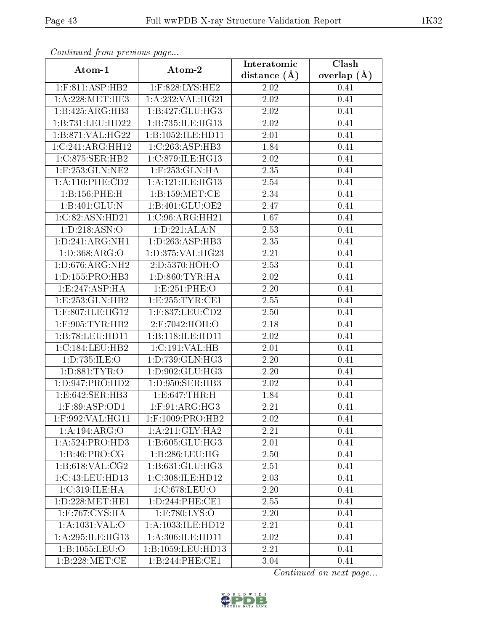| contentava promo provincial pago       |                      | Interatomic    | Clash         |
|----------------------------------------|----------------------|----------------|---------------|
| Atom-1                                 | Atom-2               | distance $(A)$ | overlap $(A)$ |
| 1:F:811:ASP:HB2                        | 1:F:828:LYS:HE2      | 2.02           | 0.41          |
| 1: A:228: MET:HE3                      | 1: A:232: VAL:HG21   | 2.02           | 0.41          |
| 1:B:425:ARG:HB3                        | 1:B:427:GLU:HG3      | 2.02           | 0.41          |
| 1:B:731:LEU:HD22                       | 1:B:735:ILE:HG13     | 2.02           | 0.41          |
| 1:B:871:VAL:HG22                       | 1:B:1052:ILE:HD11    | 2.01           | 0.41          |
| 1:C:241:ARG:HH12                       | 1:C:263:ASP:HB3      | 1.84           | 0.41          |
| 1:C:875:SER:HB2                        | 1:C:879:ILE:HG13     | 2.02           | 0.41          |
| $1:$ F:253:GLN:NE2                     | $1:$ F:253: $GLN:HA$ | 2.35           | 0.41          |
| 1: A:110: PHE:CD2                      | 1:A:121:ILE:HG13     | 2.54           | 0.41          |
| 1:B:156:PHE:H                          | 1: B: 159: MET: CE   | 2.34           | 0.41          |
| 1:B:401:GLU:N                          | 1:B:401:GLU:OE2      | 2.47           | 0.41          |
| 1:C:82:ASN:HD21                        | 1:C:96:ARG:HH21      | 1.67           | 0.41          |
| 1: D: 218: ASN: O                      | 1:D:221:ALA:N        | 2.53           | 0.41          |
| 1: D:241: ARG:NH1                      | 1:D:263:ASP:HB3      | 2.35           | 0.41          |
| 1:D:368:ARG:O                          | 1:D:375:VAL:HG23     | 2.21           | 0.41          |
| 1: D:676: ARG: NH2                     | 2:D:5370:HOH:O       | 2.53           | 0.41          |
| 1: D: 155: PRO: HB3                    | 1: D: 860: TYR: HA   | 2.02           | 0.41          |
| 1:E:247:ASP:HA                         | 1:E:251:PHE:O        | 2.20           | 0.41          |
| 1:E:253:GLN:HB2                        | 1:E:255:TYR:CE1      | 2.55           | 0.41          |
| 1:F:807:ILE:HG12                       | $1:$ F:837:LEU:CD2   | 2.50           | 0.41          |
| $1:$ F:905:TYR:HB2                     | 2:F:7042:HOH:O       | 2.18           | 0.41          |
| 1:B:78:LEU:HD11                        | 1:B:118:ILE:HD11     | 2.02           | 0.41          |
| 1:C:184:LEU:HB2                        | 1:C:191:VAL:HB       | 2.01           | 0.41          |
| 1:D:735:ILE:O                          | 1:D:739:GLN:HG3      | 2.20           | 0.41          |
| 1: D: 881: TYR: O                      | 1:D:902:GLU:HG3      | 2.20           | 0.41          |
| 1:D:947:PRO:HD2                        | 1:D:950:SER:HB3      | 2.02           | 0.41          |
| 1:E:642:SER:HB3                        | 1: E:647:THR:H       | 1.84           | 0.41          |
| 1:F:89:ASP:OD1                         | $1:$ F:91:ARG:HG3    | 2.21           | 0.41          |
| 1:F:992:VAL:HG11                       | 1:F:1009:PRO:HB2     | 2.02           | 0.41          |
| 1:A:194:ARG:O                          | 1: A:211: GLY:HA2    | 2.21           | 0.41          |
| 1: A:524: PRO:HD3                      | 1:B:605:GLU:HG3      | 2.01           | 0.41          |
| 1:B:46:PRO:CG                          | 1:B:286:LEU:HG       | 2.50           | 0.41          |
| 1: B:618: VAL: CG2                     | 1: B: 631: GLU: HG3  | 2.51           | 0.41          |
| 1:C:43:LEU:HD13                        | 1:C:308:ILE:HD12     | 2.03           | 0.41          |
| 1:C:319:ILE:HA                         | 1:C:678:LEU:O        | 2.20           | 0.41          |
| 1: D: 228: MET: HE1                    | 1:D:244:PHE:CE1      | 2.55           | 0.41          |
| $1:$ F:767: $\overline{\text{CYS:HA}}$ | $1:$ F:780:LYS:O     | 2.20           | 0.41          |
| 1:A:1031:VAL:O                         | 1:A:1033:ILE:HD12    | 2.21           | 0.41          |
| 1: A:295: ILE: HG13                    | 1: A:306: ILE: HD11  | 2.02           | 0.41          |
| 1:B:1055:LEU:O                         | 1:B:1059:LEU:HD13    | 2.21           | 0.41          |
| 1:B:228:MET:CE                         | 1:B:244:PHE:CE1      | 3.04           | 0.41          |

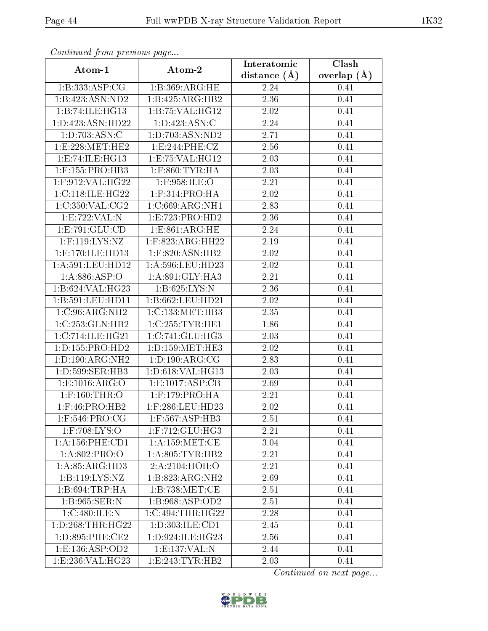| contentava promo provinciale pago |                        | Interatomic    | Clash         |
|-----------------------------------|------------------------|----------------|---------------|
| Atom-1                            | Atom-2                 | distance $(A)$ | overlap $(A)$ |
| 1:B:333:ASP:CG                    | 1:B:369:ARG:HE         | 2.24           | 0.41          |
| 1:B:423:ASN:ND2                   | 1:B:425:ARG:HB2        | 2.36           | 0.41          |
| 1:B:74:ILE:HG13                   | 1:B:75:VAL:HG12        | 2.02           | 0.41          |
| 1: D: 423: ASN: HD22              | 1: D: 423: ASN: C      | 2.24           | 0.41          |
| 1:D:703:ASN:C                     | 1:D:703:ASN:ND2        | 2.71           | 0.41          |
| 1:E:228:MET:HE2                   | 1:E:244:PHE:CZ         | 2.56           | 0.41          |
| 1:E:74:ILE:HG13                   | 1:E:75:VAL:HG12        | 2.03           | 0.41          |
| $1:$ F:155:PRO:HB3                | $1:$ F:860:TYR:HA      | 2.03           | 0.41          |
| 1:F:912:VAL:HG22                  | 1:F:958:ILE:O          | 2.21           | 0.41          |
| 1:C:118:ILE:HG22                  | $1:$ F:314:PRO:HA      | 2.02           | 0.41          |
| 1:C:350:VAL:CG2                   | 1:C:669:ARG:NH1        | 2.83           | 0.41          |
| 1:E:722:VAL:N                     | 1:E:723:PRO:HD2        | 2.36           | 0.41          |
| 1:E:791:GLU:CD                    | 1: E: 861: ARG: HE     | 2.24           | 0.41          |
| $1:$ F:119:LYS:NZ                 | 1:F:823:ARG:HH22       | 2.19           | 0.41          |
| 1:F:170:ILE:HD13                  | $1:$ F:820:ASN:HB2     | 2.02           | 0.41          |
| 1: A:591:LEU:HD12                 | 1: A:596:LEU:HD23      | 2.02           | 0.41          |
| 1: A:886: ASP:O                   | 1: A:891: GLY:HA3      | 2.21           | 0.41          |
| 1:B:624:VAL:HG23                  | 1:B:625:LYS:N          | 2.36           | 0.41          |
| 1:B:591:LEU:HD11                  | 1:B:662:LEU:HD21       | 2.02           | 0.41          |
| 1:C:96:ARG:NH2                    | 1:C:133:MET:HB3        | 2.35           | 0.41          |
| 1:C:253:GLN:HB2                   | 1:C:255:TYR:HE1        | 1.86           | 0.41          |
| 1:C:714:ILE:HG21                  | 1:C:741:GLU:HG3        | 2.03           | 0.41          |
| 1: D: 155: PRO: HD2               | 1: D: 159: MET: HE3    | 2.02           | 0.41          |
| 1: D: 190: ARG: NH2               | 1:D:190:ARG:CG         | 2.83           | 0.41          |
| 1:D:599:SER:HB3                   | 1:D:618:VAL:HG13       | 2.03           | 0.41          |
| 1: E: 1016: ARG: O                | 1:E:1017:ASP:CB        | 2.69           | 0.41          |
| $1:$ F:160:THR:O                  | $1:$ F:179:PRO:HA      | 2.21           | 0.41          |
| 1:F:46:PRO:HB2                    | 1:F:286:LEU:HD23       | 2.02           | 0.41          |
| 1:F:546:PRO:CG                    | 1:F:567:ASP:HB3        | 2.51           | 0.41          |
| $1:$ F:708:LYS:O                  | $1:$ F:712: $GLU$ :HG3 | 2.21           | 0.41          |
| 1: A: 156: PHE: CD1               | 1: A: 159: MET:CE      | 3.04           | 0.41          |
| 1:A:802:PRO:O                     | 1: A:805: TYR:HB2      | 2.21           | 0.41          |
| 1: A:85: ARG:HD3                  | 2:A:2104:HOH:O         | 2.21           | 0.41          |
| 1:B:119:LYS:NZ                    | 1:B:823:ARG:NH2        | 2.69           | 0.41          |
| 1:B:694:TRP:HA                    | 1:B:738:MET:CE         | 2.51           | 0.41          |
| 1:B:965:SER:N                     | 1:B:968:ASP:OD2        | 2.51           | 0.41          |
| 1:C:480:ILE:N                     | 1:C:494:THR:HG22       | 2.28           | 0.41          |
| 1: D: 268: THR: HG22              | 1: D: 303: ILE: CD1    | 2.45           | 0.41          |
| 1: D:895: PHE:CE2                 | 1:D:924:ILE:HG23       | 2.56           | 0.41          |
| 1:E:136:ASP:OD2                   | 1:E:137:VAL:N          | 2.44           | 0.41          |
| 1:E:236:VAL:HG23                  | 1:E:243:TYR:HB2        | 2.03           | 0.41          |

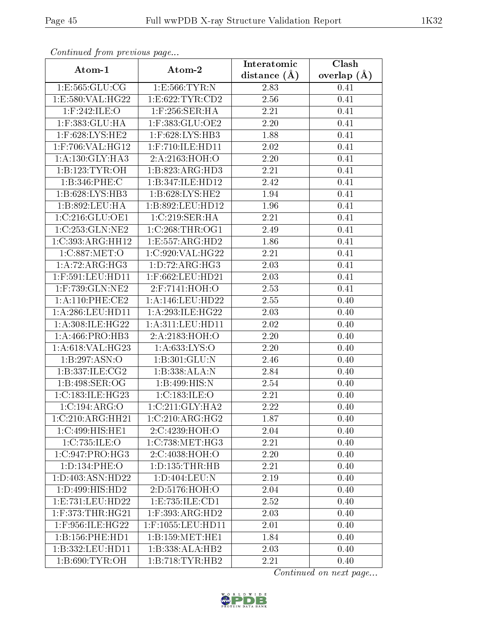| sonnanasa jioni pisonsas page |                     | Interatomic    | Clash         |
|-------------------------------|---------------------|----------------|---------------|
| Atom-1                        | Atom-2              | distance $(A)$ | overlap $(A)$ |
| 1: E: 565: GLU: CG            | 1: E: 566: TYR: N   | 2.83           | 0.41          |
| 1:E:580:VAL:HG22              | 1:E:622:TYR:CD2     | 2.56           | 0.41          |
| $1:$ F:242:ILE:O              | $1:$ F:256:SER:HA   | 2.21           | 0.41          |
| 1:F:383:GLU:HA                | 1:F:383:GLU:OE2     | 2.20           | 0.41          |
| 1:F:628:LYS:HE2               | 1:F:628:LYS:HB3     | 1.88           | 0.41          |
| 1:F:706:VAL:HG12              | 1:F:710:ILE:HD11    | 2.02           | 0.41          |
| 1:A:130:GLY:HA3               | 2:A:2163:HOH:O      | 2.20           | 0.41          |
| 1:B:123:TYR:OH                | 1:B:823:ARG:HD3     | 2.21           | 0.41          |
| 1:B:346:PHE:C                 | 1:B:347:ILE:HD12    | 2.42           | 0.41          |
| 1:B:628:LYS:HB3               | 1: B:628: LYS: HE2  | 1.94           | 0.41          |
| 1:B:892:LEU:HA                | 1:B:892:LEU:HD12    | 1.96           | 0.41          |
| $1:C:216:GLU:$ OE1            | 1:C:219:SER:HA      | 2.21           | 0.41          |
| 1:C:253:GLN:NE2               | 1:C:268:THR:OG1     | 2.49           | 0.41          |
| 1:C:393:ARG:HH12              | 1:E:557:ARG:HD2     | 1.86           | 0.41          |
| 1:C:887:MET:O                 | 1:C:920:VAL:HG22    | 2.21           | 0.41          |
| 1:A:72:ARG:HG3                | 1: D: 72: ARG: HG3  | 2.03           | 0.41          |
| 1:F:591:LEU:HD11              | 1:F:662:LEU:HD21    | 2.03           | 0.41          |
| 1:F:739:GLN:NE2               | 2:F:7141:HOH:O      | 2.53           | 0.41          |
| 1: A:110: PHE:CE2             | 1:A:146:LEU:HD22    | 2.55           | 0.40          |
| 1:A:286:LEU:HD11              | 1:A:293:ILE:HG22    | 2.03           | 0.40          |
| 1: A:308: ILE: HG22           | 1: A:311: LEU: HD11 | 2.02           | 0.40          |
| 1: A:466: PRO:HB3             | 2:A:2183:HOH:O      | 2.20           | 0.40          |
| 1:A:618:VAL:HG23              | 1: A:633: LYS:O     | 2.20           | 0.40          |
| 1:B:297:ASN:O                 | 1:B:301:GLU:N       | 2.46           | 0.40          |
| 1:B:337:ILE:CG2               | 1:B:338:ALA:N       | 2.84           | 0.40          |
| 1:B:498:SER:OG                | 1:B:499:HIS:N       | 2.54           | 0.40          |
| 1:C:183:ILE:HG23              | 1:C:183:ILE:O       | 2.21           | 0.40          |
| 1:C:194:ARG:O                 | 1:C:211:GLY:HA2     | 2.22           | 0.40          |
| 1:C:210:ARG:HH21              | 1:C:210:ARG:HG2     | 1.87           | 0.40          |
| 1:C:499:HIS:HET               | 2:C:4239:HOH:O      | 2.04           | 0.40          |
| 1:C:735:ILE:O                 | 1:C:738:MET:HG3     | 2.21           | 0.40          |
| 1:C:947:PRO:HG3               | 2:C:4038:HOH:O      | 2.20           | 0.40          |
| 1: D: 134: PHE: O             | 1: D: 135: THR: HB  | 2.21           | 0.40          |
| 1:D:403:ASN:HD22              | 1:D:404:LEU:N       | 2.19           | 0.40          |
| 1: D: 499: HIS: HD2           | 2:D:5176:HOH:O      | 2.04           | 0.40          |
| 1:E:731:LEU:HD22              | 1:E:735:ILE:CD1     | 2.52           | 0.40          |
| $1:$ F:373:THR:HG21           | 1:F:393:ARG:HD2     | 2.03           | 0.40          |
| 1:F:956:ILE:HG22              | 1:F:1055:LEU:HD11   | 2.01           | 0.40          |
| 1:B:156:PHE:HD1               | 1: B: 159: MET: HE1 | 1.84           | 0.40          |
| 1:B:332:LEU:HD11              | 1:B:338:ALA:HB2     | 2.03           | 0.40          |
| 1:B:690:TYR:OH                | 1:B:718:TYR:HB2     | 2.21           | 0.40          |

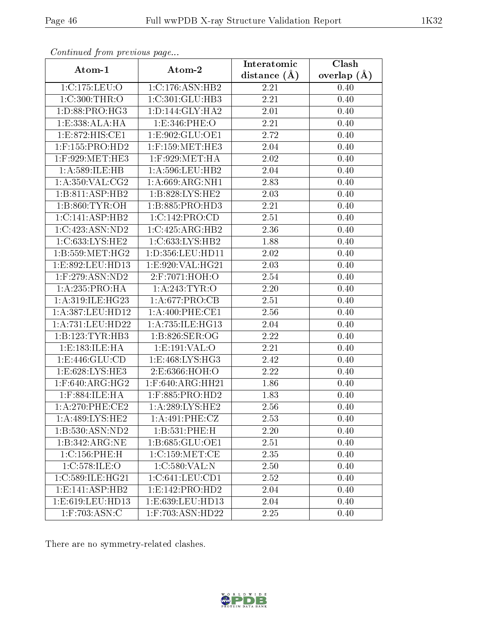| sonomaca jiom piccio ao pago |                    | Interatomic    | Clash         |
|------------------------------|--------------------|----------------|---------------|
| Atom-1                       | Atom-2             | distance $(A)$ | overlap $(A)$ |
| 1:C:175:LEU:O                | 1:C:176:ASN:HB2    | 2.21           | 0.40          |
| 1: C:300: THR:O              | 1:C:301:GLU:HB3    | 2.21           | 0.40          |
| 1:D:88:PRO:HG3               | 1:D:144:GLY:HA2    | 2.01           | 0.40          |
| 1:E:338:ALA:HA               | 1: E: 346: PHE: O  | 2.21           | 0.40          |
| 1:E:872:HIS:CE1              | 1:E:902:GLU:OE1    | 2.72           | 0.40          |
| $1:$ F:155:PRO:HD2           | $1:$ F:159:MET:HE3 | 2.04           | 0.40          |
| $1:$ F:929:MET:HE3           | $1:$ F:929:MET:HA  | $2.02\,$       | 0.40          |
| 1:A:589:ILE:HB               | 1: A:596:LEU:HB2   | 2.04           | 0.40          |
| 1: A:350: VAL: CG2           | 1: A:669:ARG:NH1   | 2.83           | 0.40          |
| 1:B:811:ASP:HB2              | 1:B:828:LYS:HE2    | 2.03           | 0.40          |
| 1: B:860: TYR:OH             | 1:B:885:PRO:HD3    | 2.21           | 0.40          |
| 1:C:141:ASP:HB2              | 1:C:142:PRO:CD     | 2.51           | 0.40          |
| 1:C:423:ASN:ND2              | 1:C:425:ARG:HB2    | 2.36           | 0.40          |
| 1:C:633:LYS:HE2              | 1:C:633:LYS:HB2    | 1.88           | 0.40          |
| 1: B: 559: MET: HG2          | 1:D:356:LEU:HD11   | 2.02           | 0.40          |
| 1:E:892:LEU:HD13             | 1:E:920:VAL:HG21   | 2.03           | 0.40          |
| $1:$ F:279:ASN:ND2           | 2:F:7071:HOH:O     | 2.54           | 0.40          |
| 1: A:235: PRO:HA             | 1:A:243:TYR:O      | 2.20           | 0.40          |
| 1:A:319:ILE:HG23             | 1: A:677: PRO:CB   | 2.51           | 0.40          |
| 1:A:387:LEU:HD12             | 1:A:400:PHE:CE1    | 2.56           | 0.40          |
| 1: A: 731: LEU: HD22         | 1:A:735:ILE:HG13   | 2.04           | 0.40          |
| 1:B:123:TYR:HB3              | 1:B:826:SER:OG     | 2.22           | 0.40          |
| 1:E:183:ILE:HA               | 1: E: 191: VAL: O  | 2.21           | 0.40          |
| 1: E:446: GLU:CD             | 1: E:468: LYS: HG3 | 2.42           | 0.40          |
| 1: E:628: LYS: HE3           | 2:E:6366:HOH:O     | 2.22           | 0.40          |
| $1:$ F:640:ARG:HG2           | 1:F:640:ARG:HH21   | 1.86           | 0.40          |
| $1:$ F:884:ILE:HA            | $1:$ F:885:PRO:HD2 | 1.83           | 0.40          |
| 1:A:270:PHE:CE2              | 1: A:289: LYS: HE2 | 2.56           | 0.40          |
| 1: A:489: LYS: HE2           | 1: A:491: PHE: CZ  | 2.53           | 0.40          |
| 1:B:530:ASN:ND2              | 1:B:531:PHE:H      | 2.20           | 0.40          |
| 1:B:342:ARG:NE               | 1:B:685:GLU:OE1    | 2.51           | 0.40          |
| 1:C:156:PHE:H                | 1:C:159:MET:CE     | 2.35           | 0.40          |
| 1:C:578:ILE:O                | 1:C:580:VAL:N      | 2.50           | 0.40          |
| 1:C:589:ILE:HG21             | 1:C:641:LEU:CD1    | 2.52           | 0.40          |
| 1:E:141:ASP:HB2              | 1:E:142:PRO:HD2    | 2.04           | 0.40          |
| 1:E:619:LEU:HD13             | 1:E:639:LEU:HD13   | 2.04           | 0.40          |
| 1:F:703:ASN:C                | 1:F:703:ASN:HD22   | 2.25           | 0.40          |

There are no symmetry-related clashes.

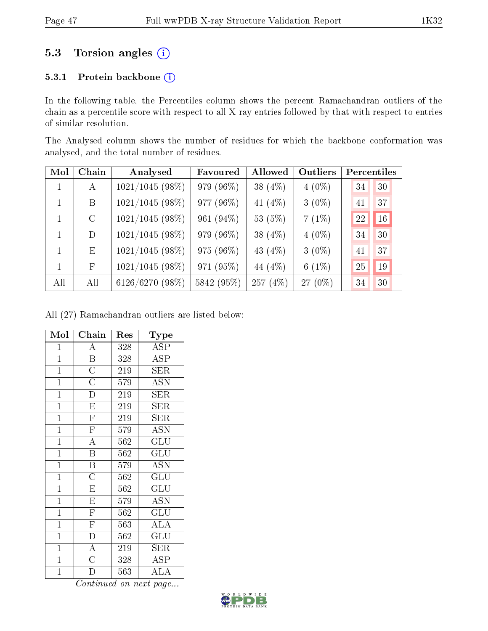# 5.3 Torsion angles (i)

# 5.3.1 Protein backbone (i)

In the following table, the Percentiles column shows the percent Ramachandran outliers of the chain as a percentile score with respect to all X-ray entries followed by that with respect to entries of similar resolution.

The Analysed column shows the number of residues for which the backbone conformation was analysed, and the total number of residues.

| Mol          | Chain         | Analysed          | Favoured   | Allowed    | Outliers | Percentiles |  |
|--------------|---------------|-------------------|------------|------------|----------|-------------|--|
| 1            | A             | $1021/1045(98\%)$ | 979 (96%)  | 38 (4%)    | $4(0\%)$ | 30<br>34    |  |
| $\mathbf{1}$ | B             | $1021/1045(98\%)$ | 977 (96%)  | 41 $(4\%)$ | $3(0\%)$ | 37<br>41    |  |
| 1            | $\mathcal{C}$ | $1021/1045(98\%)$ | 961 (94%)  | 53 (5%)    | $7(1\%)$ | 16<br>22    |  |
| 1            | D             | $1021/1045(98\%)$ | 979 (96%)  | 38 (4%)    | $4(0\%)$ | 30<br>34    |  |
| $\mathbf{1}$ | E             | $1021/1045(98\%)$ | 975 (96%)  | 43 $(4\%)$ | $3(0\%)$ | 37<br>41    |  |
| 1            | $_{\rm F}$    | $1021/1045(98\%)$ | 971 (95%)  | 44 (4%)    | $6(1\%)$ | 25<br>19    |  |
| All          | All           | 6126/6270 (98%)   | 5842 (95%) | 257 $(4%)$ | 27 (0%)  | 30<br>34    |  |

All (27) Ramachandran outliers are listed below:

| Mol            | Chain                   | Res              | Type                               |
|----------------|-------------------------|------------------|------------------------------------|
| $\mathbf{1}$   | $\overline{\rm A}$      | 328              | <b>ASP</b>                         |
| $\overline{1}$ | $\overline{\mathbf{B}}$ | 328              | <b>ASP</b>                         |
| $\overline{1}$ | $\overline{C}$          | $\overline{2}19$ | SER                                |
| $\mathbf{1}$   | $\overline{\rm C}$      | 579              | $\overline{\mathrm{A}}\mathrm{SN}$ |
| $\mathbf{1}$   | $\overline{\mathrm{D}}$ | 219              | <b>SER</b>                         |
| $\overline{1}$ | $\overline{\mathrm{E}}$ | 219              | $\rm{SER}$                         |
| $\mathbf{1}$   | $\overline{\mathrm{F}}$ | 219              | ${\rm SER}$                        |
| $\overline{1}$ | $\overline{\mathrm{F}}$ | 579              | $\overline{\mathrm{ASN}}$          |
| $\mathbf{1}$   | $\overline{A}$          | 562              | $\overline{\mathrm{GLU}}$          |
| $\overline{1}$ | $\overline{\mathrm{B}}$ | 562              | GLU                                |
| $\mathbf{1}$   | $\overline{\mathbf{B}}$ | 579              | $\overline{\mathrm{ASN}}$          |
| $\overline{1}$ | $\overline{\rm C}$      | 562              | GLU                                |
| $\mathbf{1}$   | $\overline{\mathrm{E}}$ | $\overline{562}$ | $\overline{\mathrm{GLU}}$          |
| $\overline{1}$ | $\overline{E}$          | 579              | $\rm \overline{A}SN$               |
| $\overline{1}$ | $\overline{\mathrm{F}}$ | 562              | $\widetilde{{\rm GLU}}$            |
| $\mathbf{1}$   | $\overline{\mathrm{F}}$ | 563              | <b>ALA</b>                         |
| $\mathbf{1}$   | $\overline{\mathbb{D}}$ | 562              | $\widetilde{{\rm GLU}}$            |
| $\mathbf{1}$   | $\overline{A}$          | 219              | <b>SER</b>                         |
| $\mathbf{1}$   | $\overline{\rm C}$      | 328              | ASP                                |
| $\overline{1}$ | D                       | 563              | $\rm ALA$                          |

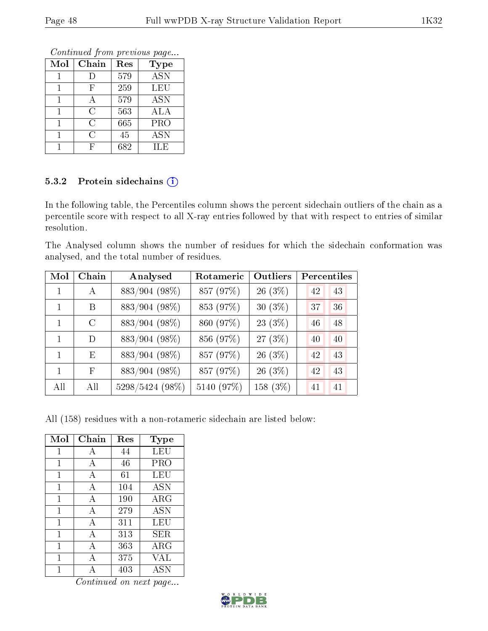Continued from previous page...

| Mol | Chain | Res | <b>Type</b>                |
|-----|-------|-----|----------------------------|
|     |       | 579 | <b>ASN</b>                 |
|     | F     | 259 | LEU                        |
|     | А     | 579 | $\overline{\rm{A}}\rm{SN}$ |
|     | С     | 563 | ALA                        |
| 1   | C     | 665 | PRO                        |
|     | C     | 45  | <b>ASN</b>                 |
|     |       | 682 | ILE                        |

### 5.3.2 Protein sidechains (i)

In the following table, the Percentiles column shows the percent sidechain outliers of the chain as a percentile score with respect to all X-ray entries followed by that with respect to entries of similar resolution.

The Analysed column shows the number of residues for which the sidechain conformation was analysed, and the total number of residues.

| Mol | Chain         | Analysed        | Rotameric  | <b>Outliers</b> | Percentiles |    |
|-----|---------------|-----------------|------------|-----------------|-------------|----|
|     | $\mathsf{A}$  | 883/904 (98%)   | 857 (97%)  | $26(3\%)$       | 42          | 43 |
| 1   | В             | 883/904 (98%)   | 853 (97%)  | $30(3\%)$       | 37          | 36 |
|     | $\mathcal{C}$ | 883/904 (98%)   | 860 (97%)  | $23(3\%)$       | 46          | 48 |
| 1   | D             | 883/904 (98%)   | 856 (97%)  | $27(3\%)$       | 40          | 40 |
| 1   | E             | 883/904 (98%)   | 857 (97%)  | 26 (3%)         | 42          | 43 |
| 1   | F             | 883/904 (98%)   | 857 (97%)  | $26(3\%)$       | 42          | 43 |
| All | All           | 5298/5424 (98%) | 5140 (97%) | 158 (3%)        | 41          | 41 |

All (158) residues with a non-rotameric sidechain are listed below:

| Mol          | Chain        | Res | Type                 |
|--------------|--------------|-----|----------------------|
| $\mathbf{1}$ | А            | 44  | LEU                  |
| 1            | А            | 46  | PRO                  |
| 1            | A            | 61  | LEU                  |
| 1            | A            | 104 | ASN                  |
| 1            | A            | 190 | $\rm{ARG}$           |
| 1            | A            | 279 | ASN                  |
| 1            | А            | 311 | LEU                  |
| 1            | A            | 313 | SER.                 |
| 1            | $\mathbf{A}$ | 363 | $\rm{ARG}$           |
| 1            | А            | 375 | VAL                  |
|              |              | 403 | $\operatorname{ASN}$ |

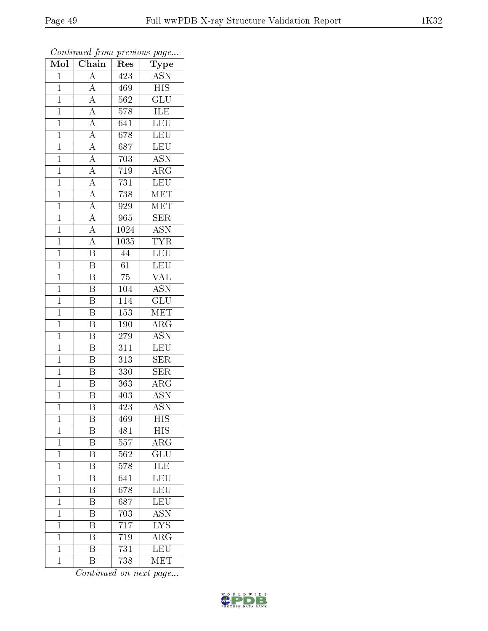| Mol            | $\overline{\text{Chain}}$                                                                                   | Res              | Type                      |
|----------------|-------------------------------------------------------------------------------------------------------------|------------------|---------------------------|
| $\mathbf{1}$   | $\overline{\rm A}$                                                                                          | $\overline{423}$ | <b>ASN</b>                |
| $\mathbf 1$    | $\overline{A}$                                                                                              | 469              | $\overline{HIS}$          |
| $\mathbf{1}$   | $\overline{A}$                                                                                              | 562              | $\overline{\mathrm{GLU}}$ |
| $\overline{1}$ |                                                                                                             | 578              | ILE                       |
| $\overline{1}$ | $\frac{\overline{A}}{\overline{A}}$                                                                         | 641              | LEU                       |
| $\mathbf{1}$   |                                                                                                             | 678              | <b>LEU</b>                |
| $\mathbf{1}$   | $\frac{\overline{A}}{\overline{A}}$ $\frac{\overline{A}}{\overline{A}}$ $\frac{\overline{A}}{\overline{A}}$ | 687              | $\overline{\text{LEU}}$   |
| $\mathbf{1}$   |                                                                                                             | 703              | $\overline{\mathrm{ASN}}$ |
| $\mathbf{1}$   |                                                                                                             | $\overline{7}19$ | $\overline{\rm{ARG}}$     |
| $\overline{1}$ |                                                                                                             | 731              | $\overline{\text{LEU}}$   |
| $\mathbf{1}$   |                                                                                                             | 738              | MET                       |
| $\mathbf{1}$   |                                                                                                             | 929              | MET                       |
| $\overline{1}$ |                                                                                                             | 965              | <b>SER</b>                |
| $\overline{1}$ | $\frac{\overline{A}}{\overline{A}}$                                                                         | 1024             | $\overline{\mathrm{ASN}}$ |
| $\overline{1}$ | $\frac{\overline{A}}{B}$                                                                                    | 1035             | <b>TYR</b>                |
| $\mathbf{1}$   |                                                                                                             | 44               | $\overline{\text{LEU}}$   |
| $\overline{1}$ | $\overline{\mathrm{B}}$                                                                                     | $\overline{61}$  | LEU                       |
| $\mathbf{1}$   | $\, {\bf B}$                                                                                                | 75               | $\rm \sqrt{AL}$           |
| $\overline{1}$ | $\overline{\mathrm{B}}$                                                                                     | 104              | $\overline{\mathrm{ASN}}$ |
| $\mathbf{1}$   | Β                                                                                                           | 114              | $\overline{{\rm GLU}}$    |
| $\mathbf{1}$   | $\overline{\mathrm{B}}$                                                                                     | 153              | MET                       |
| $\mathbf{1}$   | $\overline{\mathrm{B}}$                                                                                     | 190              | $\overline{\rm{ARG}}$     |
| $\overline{1}$ | $\overline{\mathrm{B}}$                                                                                     | 279              | $\overline{\mathrm{ASN}}$ |
| $\overline{1}$ | $\overline{\mathbf{B}}$                                                                                     | 311              | $\overline{\text{LEU}}$   |
| $\mathbf{1}$   | $\overline{\mathrm{B}}$                                                                                     | 313              | <b>SER</b>                |
| $\mathbf{1}$   | $\overline{\mathrm{B}}$                                                                                     | 330              | SER                       |
| $\mathbf{1}$   | $\overline{\mathrm{B}}$                                                                                     | 363              | $\rm{ARG}$                |
| $\mathbf{1}$   | $\overline{\mathrm{B}}$                                                                                     | 403              | <b>ASN</b>                |
| $\overline{1}$ | $\overline{\mathrm{B}}$                                                                                     | $\overline{423}$ | <b>ASN</b>                |
| $\mathbf{1}$   | Β                                                                                                           | 469              | HIS                       |
| $\mathbf{1}$   | Β                                                                                                           | 481              | <b>HIS</b>                |
| $\mathbf{1}$   | $\overline{\mathrm{B}}$                                                                                     | 557              | $\overline{\text{ARG}}$   |
| $\mathbf{1}$   | Β                                                                                                           | 562              | $\overline{\text{GLU}}$   |
| $\overline{1}$ | $\overline{\mathrm{B}}$                                                                                     | 578              | ILE                       |
| $\mathbf 1$    | Β                                                                                                           | 641              | LEU                       |
| $\mathbf 1$    | $\overline{\mathrm{B}}$                                                                                     | 678              | $\overline{\text{LEU}}$   |
| $\mathbf 1$    | $\overline{\mathrm{B}}$                                                                                     | 687              | LEU                       |
| $\overline{1}$ | B                                                                                                           | 703              | <b>ASN</b>                |
| $\mathbf 1$    | Β                                                                                                           | 717              | <b>LYS</b>                |
| $\mathbf{1}$   | B                                                                                                           | 719              | $\overline{\rm{ARG}}$     |
| $\mathbf{1}$   | $\overline{\mathrm{B}}$                                                                                     | 731              | $\overline{\text{LEU}}$   |
| $\mathbf{1}$   | B                                                                                                           | 738              | <b>MET</b>                |

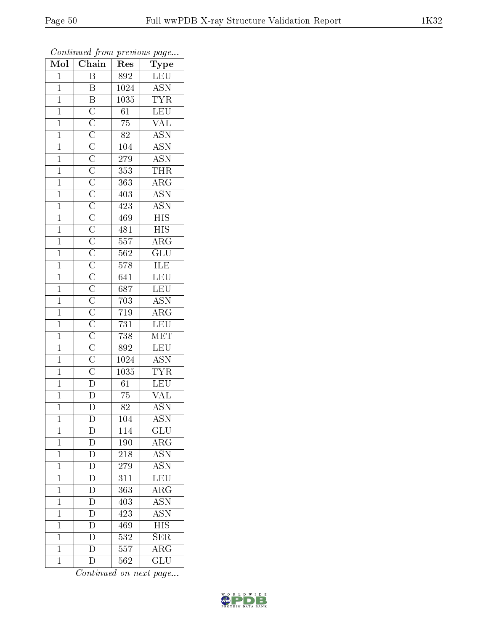| Mol            | Chain                   | Res              | $\overline{\phantom{a}}$<br>Type |
|----------------|-------------------------|------------------|----------------------------------|
| $\mathbf{1}$   | $\boldsymbol{B}$        | 892              | LEU                              |
| $\mathbf{1}$   | $\, {\bf B}$            | 1024             | <b>ASN</b>                       |
| $\mathbf{1}$   |                         | 1035             | $\overline{\text{TYR}}$          |
| $\overline{1}$ |                         | $\overline{61}$  | LEU                              |
| $\overline{1}$ |                         | $\overline{75}$  | $\overline{\text{VAL}}$          |
| $\mathbf{1}$   |                         | 82               | $\overline{\text{ASN}}$          |
| $\mathbf{1}$   |                         | 104              | $\overline{\text{ASN}}$          |
| $\mathbf{1}$   |                         | 279              | <b>ASN</b>                       |
| $\mathbf{1}$   |                         | 353              | <b>THR</b>                       |
| $\overline{1}$ |                         | 363              | $\overline{\rm ARG}$             |
| $\mathbf{1}$   |                         | 403              | <b>ASN</b>                       |
| $\mathbf{1}$   |                         | 423              | <b>ASN</b>                       |
| $\overline{1}$ |                         | 469              | $\overline{HIS}$                 |
| $\overline{1}$ |                         | 481              | $\overline{\mathrm{HIS}}$        |
| $\overline{1}$ |                         | 557              | $\overline{\rm{ARG}}$            |
| $\mathbf{1}$   |                         | 562              | $\overline{\mathrm{GLU}}$        |
| $\overline{1}$ |                         | $\overline{578}$ | ILE                              |
| $\mathbf{1}$   |                         | 641              | LEU                              |
| $\overline{1}$ |                         | 687              | LEU                              |
| $\mathbf{1}$   |                         | 703              | $\overline{\mathrm{ASN}}$        |
| $\mathbf{1}$   |                         | $\overline{719}$ | $\overline{\rm{ARG}}$            |
| $\mathbf{1}$   |                         | 731              | LEU                              |
| $\overline{1}$ |                         | 738              | $\overline{\text{MET}}$          |
| $\overline{1}$ |                         | 892              | LEU                              |
| $\mathbf{1}$   |                         | 1024             | $\overline{\text{ASN}}$          |
| $\mathbf{1}$   |                         | 1035             | <b>TYR</b>                       |
| $\mathbf{1}$   |                         | $\overline{61}$  | LEU                              |
| $\mathbf{1}$   |                         | 75               | $\rm \sqrt{AL}$                  |
| $\overline{1}$ | $\overline{\mathrm{D}}$ | $\overline{82}$  | <b>ASN</b>                       |
| 1              | $\mathbf{D}$            | 104              | <b>ASN</b>                       |
| $\mathbf{1}$   | $\overline{D}$          | 114              | GLU                              |
| $\mathbf{1}$   | $\overline{\rm D}$      | 190              | $\overline{\text{ARG}}$          |
| $\mathbf{1}$   | $\overline{\rm D}$      | 218              | <b>ASN</b>                       |
| $\overline{1}$ | $\overline{\rm D}$      | 279              | $\overline{\mathrm{ASN}}$        |
| $\mathbf 1$    | $\overline{\rm D}$      | 311              | LEU                              |
| $\mathbf{1}$   | $\overline{D}$          | $\overline{363}$ | $\overline{\rm ARG}$             |
| $\mathbf{1}$   | $\overline{\mathrm{D}}$ | 403              | <b>ASN</b>                       |
| $\overline{1}$ | $\overline{D}$          | 423              | $\overline{\mathrm{ASN}}$        |
| $\mathbf{1}$   | $\overline{\rm D}$      | 469              | $\overline{\mathrm{HIS}}$        |
| $\mathbf{1}$   | $\mathbf D$             | 532              | $\overline{\text{SER}}$          |
| $\mathbf{1}$   | $\overline{\rm D}$      | 557              | $\overline{\rm{ARG}}$            |
| $\mathbf{1}$   | $\overline{\rm D}$      | 562              | $\overline{{\rm GLU}}$           |

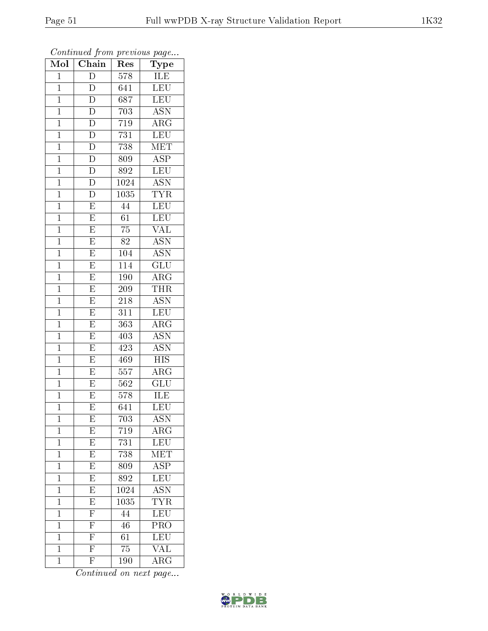| Mol            | $\cdots$<br>Chain       | $\mathbf{r}$ . $\sim$<br>Res | $r \sim 3$<br>Type        |
|----------------|-------------------------|------------------------------|---------------------------|
| $\mathbf 1$    | D                       | 578                          | ILE                       |
| $\overline{1}$ | $\overline{\rm D}$      | 641                          | <b>LEU</b>                |
| $\mathbf{1}$   | $\overline{\rm D}$      | 687                          | $\overline{\text{LEU}}$   |
| $\mathbf{1}$   | $\overline{\rm D}$      | $\overline{7}03$             | <b>ASN</b>                |
| $\mathbf{1}$   | $\overline{\rm D}$      | 719                          | $\overline{\rm{ARG}}$     |
| $\mathbf 1$    | D                       | 731                          | LEU                       |
| $\mathbf 1$    | $\overline{\rm D}$      | 738                          | $\rm \overline{MET}$      |
| $\mathbf{1}$   | $\overline{\rm D}$      | 809                          | <b>ASP</b>                |
| $\mathbf{1}$   | $\overline{D}$          | 892                          | LEU                       |
| $\mathbf 1$    | $\overline{\rm D}$      | 1024                         | <b>ASN</b>                |
| $\mathbf{1}$   | $\overline{\rm D}$      | 1035                         | <b>TYR</b>                |
| $\overline{1}$ | $\overline{\mathrm{E}}$ | $\overline{44}$              | LEU                       |
| $\mathbf{1}$   | $\overline{E}$          | 61                           | <b>LEU</b>                |
| $\mathbf{1}$   | $\overline{\mathrm{E}}$ | 75                           | $\overline{\text{VAL}}$   |
| $\overline{1}$ | $\overline{\mathrm{E}}$ | $\overline{82}$              | $\overline{\mathrm{ASN}}$ |
| $\mathbf{1}$   | E                       | 104                          | <b>ASN</b>                |
| $\overline{1}$ | $\overline{\mathrm{E}}$ | $\overline{114}$             | $\overline{\text{GLU}}$   |
| $\mathbf{1}$   | E                       | 190                          | $\rm{ARG}$                |
| $\mathbf{1}$   | E                       | 209                          | THR                       |
| $\mathbf 1$    | $\overline{\mathrm{E}}$ | 218                          | <b>ASN</b>                |
| $\mathbf{1}$   | $\overline{\mathrm{E}}$ | 311                          | $\overline{\text{LEU}}$   |
| $\overline{1}$ | $\overline{E}$          | 363                          | $\overline{\rm{ARG}}$     |
| $\mathbf 1$    | $\overline{\mathrm{E}}$ | 403                          | <b>ASN</b>                |
| $\mathbf 1$    | $\overline{\mathrm{E}}$ | 423                          | $\overline{\mathrm{ASN}}$ |
| $\mathbf{1}$   | $\overline{\mathrm{E}}$ | 469                          | <b>HIS</b>                |
| $\mathbf 1$    | $\overline{\mathrm{E}}$ | $\overline{5}57$             | $\rm{ARG}$                |
| $\mathbf 1$    | E                       | 562                          | $\overline{\text{GLU}}$   |
| $\mathbf 1$    | $\overline{\mathrm{E}}$ | 578                          | ILE                       |
| $\overline{1}$ | $\overline{\mathrm{E}}$ | 641                          | $\overline{\text{LEU}}$   |
| 1              | E                       | 703                          | ASN                       |
| $\mathbf 1$    | $\overline{E}$          | 719                          | $AR\overline{G}$          |
| $\mathbf{1}$   | $\overline{E}$          | 731                          | LEU                       |
| $\mathbf{1}$   | $\overline{\mathrm{E}}$ | 738                          | MET                       |
| $\mathbf 1$    | $\overline{E}$          | 809                          | $\overline{\text{ASP}}$   |
| $\mathbf{1}$   | $\overline{E}$          | $\overline{892}$             | LEU                       |
| $\mathbf 1$    | $\overline{\mathrm{E}}$ | 1024                         | <b>ASN</b>                |
| $\mathbf 1$    | $\overline{E}$          | 1035                         | <b>TYR</b>                |
| $\mathbf 1$    | $\overline{F}$          | 44                           | LEU                       |
| $\mathbf 1$    | $\overline{\mathrm{F}}$ | 46                           | PRO                       |
| $\mathbf 1$    | $\overline{\mathrm{F}}$ | 61                           | LEU                       |
| $\mathbf 1$    | $\overline{\mathrm{F}}$ | $\overline{75}$              | $\overline{\text{VAL}}$   |
| $\mathbf 1$    | $\overline{\mathrm{F}}$ | 190                          | $\rm{ARG}$                |

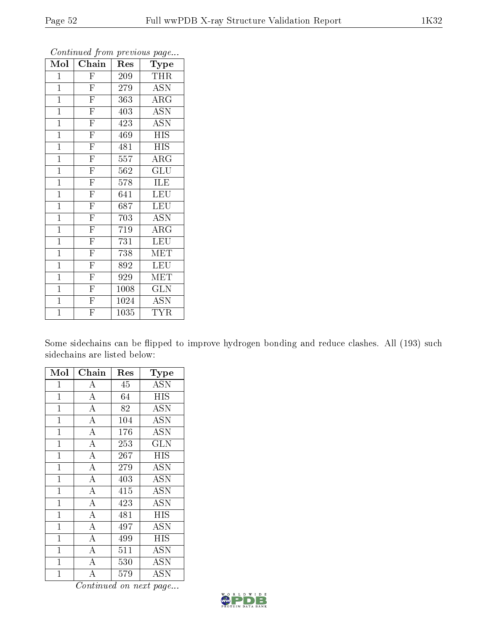| Mol            | Chain                   | $\operatorname{Res}% \left( \mathcal{N}\right) \equiv\operatorname{Res}(\mathcal{N}_{0})\left( \mathcal{N}_{0}\right) ^{2}$ | Type                      |
|----------------|-------------------------|-----------------------------------------------------------------------------------------------------------------------------|---------------------------|
| 1              | ${\rm F}$               | 209                                                                                                                         | THR                       |
| $\mathbf{1}$   | $\overline{\mathrm{F}}$ | 279                                                                                                                         | ASN                       |
| $\mathbf{1}$   | $\overline{\mathrm{F}}$ | 363                                                                                                                         | ARG                       |
| $\mathbf{1}$   | $\overline{\mathrm{F}}$ | 403                                                                                                                         | <b>ASN</b>                |
| $\mathbf{1}$   | $\overline{\mathrm{F}}$ | 423                                                                                                                         | $\overline{\mathrm{ASN}}$ |
| $\mathbf{1}$   | $\overline{\mathrm{F}}$ | 469                                                                                                                         | HIS                       |
| $\mathbf{1}$   | $\overline{\mathrm{F}}$ | 481                                                                                                                         | <b>HIS</b>                |
| $\mathbf{1}$   | $\overline{\mathrm{F}}$ | 557                                                                                                                         | ARG                       |
| $\mathbf{1}$   | $\overline{\mathrm{F}}$ | 562                                                                                                                         | GLU                       |
| $\mathbf{1}$   | $\overline{\mathrm{F}}$ | 578                                                                                                                         | ILE                       |
| $\mathbf{1}$   | $\overline{\mathrm{F}}$ | 641                                                                                                                         | LEU                       |
| $\mathbf{1}$   | $\overline{\mathrm{F}}$ | 687                                                                                                                         | LEU                       |
| $\mathbf{1}$   | $\overline{\mathrm{F}}$ | 703                                                                                                                         | <b>ASN</b>                |
| $\mathbf{1}$   | $\overline{\mathrm{F}}$ | 719                                                                                                                         | $\rm{ARG}$                |
| $\mathbf{1}$   | $\overline{\mathrm{F}}$ | 731                                                                                                                         | <b>LEU</b>                |
| $\mathbf{1}$   | $\overline{\mathrm{F}}$ | 738                                                                                                                         | MET                       |
| $\mathbf{1}$   | $\overline{\mathrm{F}}$ | 892                                                                                                                         | LEU                       |
| $\mathbf{1}$   | $\overline{\mathrm{F}}$ | 929                                                                                                                         | MET                       |
| $\mathbf{1}$   | $\overline{\mathrm{F}}$ | 1008                                                                                                                        | GLN                       |
| $\mathbf{1}$   | $\overline{\mathrm{F}}$ | 1024                                                                                                                        | <b>ASN</b>                |
| $\overline{1}$ | $\overline{\mathrm{F}}$ | 1035                                                                                                                        | <b>TYR</b>                |

Some sidechains can be flipped to improve hydrogen bonding and reduce clashes. All (193) such sidechains are listed below:

| Mol            | Chain              | Res | Type                      |
|----------------|--------------------|-----|---------------------------|
| $\mathbf 1$    | А                  | 45  | <b>ASN</b>                |
| $\mathbf{1}$   | $\overline{\rm A}$ | 64  | HIS                       |
| $\mathbf{1}$   | $\overline{A}$     | 82  | $\overline{\mathrm{ASN}}$ |
| $\mathbf 1$    | $\overline{A}$     | 104 | <b>ASN</b>                |
| $\mathbf 1$    | $\overline{\rm A}$ | 176 | <b>ASN</b>                |
| 1              | $\overline{\rm A}$ | 253 | <b>GLN</b>                |
| $\mathbf 1$    | $\overline{A}$     | 267 | HIS                       |
| $\mathbf{1}$   | $\overline{\rm A}$ | 279 | ASN                       |
| $\mathbf{1}$   | $\overline{\rm A}$ | 403 | ASN                       |
| $\mathbf{1}$   | $\overline{\rm A}$ | 415 | ASN                       |
| $\mathbf 1$    | $\overline{A}$     | 423 | <b>ASN</b>                |
| $\mathbf 1$    | $\overline{A}$     | 481 | HIS                       |
| $\mathbf{1}$   | $\overline{A}$     | 497 | <b>ASN</b>                |
| $\mathbf{1}$   | $\overline{A}$     | 499 | HIS                       |
| $\mathbf{1}$   | $\overline{A}$     | 511 | $\overline{\mathrm{ASN}}$ |
| $\mathbf 1$    | $\overline{\rm A}$ | 530 | ASN                       |
| $\overline{1}$ | $\overline{\rm A}$ | 579 | ASN                       |

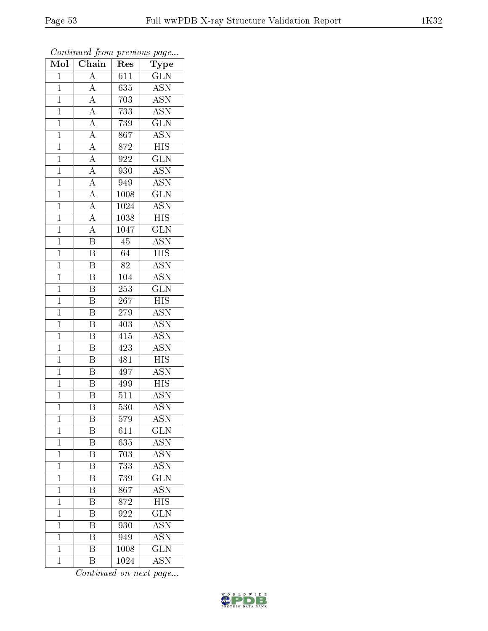| Mol            | $\overline{\text{Chain}}$           | Res              | Type                      |
|----------------|-------------------------------------|------------------|---------------------------|
| $\mathbf{1}$   | $\overline{\rm A}$                  | 611              | <b>GLN</b>                |
| $\mathbf{1}$   | $\overline{A}$                      | 635              | <b>ASN</b>                |
| $\mathbf{1}$   | $\overline{A}$                      | 703              | $\overline{\text{ASN}}$   |
| $\overline{1}$ | $\overline{A}$                      | 733              | $\overline{\mathrm{ASN}}$ |
| $\overline{1}$ | $\frac{\overline{A}}{A}$            | 739              | $\overline{\text{GLN}}$   |
| $\mathbf{1}$   |                                     | 867              | <b>ASN</b>                |
| $\mathbf{1}$   | $\frac{\overline{A}}{\overline{A}}$ | 872              | $\overline{HIS}$          |
| $\mathbf{1}$   |                                     | 922              | $\overline{\text{GLN}}$   |
| $\mathbf{1}$   | $\frac{\overline{A}}{\overline{A}}$ | 930              | <b>ASN</b>                |
| $\mathbf{1}$   |                                     | 949              | <b>ASN</b>                |
| $\mathbf{1}$   |                                     | 1008             | $\overline{\text{GLN}}$   |
| $\mathbf{1}$   | $\frac{\overline{A}}{A}$            | 1024             | $\overline{\mathrm{ASN}}$ |
| $\mathbf{1}$   | $\overline{A}$                      | 1038             | <b>HIS</b>                |
| $\overline{1}$ | $\overline{A}$                      | 1047             | $\overline{\text{GLN}}$   |
| $\overline{1}$ | $\overline{\mathrm{B}}$             | $\overline{45}$  | $\overline{\mathrm{ASN}}$ |
| $\mathbf{1}$   | $\overline{\text{B}}$               | 64               | $\overline{HIS}$          |
| $\mathbf{1}$   | $\overline{\mathrm{B}}$             | 82               | $\overline{\mathrm{ASN}}$ |
| $\mathbf{1}$   | $\, {\bf B}$                        | 104              | <b>ASN</b>                |
| $\overline{1}$ | $\overline{\mathrm{B}}$             | $\overline{253}$ | $\overline{\text{GLN}}$   |
| $\mathbf{1}$   | Β                                   | 267              | <b>HIS</b>                |
| $\mathbf{1}$   | $\overline{\mathrm{B}}$             | 279              | <b>ASN</b>                |
| $\mathbf{1}$   | $\overline{\mathrm{B}}$             | 403              | <b>ASN</b>                |
| $\mathbf{1}$   | $\boldsymbol{B}$                    | $41\overline{5}$ | $\overline{\mathrm{ASN}}$ |
| $\mathbf{1}$   | $\overline{\mathrm{B}}$             | 423              | $\overline{\rm{ASN}}$     |
| $\mathbf{1}$   | $\overline{\mathrm{B}}$             | 481              | $\overline{HIS}$          |
| $\mathbf{1}$   | $\overline{\mathrm{B}}$             | 497              | <b>ASN</b>                |
| $\mathbf{1}$   | $\overline{\mathrm{B}}$             | 499              | $\overline{HIS}$          |
| $\mathbf{1}$   | $\overline{\mathrm{B}}$             | 511              | $\overline{\mathrm{ASN}}$ |
| $\overline{1}$ | $\overline{\mathrm{B}}$             | 530              | <b>ASN</b>                |
| 1              | B                                   | 579              | <b>ASN</b>                |
| $\mathbf 1$    | Β                                   | 611              | $\overline{\text{GLN}}$   |
| $\mathbf 1$    | $\overline{\mathrm{B}}$             | 635              | <b>ASN</b>                |
| $\mathbf 1$    | B                                   | 703              | <b>ASN</b>                |
| $\overline{1}$ | $\overline{\mathrm{B}}$             | 733              | <b>ASN</b>                |
| $\mathbf{1}$   | B                                   | 739              | $\rm \overline{GLN}$      |
| $\mathbf 1$    | $\overline{\mathrm{B}}$             | $\overline{867}$ | $\overline{\mathrm{ASN}}$ |
| $\mathbf{1}$   | $\overline{\mathrm{B}}$             | 872              | <b>HIS</b>                |
| $\overline{1}$ | $\overline{\mathrm{B}}$             | 922              | $\overline{\text{GLN}}$   |
| $\mathbf{1}$   | Β                                   | 930              | <b>ASN</b>                |
| $\mathbf 1$    | $\overline{\rm B}$                  | 949              | <b>ASN</b>                |
| $\mathbf{1}$   | $\overline{\mathrm{B}}$             | 1008             | $\overline{\text{GLN}}$   |
| $\mathbf{1}$   | $\overline{B}$                      | 1024             | <b>ASN</b>                |

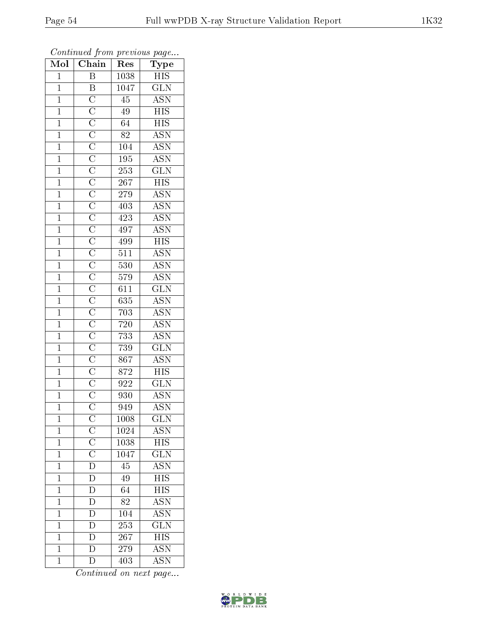| $\overline{\text{Mol}}$ | $\sim$ $\sim$<br>Chain                                  | x.<br>Res         | $\mathbf{r}$ - $\mathbf{v}$<br>Type |
|-------------------------|---------------------------------------------------------|-------------------|-------------------------------------|
| $\mathbf{1}$            | Β                                                       | 1038              | $_{\rm HIS}$                        |
| $\overline{1}$          | $\overline{\mathrm{B}}$                                 | 1047              | $\overline{\text{GLN}}$             |
| $\overline{1}$          |                                                         | $\overline{45}$   | $\overline{\text{ASN}}$             |
| $\overline{1}$          |                                                         | $4\overline{9}$   | $\overline{\mathrm{HIS}}$           |
| $\overline{1}$          |                                                         | 64                | $\overline{HIS}$                    |
| $\mathbf 1$             |                                                         | 82                | <b>ASN</b>                          |
| $\mathbf{1}$            |                                                         | 104               | $\overline{\rm ASN}$                |
| $\mathbf{1}$            |                                                         | 195               | $\overline{\text{ASN}}$             |
| $\overline{1}$          |                                                         | $\overline{253}$  | $\overline{\text{GLN}}$             |
| $\overline{1}$          |                                                         | 267               | $\overline{HIS}$                    |
| $\mathbf{1}$            |                                                         | 279               | <b>ASN</b>                          |
| $\mathbf{1}$            |                                                         | 403               | $\overline{\text{ASN}}$             |
| $\mathbf{1}$            |                                                         | 423               | <b>ASN</b>                          |
| $\mathbf{1}$            |                                                         | 497               | $\overline{\mathrm{ASN}}$           |
| $\overline{1}$          |                                                         | 499               | $\overline{HIS}$                    |
| $\mathbf{1}$            |                                                         | 511               | $\overline{\mathrm{ASN}}$           |
| $\overline{1}$          |                                                         | $\overline{53}0$  | <b>ASN</b>                          |
| $\overline{1}$          |                                                         | 579               | <b>ASN</b>                          |
| $\overline{1}$          |                                                         | $6\overline{11}$  | $\overline{\text{GLN}}$             |
| $\mathbf{1}$            |                                                         | 635               | ASN <sup>-</sup>                    |
| $\mathbf{1}$            |                                                         | 703               | <b>ASN</b>                          |
| $\mathbf{1}$            |                                                         | 720               | <b>ASN</b>                          |
| $\overline{1}$          |                                                         | 733               | <b>ASN</b>                          |
| $\overline{1}$          |                                                         | 739               | $\overline{\text{GLN}}$             |
| $\overline{1}$          |                                                         | $\overline{86}$ 7 | $\overline{\mathrm{ASN}}$           |
| $\mathbf{1}$            |                                                         | 872               | $\overline{HIS}$                    |
| $\mathbf{1}$            |                                                         | 922               | $\overline{\text{GLN}}$             |
| $\overline{1}$          |                                                         | 930               | <b>ASN</b>                          |
| $\overline{1}$          |                                                         | 949               | <b>ASN</b>                          |
| $\mathbf 1$             |                                                         | 1008              | $_{\rm GLN}$                        |
| $\mathbf{1}$            |                                                         | 1024              | <b>ASN</b>                          |
| $\mathbf{1}$            |                                                         | 1038              | $\overline{HIS}$                    |
| $\mathbf{1}$            | $\frac{\rm C}{\rm C} \overline{\rm C} \overline{\rm D}$ | 1047              | $\overline{\text{GLN}}$             |
| $\overline{1}$          |                                                         | $\overline{45}$   | $\overline{\mathrm{ASN}}$           |
| $\mathbf 1$             | $\mathbf{D}$                                            | 49                | <b>HIS</b>                          |
| $\mathbf 1$             | $\overline{D}$                                          | $\overline{64}$   | $\overline{\mathrm{HIS}}$           |
| $\mathbf 1$             | $\overline{D}$                                          | 82                | <b>ASN</b>                          |
| $\overline{1}$          | $\overline{\rm D}$                                      | 104               | $\overline{\mathrm{ASN}}$           |
| $\mathbf{1}$            | $\overline{\rm D}$                                      | 253               | $\overline{\text{GLN}}$             |
| $\mathbf{1}$            | $\overline{\rm D}$                                      | 267               | $\overline{\text{HIS}}$             |
| $\mathbf 1$             | $\overline{\rm D}$                                      | 279               | <b>ASN</b>                          |
| $\mathbf{1}$            | $\overline{\rm D}$                                      | 403               | <b>ASN</b>                          |

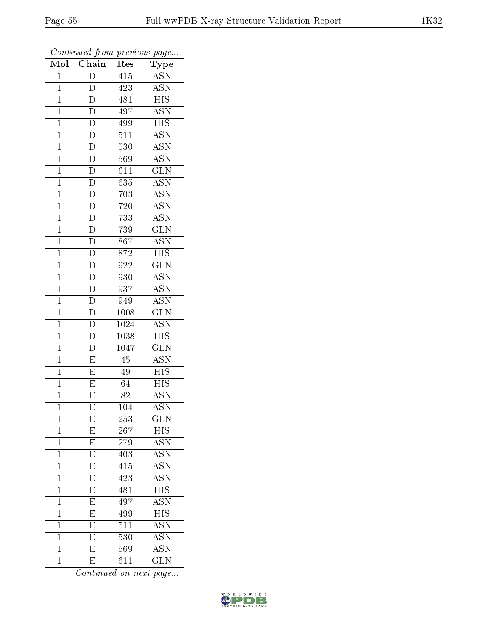| $\overline{\text{Mol}}$ | $\boldsymbol{\mathsf{v}}$<br>$\overline{\text{Chain}}$ | Res               | $\mathbf{r}$<br>$\cdot$<br>Type |
|-------------------------|--------------------------------------------------------|-------------------|---------------------------------|
| $\overline{1}$          | $\overline{\mathrm{D}}$                                | 415               | <b>ASN</b>                      |
| $\mathbf{1}$            | D                                                      | 423               | <b>ASN</b>                      |
| $\overline{1}$          | $\overline{\rm D}$                                     | 481               | $\overline{\mathrm{HIS}}$       |
| $\mathbf{1}$            | $\overline{D}$                                         | 497               | <b>ASN</b>                      |
| $\mathbf{1}$            | $\overline{D}$                                         | 499               | <b>HIS</b>                      |
| $\mathbf 1$             | $\overline{D}$                                         | 511               | <b>ASN</b>                      |
| $\mathbf{1}$            | $\overline{\rm D}$                                     | 530               | $\overline{\text{ASN}}$         |
| $\mathbf{1}$            | $\overline{\rm D}$                                     | 569               | <b>ASN</b>                      |
| $\mathbf{1}$            | $\overline{D}$                                         | 611               | $\overline{\text{GLN}}$         |
| $\mathbf{1}$            | $\overline{D}$                                         | $\overline{635}$  | <b>ASN</b>                      |
| $\mathbf{1}$            | $\overline{D}$                                         | 703               | <b>ASN</b>                      |
| $\mathbf{1}$            | $\overline{D}$                                         | 720               | $\overline{\mathrm{ASN}}$       |
| $\mathbf{1}$            | $\overline{D}$                                         | 733               | <b>ASN</b>                      |
| $\mathbf{1}$            | $\overline{D}$                                         | 739               | <b>GLN</b>                      |
| $\mathbf{1}$            | $\overline{\rm D}$                                     | 867               | $\overline{\mathrm{ASN}}$       |
| $\overline{1}$          | $\overline{D}$                                         | 872               | <b>HIS</b>                      |
| $\overline{1}$          | $\frac{\overline{D}}{\overline{D}}$                    | 922               | $\overline{\text{GLN}}$         |
| $\mathbf{1}$            |                                                        | 930               | <b>ASN</b>                      |
| $\mathbf{1}$            |                                                        | 937               | <b>ASN</b>                      |
| $\overline{1}$          | $\overline{\rm D}$                                     | 949               | <b>ASN</b>                      |
| $\mathbf{1}$            | $\overline{\rm D}$                                     | 1008              | $\overline{\text{GLN}}$         |
| $\overline{1}$          | $\overline{\mathrm{D}}$                                | 1024              | <b>ASN</b>                      |
| $\mathbf 1$             | $\overline{\rm D}$                                     | 1038              | $\overline{\mathrm{HIS}}$       |
| $\mathbf 1$             | $\overline{\rm D}$                                     | $\overline{1047}$ | $\overline{\text{GLN}}$         |
| $\mathbf{1}$            | $\overline{E}$                                         | 45                | <b>ASN</b>                      |
| $\overline{1}$          | $\overline{\mathrm{E}}$                                | 49                | <b>HIS</b>                      |
| $\mathbf{1}$            | $\overline{\mathrm{E}}$                                | 64                | $\overline{\rm HIS}$            |
| $\mathbf{1}$            | $\overline{\mathrm{E}}$                                | 82                | $\overline{\text{ASN}}$         |
| $\mathbf 1$             | $\overline{\mathrm{E}}$                                | 104               | $\overline{\mathrm{ASN}}$       |
| $\mathbf 1$             | Ε                                                      | 253               | $_{\rm GLN}$                    |
| $\mathbf{1}$            | E                                                      | 267               | <b>HIS</b>                      |
| $\mathbf 1$             | $\overline{\mathrm{E}}$                                | 279               | <b>ASN</b>                      |
| $\mathbf 1$             | E                                                      | 403               | <b>ASN</b>                      |
| $\mathbf 1$             | $\overline{\mathrm{E}}$                                | $4\overline{15}$  | $\overline{\mathrm{ASN}}$       |
| $\mathbf 1$             | E                                                      | 423               | $\overline{\text{ASN}}$         |
| $\mathbf 1$             | $\overline{\mathrm{E}}$                                | 481               | $\overline{\text{HIS}}$         |
| $\mathbf 1$             | $\overline{\mathrm{E}}$                                | 497               | $\overline{\mathrm{ASN}}$       |
| $\mathbf 1$             | $\overline{\mathrm{E}}$                                | 499               | $\overline{\mathrm{HIS}}$       |
| $\mathbf{1}$            | $\overline{\mathrm{E}}$                                | 511               | <b>ASN</b>                      |
| $\mathbf{1}$            | E                                                      | $\overline{5}30$  | <b>ASN</b>                      |
| $\mathbf{1}$            | $\overline{\mathrm{E}}$                                | 569               | $\overline{\mathrm{ASN}}$       |
| $\mathbf 1$             | E                                                      | 611               | <b>GLN</b>                      |

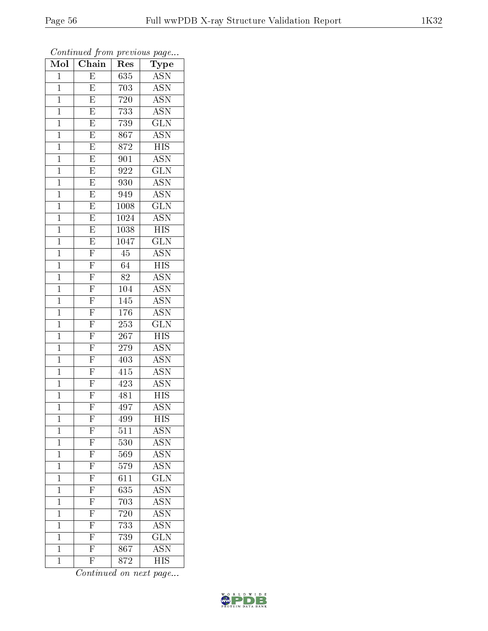| Mol            | $\overline{\text{Chain}}$                                                                                            | Res              | Type                      |
|----------------|----------------------------------------------------------------------------------------------------------------------|------------------|---------------------------|
| $\mathbf{1}$   | E                                                                                                                    | 635              | <b>ASN</b>                |
| $\mathbf 1$    | E                                                                                                                    | 703              | <b>ASN</b>                |
| $\mathbf{1}$   | $\overline{E}$                                                                                                       | 720              | $\overline{\text{ASN}}$   |
| $\overline{1}$ | $\overline{\mathrm{E}}$                                                                                              | 733              | $\overline{\mathrm{ASN}}$ |
| $\overline{1}$ | $\overline{E}$                                                                                                       | 739              | $\overline{\text{GLN}}$   |
| $\mathbf{1}$   | $\overline{\mathrm{E}}$                                                                                              | 867              | <b>ASN</b>                |
| $\mathbf{1}$   | $\overline{\mathrm{E}}$                                                                                              | 872              | $\overline{HIS}$          |
| $\mathbf{1}$   | $\overline{\mathrm{E}}$                                                                                              | 901              | $\overline{\text{ASN}}$   |
| $\mathbf{1}$   | $\overline{E}$                                                                                                       | 922              | $\overline{\text{GLN}}$   |
| $\overline{1}$ | $\overline{E}$                                                                                                       | 930              | <b>ASN</b>                |
| $\mathbf{1}$   | $\boldsymbol{\mathrm{E}}$                                                                                            | 949              | <b>ASN</b>                |
| $\mathbf{1}$   | $\overline{E}$                                                                                                       | 1008             | $\overline{\text{GLN}}$   |
| $\overline{1}$ | $\overline{E}$                                                                                                       | 1024             | $\overline{\text{ASN}}$   |
| $\overline{1}$ | $\overline{E}$                                                                                                       | 1038             | $_{\rm HIS}$              |
| $\overline{1}$ | $\overline{\mathrm{E}}$                                                                                              | 1047             | $\overline{\text{GLN}}$   |
| $\mathbf{1}$   | $\overline{\mathrm{F}}$                                                                                              | 45               | <b>ASN</b>                |
| $\overline{1}$ | $\overline{F}$                                                                                                       | 64               | $\overline{\mathrm{HIS}}$ |
| $\mathbf{1}$   | $\overline{F}$                                                                                                       | 82               | <b>ASN</b>                |
| $\overline{1}$ | $\overline{\mathrm{F}}$                                                                                              | 104              | $\overline{\mathrm{ASN}}$ |
| $\mathbf{1}$   | $\overline{F}$                                                                                                       | 145              | $\overline{\text{ASN}}$   |
| $\mathbf 1$    | $\overline{\mathrm{F}}$                                                                                              | 176              | <b>ASN</b>                |
| $\mathbf{1}$   | $\overline{F}$                                                                                                       | 253              | $\overline{\text{GLN}}$   |
| $\overline{1}$ | $\overline{\mathrm{F}}$                                                                                              | 267              | <b>HIS</b>                |
| $\mathbf{1}$   | $\overline{\mathrm{F}}$                                                                                              | 279              | $\bar{\rm ASN}$           |
| $\mathbf{1}$   | $\overline{\mathrm{F}}$                                                                                              | 403              | <b>ASN</b>                |
| $\mathbf{1}$   | $\overline{F}$                                                                                                       | 415              | <b>ASN</b>                |
| $\mathbf{1}$   | $\overline{\mathrm{F}}$                                                                                              | 423              | $\overline{\text{ASN}}$   |
| $\mathbf{1}$   | $\overline{F}$                                                                                                       | 481              | $H\overline{S}$           |
| $\overline{1}$ | $\overline{\mathrm{F}}$                                                                                              | $\overline{497}$ | <b>ASN</b>                |
| $\mathbf 1$    | $\mathbf{F}$                                                                                                         | 499              | ΗIS                       |
| $\mathbf 1$    | F                                                                                                                    | 511              | ASN                       |
| $\mathbf{1}$   |                                                                                                                      | $\overline{5}30$ | $\overline{\mathrm{ASN}}$ |
| $\mathbf{1}$   | $\frac{\overline{\text{F}}}{\text{F}}$ $\frac{\overline{\text{F}}}{\text{F}}$ $\frac{\overline{\text{F}}}{\text{F}}$ | 569              | $\overline{\mathrm{ASN}}$ |
| $\overline{1}$ |                                                                                                                      | 579              | ASN                       |
| $\mathbf 1$    |                                                                                                                      | 611              | $\overline{\text{GLN}}$   |
| $\mathbf{1}$   |                                                                                                                      | $\overline{635}$ | $\overline{\mathrm{ASN}}$ |
| $\mathbf 1$    | $\frac{1}{F}$                                                                                                        | 703              | <b>ASN</b>                |
| $\overline{1}$ | $\overline{\mathrm{F}}$                                                                                              | 720              | <b>ASN</b>                |
| $\mathbf{1}$   | $\overline{F}$                                                                                                       | 733              | <b>ASN</b>                |
| $\mathbf 1$    | $\overline{\mathrm{F}}$                                                                                              | 739              | $\overline{\text{GLN}}$   |
| $\mathbf 1$    | $\overline{\mathbf{F}}$                                                                                              | 867              | $\rm \overline{ASN}$      |
| $\overline{1}$ | $\overline{F}$                                                                                                       | 872              | $\overline{\mathrm{HIS}}$ |
|                |                                                                                                                      |                  |                           |

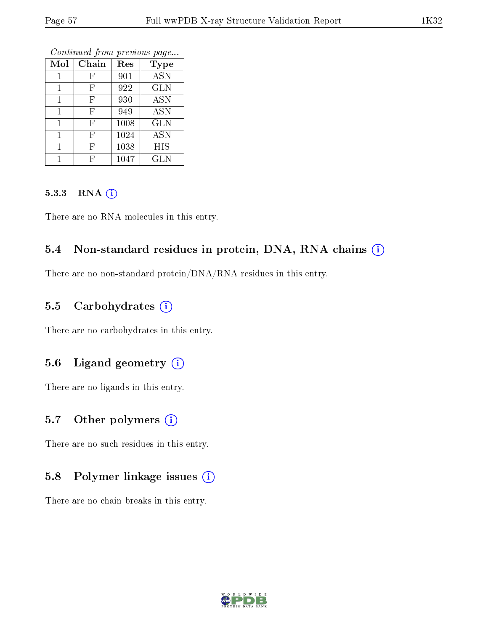| Mol | Chain | Res  | <b>Type</b> |
|-----|-------|------|-------------|
|     | F     | 901  | <b>ASN</b>  |
|     | F     | 922  | <b>GLN</b>  |
|     | F     | 930  | <b>ASN</b>  |
|     | F     | 949  | <b>ASN</b>  |
|     | F     | 1008 | <b>GLN</b>  |
|     | F     | 1024 | <b>ASN</b>  |
|     | F     | 1038 | HIS         |
|     | H,    | 1047 | <b>GLN</b>  |

Continued from previous page...

#### 5.3.3 RNA (1)

There are no RNA molecules in this entry.

### 5.4 Non-standard residues in protein, DNA, RNA chains (i)

There are no non-standard protein/DNA/RNA residues in this entry.

### 5.5 Carbohydrates (i)

There are no carbohydrates in this entry.

# 5.6 Ligand geometry (i)

There are no ligands in this entry.

### 5.7 [O](https://www.wwpdb.org/validation/2017/XrayValidationReportHelp#nonstandard_residues_and_ligands)ther polymers  $(i)$

There are no such residues in this entry.

# 5.8 Polymer linkage issues  $(i)$

There are no chain breaks in this entry.

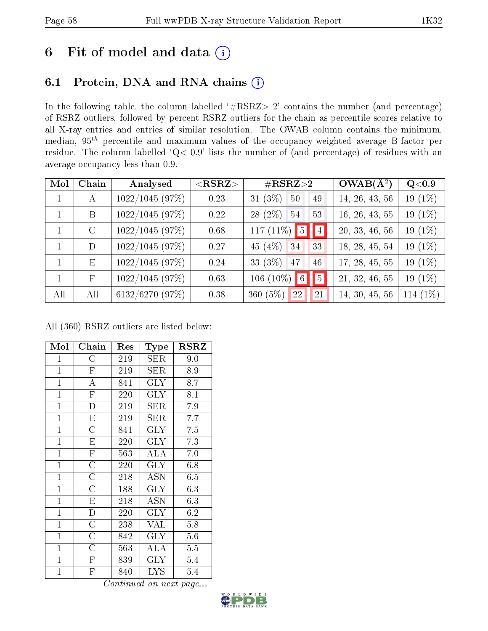# 6 Fit of model and data  $(i)$

# 6.1 Protein, DNA and RNA chains  $(i)$

In the following table, the column labelled  $#RSRZ> 2'$  contains the number (and percentage) of RSRZ outliers, followed by percent RSRZ outliers for the chain as percentile scores relative to all X-ray entries and entries of similar resolution. The OWAB column contains the minimum, median,  $95<sup>th</sup>$  percentile and maximum values of the occupancy-weighted average B-factor per residue. The column labelled ' $Q< 0.9$ ' lists the number of (and percentage) of residues with an average occupancy less than 0.9.

| Mol          | Chain        | Analysed        | $<$ RSRZ $>$ | $\#\text{RSRZ}{>}2$               | $OWAB(A^2)$    | Q<0.9      |
|--------------|--------------|-----------------|--------------|-----------------------------------|----------------|------------|
| $\mathbf{1}$ | $\mathbf{A}$ | 1022/1045(97%)  | 0.23         | $31(3\%)$<br>50<br>49             | 14, 26, 43, 56 | 19 $(1\%)$ |
|              | B            | 1022/1045 (97%) | 0.22         | $28(2\%)$<br>-54<br>53            | 16, 26, 43, 55 | 19 $(1\%)$ |
|              | $\rm C$      | 1022/1045(97%)  | 0.68         | 117 (11%) $\boxed{5}$ $\boxed{4}$ | 20, 33, 46, 56 | 19 $(1\%)$ |
|              | D            | 1022/1045 (97%) | 0.27         | 45 $(4\%)$ 34<br>33               | 18, 28, 45, 54 | 19 (1%)    |
| $\mathbf{1}$ | E            | 1022/1045(97%)  | 0.24         | 33 (3%)<br>47<br>46               | 17, 28, 45, 55 | 19 $(1\%)$ |
|              | $\mathbf F$  | 1022/1045 (97%) | 0.63         | $\sqrt{5}$<br>$106(10\%)$ 6       | 21, 32, 46, 55 | 19 $(1\%)$ |
| All          | All          | 6132/6270 (97%) | 0.38         | 360 $(5%)$<br>22<br>21            | 14, 30, 45, 56 | 114 $(1%)$ |

All (360) RSRZ outliers are listed below:

| Mol            | Chain                   | Res | $_{\rm Type}$           | <b>RSRZ</b>      |
|----------------|-------------------------|-----|-------------------------|------------------|
| $\mathbf{1}$   | $\rm{C}$                | 219 | ${\rm SER}$             | 9.0              |
| $\mathbf{1}$   | $\mathbf{F}$            | 219 | SER                     | 8.9              |
| $\mathbf{1}$   | $\overline{\rm A}$      | 841 | <b>GLY</b>              | 8.7              |
| $\mathbf{1}$   | $\overline{F}$          | 220 | <b>GLY</b>              | 8.1              |
| $\mathbf{1}$   | $\overline{\mathrm{D}}$ | 219 | ${\rm SER}$             | 7.9              |
| $\mathbf{1}$   | ${\rm E}$               | 219 | $\rm{SER}$              | 7.7              |
| $\overline{1}$ | $\overline{\rm C}$      | 841 | $\overline{\text{GLY}}$ | $\overline{7.5}$ |
| $\mathbf{1}$   | E                       | 220 | <b>GLY</b>              | 7.3              |
| $\mathbf{1}$   | $\overline{\mathrm{F}}$ | 563 | ALA                     | 7.0              |
| $\mathbf{1}$   | $\overline{\rm C}$      | 220 | <b>GLY</b>              | 6.8              |
| $\overline{1}$ | $\overline{C}$          | 218 | ASN                     | 6.5              |
| $\overline{1}$ | $\overline{\rm C}$      | 188 | <b>GLY</b>              | 6.3              |
| $\mathbf{1}$   | E                       | 218 | <b>ASN</b>              | 6.3              |
| $\mathbf{1}$   | D                       | 220 | <b>GLY</b>              | 6.2              |
| $\overline{1}$ | $\overline{\rm C}$      | 238 | <b>VAL</b>              | 5.8              |
| $\mathbf{1}$   | $\overline{\rm C}$      | 842 | <b>GLY</b>              | 5.6              |
| $\mathbf{1}$   | $\overline{\rm C}$      | 563 | <b>ALA</b>              | 5.5              |
| $\mathbf{1}$   | ${\bf F}$               | 839 | $\rm GLY$               | 5.4              |
| $\mathbf{1}$   | $\overline{\mathrm{F}}$ | 840 | LYS                     | 5.4              |

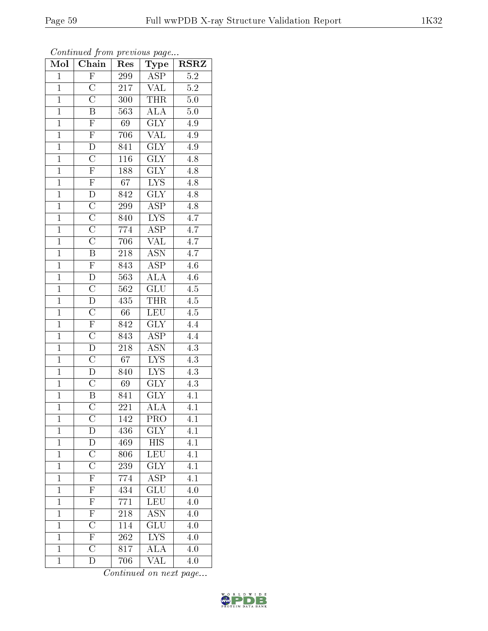| Mol            | $\overline{\text{Chain}}$          | Res              | Type                        | <b>RSRZ</b>      |
|----------------|------------------------------------|------------------|-----------------------------|------------------|
| $\overline{1}$ | $\overline{F}$                     | 299              | <b>ASP</b>                  | $\overline{5.2}$ |
| $\overline{1}$ | $\overline{\rm C}$                 | $\overline{217}$ | $\rm V\! \overline{\rm AL}$ | $\overline{5.2}$ |
| $\overline{1}$ | $\overline{\rm C}$                 | 300              | <b>THR</b>                  | $\overline{5.0}$ |
| $\mathbf{1}$   | $\boldsymbol{B}$                   | 563              | $\overline{\text{ALA}}$     | 5.0              |
| $\overline{1}$ | $\overline{F}$                     | 69               | $\overline{\text{GLY}}$     | 4.9              |
| $\overline{1}$ | $\overline{F}$                     | 706              | $\overline{\text{VAL}}$     | 4.9              |
| $\overline{1}$ | $\overline{\rm D}$                 | 841              | $\overline{\text{GLY}}$     | 4.9              |
| $\overline{1}$ | $\overline{\mathrm{C}}$            | 116              | $\overline{\text{GLY}}$     | 4.8              |
| $\overline{1}$ | $\overline{\mathrm{F}}$            | 188              | $\overline{\text{GLY}}$     | 4.8              |
| $\overline{1}$ | $\overline{\mathrm{F}}$            | $\overline{67}$  | $\overline{\text{LYS}}$     | $4.\overline{8}$ |
| $\overline{1}$ | $\mathbf D$                        | 842              | $\overline{\text{GLY}}$     | 4.8              |
| $\overline{1}$ | $\overline{C}$                     | <b>299</b>       | $\overline{\rm ASP}$        | 4.8              |
| $\overline{1}$ | $\overline{C}$                     | 840              | <b>LYS</b>                  | $\overline{4.7}$ |
| $\overline{1}$ | $\overline{\text{C}}$              | 774              | <b>ASP</b>                  | 4.7              |
| $\overline{1}$ | $\overline{\text{C}}$              | 706              | $\overline{\text{VAL}}$     | $\overline{4.7}$ |
| $\overline{1}$ | $\overline{\mathbf{B}}$            | 218              | $\overline{\rm{ASN}}$       | 4.7              |
| $\overline{1}$ | $\overline{F}$                     | 843              | <b>ASP</b>                  | $\overline{4.6}$ |
| $\mathbf{1}$   | $\overline{D}$                     | 563              | <b>ALA</b>                  | 4.6              |
| $\mathbf{1}$   | $\overline{\mathrm{C}}$            | 562              | GLU                         | 4.5              |
| $\overline{1}$ | $\overline{\mathrm{D}}$            | 435              | THR                         | 4.5              |
| $\overline{1}$ | $\overline{C}$                     | 66               | LEU                         | $\overline{4.5}$ |
| $\overline{1}$ | $\overline{\mathrm{F}}$            | 842              | $\overline{\text{GLY}}$     | $\overline{4.4}$ |
| $\mathbf{1}$   | $\overline{C}$                     | 843              | <b>ASP</b>                  | 4.4              |
| $\overline{1}$ | $\overline{\rm D}$                 | $\overline{218}$ | $\overline{\mathrm{ASN}}$   | $\overline{4.3}$ |
| $\overline{1}$ | $\overline{\rm C}$                 | 67               | $\overline{\text{LYS}}$     | 4.3              |
| $\overline{1}$ | $\overline{\rm D}$                 | 840              | $\overline{\text{LYS}}$     | $\overline{4.3}$ |
| $\overline{1}$ | $\overline{\mathrm{C}}$            | 69               | $\overline{\text{GLY}}$     | $\overline{4.3}$ |
| $\overline{1}$ | $\overline{\mathbf{B}}$            | 841              | <b>GLY</b>                  | 4.1              |
| $\overline{1}$ | $\overline{\overline{\mathrm{C}}}$ | 221              | $\overline{\rm ALA}$        | $4.\overline{1}$ |
| $\mathbf{1}$   | $\overline{\rm C}$                 | $\overline{142}$ | PRO                         | 4.1              |
| $\mathbf{1}$   | D                                  | 436              | <b>GLY</b>                  | 4.1              |
| $\mathbf{1}$   | D                                  | 469              | <b>HIS</b>                  | $\overline{4.1}$ |
| $\mathbf{1}$   | $\mathcal C$                       | 806              | LEU                         | 4.1              |
| $\mathbf{1}$   | $\overline{\text{C}}$              | 239              | $\bar{\text{GLY}}$          | 4.1              |
| $\mathbf{1}$   | $\overline{\mathrm{F}}$            | 774              | <b>ASP</b>                  | 4.1              |
| $\mathbf{1}$   | $\overline{\mathrm{F}}$            | 434              | $\overline{\text{GLU}}$     | 4.0              |
| $\mathbf{1}$   | $\overline{F}$                     | $771\,$          | LEU                         | 4.0              |
| $\mathbf{1}$   | $\overline{F}$                     | 218              | <b>ASN</b>                  | 4.0              |
| $\mathbf{1}$   | $\overline{C}$                     | 114              | GLU                         | 4.0              |
| $\mathbf{1}$   | $\overline{F}$                     | 262              | ${\rm LYS}$                 | 4.0              |
| $\overline{1}$ | $\overline{\rm C}$                 | $\overline{817}$ | $\overline{\rm ALA}$        | 4.0              |
| $\mathbf{1}$   | D                                  | 706              | VAL                         | 4.0              |

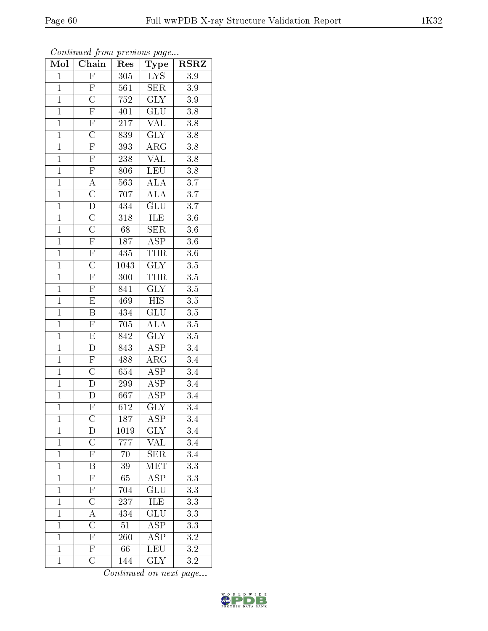| Mol            | Chain                               | Res               | Type                      | <b>RSRZ</b>      |
|----------------|-------------------------------------|-------------------|---------------------------|------------------|
| $\mathbf{1}$   | $\overline{F}$                      | 305               | <b>LYS</b>                | 3.9              |
| $\mathbf{1}$   | $\overline{F}$                      | 561               | ${\rm SER}$               | 3.9              |
| $\overline{1}$ | $\overline{C}$                      | 752               | $\overline{\text{GLY}}$   | $\overline{3.9}$ |
| $\overline{1}$ | $\overline{F}$                      | 401               | $\overline{\text{GLU}}$   | 3.8              |
| $\overline{1}$ | $\overline{\mathrm{F}}$             | $\overline{217}$  | $\overline{\text{VAL}}$   | $\overline{3.8}$ |
| $\mathbf{1}$   | $\overline{C}$                      | 839               | <b>GLY</b>                | 3.8              |
| $\overline{1}$ | $\overline{F}$                      | 393               | $\rm{ARG}$                | 3.8              |
| $\overline{1}$ | $\overline{F}$                      | 238               | <b>VAL</b>                | 3.8              |
| $\overline{1}$ | $\overline{\mathrm{F}}$             | 806               | <b>LEU</b>                | $\overline{3.8}$ |
| $\overline{1}$ | $\overline{A}$                      | $\overline{563}$  | $\overline{\rm ALA}$      | $\overline{3.7}$ |
| $\overline{1}$ | $\overline{\rm C}$                  | 707               | ALA                       | 3.7              |
| $\overline{1}$ | $\overline{\rm D}$                  | 434               | $\overline{{\rm GLU}}$    | $\overline{3.7}$ |
| $\overline{1}$ | $\overline{\rm C}$                  | $\overline{318}$  | ILE                       | $\overline{3.6}$ |
| $\overline{1}$ | $\overline{\rm C}$                  | 68                | <b>SER</b>                | $\overline{3.6}$ |
| $\overline{1}$ | $\overline{\mathrm{F}}$             | 187               | $\overline{\text{ASP}}$   | $\overline{3.6}$ |
| $\overline{1}$ | $\overline{F}$                      | 435               | <b>THR</b>                | 3.6              |
| $\overline{1}$ | $\overline{\rm C}$                  | $\overline{1043}$ | $\overline{\text{GLY}}$   | $\overline{3.5}$ |
| $\overline{1}$ | $\overline{\mathrm{F}}$             | 300               | <b>THR</b>                | 3.5              |
| $\overline{1}$ | $\overline{F}$                      | $\overline{841}$  | $\overline{\text{GLY}}$   | 3.5              |
| $\overline{1}$ | $\overline{\mathrm{E}}$             | 469               | $\overline{HIS}$          | 3.5              |
| $\mathbf{1}$   | $\overline{\mathbf{B}}$             | 434               | $\overline{\text{GLU}}$   | 3.5              |
| $\overline{1}$ | $\overline{F}$                      | $\overline{705}$  | $\overline{\rm ALA}$      | $\overline{3.5}$ |
| $\mathbf{1}$   | $\mathbf E$                         | 842               | $\overline{\text{GLY}}$   | 3.5              |
| $\overline{1}$ | $\overline{\rm D}$                  | $\overline{843}$  | $\overline{\text{ASP}}$   | 3.4              |
| $\overline{1}$ | $\overline{F}$                      | 488               | $\rm{ARG}$                | 3.4              |
| $\overline{1}$ | $\frac{\overline{C}}{D}$            | 654               | $\overline{\text{ASP}}$   | 3.4              |
| $\mathbf{1}$   |                                     | 299               | $\overline{\text{ASP}}$   | 3.4              |
| $\overline{1}$ | $\overline{\rm D}$                  | 667               | $\overline{\text{ASP}}$   | 3.4              |
| $\overline{1}$ | $\overline{\mathrm{F}}$             | $6\overline{12}$  | $\overline{\text{GLY}}$   | $\overline{3.4}$ |
| $\mathbf{1}$   | $\overline{\rm C}$                  | 187               | ASP                       | 3.4              |
| $\mathbf{1}$   | D                                   | 1019              | $\mathrm{GL}\overline{Y}$ | 3.4              |
| $\mathbf{1}$   | $\overline{\rm C}$                  | 777               | <b>VAL</b>                | $\overline{3.4}$ |
| $\mathbf{1}$   | $\overline{\mathrm{F}}$             | 70                | ${\rm SER}$               | $\overline{3.4}$ |
| $\overline{1}$ | $\overline{\mathrm{B}}$             | $\overline{39}$   | MET                       | $\overline{3.3}$ |
| $\mathbf{1}$   | $\overline{F}$                      | 65                | $\overline{\text{ASP}}$   | 3.3              |
| $\overline{1}$ | $\overline{\mathrm{F}}$             | 704               | $\overline{\text{GLU}}$   | $\overline{3.3}$ |
| $\mathbf{1}$   | $\frac{\overline{C}}{\overline{A}}$ | 237               | ILE                       | 3.3              |
| $\overline{1}$ |                                     | 434               | $\overline{\text{GLU}}$   | $\overline{3.3}$ |
| $\mathbf{1}$   | $\overline{\rm C}$                  | $\overline{51}$   | $\overline{\rm ASP}$      | 3.3              |
| $\mathbf{1}$   | $\frac{\overline{F}}{\overline{F}}$ | 260               | <b>ASP</b>                | 3.2              |
| $\mathbf{1}$   |                                     | 66                | LEU                       | $\overline{3.2}$ |
| $\mathbf{1}$   | $\overline{\rm C}$                  | 144               | $\overline{\text{GLY}}$   | 3.2              |

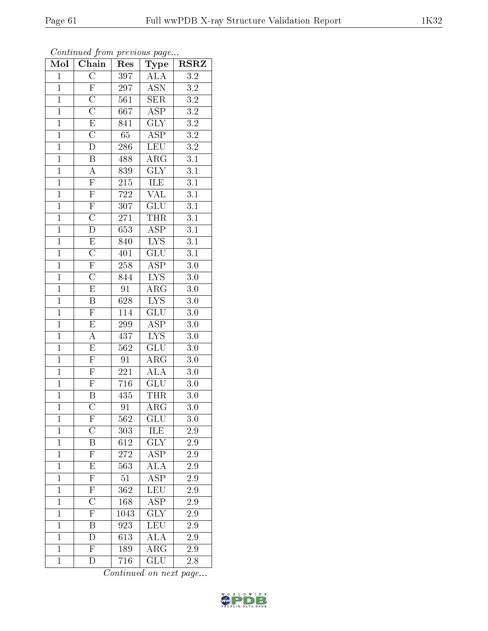| Mol            | Chain                               | Res              | Type                    | $\rm RSRZ$       |
|----------------|-------------------------------------|------------------|-------------------------|------------------|
| $\mathbf{1}$   | $\overline{\rm C}$                  | 397              | ALA                     | $\overline{3.2}$ |
| $\mathbf{1}$   | $\overline{F}$                      | 297              | $\operatorname{ASN}$    | $3.2\,$          |
| $\overline{1}$ | $\overline{\rm C}$                  | 561              | $\overline{\text{SER}}$ | $\overline{3.2}$ |
| $\overline{1}$ | $\overline{\rm C}$                  | 667              | $\overline{\text{ASP}}$ | $\overline{3.2}$ |
| $\overline{1}$ | $\overline{E}$                      | 841              | $\overline{\text{GLY}}$ | $\overline{3.2}$ |
| $\mathbf{1}$   | $\overline{C}$                      | $65\,$           | <b>ASP</b>              | $3\overline{.2}$ |
| $\mathbf{1}$   | $\mathbf D$                         | 286              | <b>LEU</b>              | $3.2\,$          |
| $\overline{1}$ | $\overline{\mathrm{B}}$             | 488              | $\rm{ARG}$              | $\overline{3.1}$ |
| $\overline{1}$ | $\overline{A}$                      | 839              | $\overline{\text{GLY}}$ | $\overline{3.1}$ |
| $\overline{1}$ |                                     | $215\,$          | <b>ILE</b>              | $\overline{3.1}$ |
| $\mathbf{1}$   | $\frac{\overline{F}}{\overline{F}}$ | $722\,$          | <b>VAL</b>              | $\overline{3.1}$ |
| $\overline{1}$ | $\overline{\mathrm{F}}$             | $\overline{307}$ | $\overline{\text{GLU}}$ | $\overline{3.1}$ |
| $\overline{1}$ | $\overline{\text{C}}$               | $271\,$          | <b>THR</b>              | $\overline{3.1}$ |
| $\overline{1}$ | $\overline{\rm D}$                  | 653              | <b>ASP</b>              | $\overline{3.1}$ |
| $\overline{1}$ | $\overline{E}$                      | 840              | <b>LYS</b>              | $\overline{3.1}$ |
| $\overline{1}$ | $\overline{\rm C}$                  | 401              | $\overline{\text{GLU}}$ | $\overline{3.1}$ |
| $\overline{1}$ | $\overline{\mathrm{F}}$             | $258\,$          | $\overline{\text{ASP}}$ | $\overline{3.0}$ |
| $\overline{1}$ | $\overline{\rm C}$                  | 844              | <b>LYS</b>              | 3.0              |
| $\overline{1}$ | $\overline{E}$                      | $\overline{91}$  | $AR\overline{G}$        | $3.0\,$          |
| $\overline{1}$ | $\overline{\mathrm{B}}$             | 628              | $\overline{\text{LYS}}$ | $\overline{3.0}$ |
| $\mathbf{1}$   | $\overline{F}$                      | 114              | GLU                     | $3.0\,$          |
| $\overline{1}$ | $\overline{\mathrm{E}}$             | 299              | $\overline{\text{ASP}}$ | 3.0              |
| $\overline{1}$ | $\overline{A}$                      | 437              | <b>LYS</b>              | $3.0\,$          |
| $\overline{1}$ | $\overline{E}$                      | $\overline{562}$ | $\overline{{\rm GLU}}$  | $\overline{3.0}$ |
| $\overline{1}$ | $\overline{F}$                      | 91               | $\widehat{\rm{ARG}}$    | $3.0\,$          |
| $\mathbf{1}$   | $\overline{F}$                      | 221              | <b>ALA</b>              | $3.0\,$          |
| $\overline{1}$ | $\overline{\mathrm{F}}$             | $\overline{71}6$ | $\overline{\text{GLU}}$ | $3.0\,$          |
| $\overline{1}$ | $\boldsymbol{\mathrm{B}}$           | 435              | <b>THR</b>              | $3.0\,$          |
| $\overline{1}$ | $\overline{\rm C}$                  | $\overline{91}$  | $\overline{\rm{ARG}}$   | $\overline{3.0}$ |
| 1              | F,                                  | $\overline{562}$ | $\overline{\text{GLU}}$ | 3.0              |
| $\mathbf{1}$   | $\overline{C}$                      | 303              | ILE                     | $2.\overline{9}$ |
| $\mathbf{1}$   | Β                                   | 612              | $\overline{\text{GLY}}$ | $2.\overline{9}$ |
| $\overline{1}$ | $\overline{\mathrm{F}}$             | 272              | $A\overline{SP}$        | 2.9              |
| $\mathbf{1}$   | $\overline{E}$                      | $\overline{563}$ | $\overline{\rm ALA}$    | 2.9              |
| $\mathbf{1}$   | $\overline{\mathrm{F}}$             | 51               | <b>ASP</b>              | 2.9              |
| $\mathbf{1}$   | $\overline{\mathrm{F}}$             | 362              | $\overline{\text{LEU}}$ | 2.9              |
| $\mathbf{1}$   | $\overline{\rm C}$                  | 168              | $\overline{\text{ASP}}$ | 2.9              |
| $\overline{1}$ | $\overline{\mathrm{F}}$             | 1043             | <b>GLY</b>              | 2.9              |
| $\mathbf{1}$   | $\overline{\mathrm{B}}$             | 923              | $\overline{\text{LEU}}$ | 2.9              |
| $\mathbf{1}$   | $\overline{\rm D}$                  | 613              | ALA                     | $2.9\,$          |
| $\mathbf{1}$   | $\overline{\mathrm{F}}$             | 189              | $\overline{\rm{ARG}}$   | 2.9              |
| $\mathbf{1}$   | $\overline{D}$                      | 716              | $\overline{\text{GLU}}$ | 2.8              |

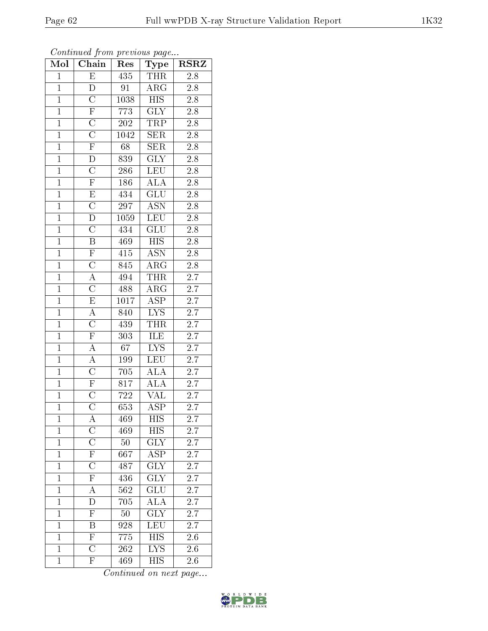| Mol            | Chain                               | Res              | $_{\rm Type}$             | <b>RSRZ</b>      |
|----------------|-------------------------------------|------------------|---------------------------|------------------|
| $\overline{1}$ | $\overline{\mathrm{E}}$             | 435              | THR                       | 2.8              |
| $\overline{1}$ | $\overline{\rm D}$                  | 91               | $AR\overline{G}$          | $2.8\,$          |
| $\overline{1}$ | $\overline{\rm C}$                  | 1038             | $\overline{\mathrm{HIS}}$ | $2.\overline{8}$ |
| $\mathbf{1}$   | $\overline{F}$                      | 773              | $\overline{\text{GLY}}$   | $2.8\,$          |
| $\mathbf{1}$   |                                     | $\overline{202}$ | <b>TRP</b>                | $2.8\,$          |
| $\overline{1}$ | $\frac{\overline{C}}{\overline{C}}$ | 1042             | ${\rm SER}$               | $2.8\,$          |
| $\overline{1}$ |                                     | 68               | SER                       | $\overline{2.8}$ |
| $\overline{1}$ | $\overline{\rm D}$                  | 839              | $\overline{\text{GLY}}$   | $\overline{2.8}$ |
| $\mathbf{1}$   | $\overline{\rm C}$                  | 286              | $\overline{\text{LEU}}$   | $2.\overline{8}$ |
| $\overline{1}$ | $\overline{\mathrm{F}}$             | 186              | $\overline{\rm ALA}$      | $\overline{2.8}$ |
| $\overline{1}$ | $\mathbf E$                         | 434              | GLU                       | $2.\overline{8}$ |
| $\overline{1}$ | $\overline{\rm C}$                  | $\overline{297}$ | $\overline{\mathrm{ASN}}$ | $\overline{2.8}$ |
| $\overline{1}$ | $\overline{\mathrm{D}}$             | 1059             | LEU                       | $2.8\,$          |
| $\overline{1}$ | $\overline{\mathrm{C}}$             | 434              | GLU                       | $2.8\,$          |
| $\overline{1}$ | $\overline{B}$                      | 469              | <b>HIS</b>                | $2.\overline{8}$ |
| $\overline{1}$ | $\overline{\mathrm{F}}$             | 415              | <b>ASN</b>                | $\overline{2.8}$ |
| $\overline{1}$ | $\overline{\rm C}$                  | 845              | $\overline{\text{ARG}}$   | $2.\overline{8}$ |
| $\mathbf{1}$   | $\overline{A}$                      | 494              | THR                       | $\overline{2.7}$ |
| $\mathbf{1}$   | $\overline{\rm C}$                  | 488              | $AR\overline{G}$          | 2.7              |
| $\overline{1}$ | $\overline{E}$                      | 1017             | $\overline{\text{ASP}}$   | $\overline{2.7}$ |
| $\overline{1}$ | $\overline{A}$                      | 840              | $L\overline{YS}$          | $\overline{2.7}$ |
| $\overline{1}$ | $\overline{C}$                      | 439              | <b>THR</b>                | $\overline{2.7}$ |
| $\mathbf{1}$   | $\overline{F}$                      | $303\,$          | $I\overline{\text{LE}}$   | 2.7              |
| $\mathbf{1}$   | $\overline{A}$                      | $\overline{67}$  | $\overline{\text{LYS}}$   | $\overline{2.7}$ |
| $\overline{1}$ | $\overline{A}$                      | 199              | <b>LEU</b>                | $\sqrt{2.7}$     |
| $\overline{1}$ | $\overline{\rm C}$                  | 705              | ALA                       | $\overline{2.7}$ |
| $\overline{1}$ | $\frac{\overline{F}}{C}$            | 817              | $\overline{ALA}$          | $\overline{2.7}$ |
| $\mathbf{1}$   |                                     | 722              | $\overline{\text{VAL}}$   | $2.\overline{7}$ |
| $\overline{1}$ | $\overline{\rm C}$                  | 653              | $\overline{\text{ASP}}$   | $\overline{2.7}$ |
| $\mathbf 1$    | А                                   | 469              | <b>HIS</b>                | 2.7              |
| $\overline{1}$ | $\overline{\rm C}$                  | 469              | <b>HIS</b>                | 2.7              |
| $\mathbf{1}$   | $\overline{C}$                      | $50\,$           | $\overline{\text{GLY}}$   | $2.\overline{7}$ |
| $\mathbf{1}$   | $\frac{\overline{F}}{C}$            | 667              | <b>ASP</b>                | 2.7              |
| $\mathbf{1}$   |                                     | 487              | $\overline{\text{GLY}}$   | 2.7              |
| $\mathbf 1$    | $\frac{1}{F}$                       | $43\overline{6}$ | $\overline{\text{GLY}}$   | $\overline{2}.7$ |
| $\mathbf 1$    | $\overline{A}$                      | 562              | $\overline{\text{GLU}}$   | $2.\bar{7}$      |
| $\mathbf{1}$   | $\overline{\rm D}$                  | 705              | ALA                       | <b>2.7</b>       |
| $\mathbf{1}$   | $\overline{\mathrm{F}}$             | $50\,$           | $\overline{\text{GLY}}$   | 2.7              |
| $\mathbf{1}$   | $\overline{\mathrm{B}}$             | 928              | $\overline{\text{LEU}}$   | 2.7              |
| $\mathbf{1}$   | $\overline{\mathrm{F}}$             | 775              | HIS                       | 2.6              |
| $\mathbf{1}$   | $\overline{\rm C}$                  | 262              | $\overline{\text{LYS}}$   | $2.6\,$          |
| $\mathbf{1}$   | $\mathbf{F}$                        | 469              | <b>HIS</b>                | 2.6              |

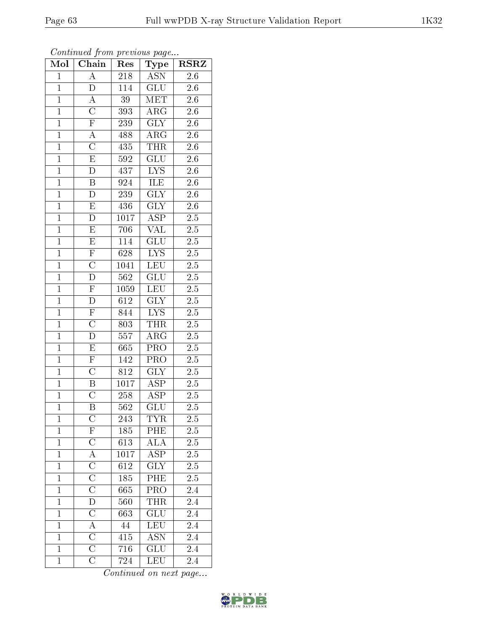| Mol            | Chain                   | Res              | Type                     | $\operatorname{RSRZ}$ |
|----------------|-------------------------|------------------|--------------------------|-----------------------|
| $\mathbf{1}$   | $\overline{A}$          | 218              | <b>ASN</b>               | $2.\overline{6}$      |
| $\mathbf{1}$   | D                       | 114              | GLU                      | 2.6                   |
| $\overline{1}$ | $\overline{\rm A}$      | $\overline{39}$  | $\overline{\text{MET}}$  | $\overline{2.6}$      |
| $\overline{1}$ | $\overline{C}$          | 393              | $\rm{ARG}$               | 2.6                   |
| $\overline{1}$ | $\overline{\mathrm{F}}$ | 239              | $\overline{\text{GLY}}$  | $\overline{2.6}$      |
| $\mathbf{1}$   | $\overline{A}$          | 488              | $\rm{ARG}$               | 2.6                   |
| $\mathbf{1}$   | $\overline{\rm C}$      | 435              | THR                      | 2.6                   |
| $\overline{1}$ | $\overline{\mathrm{E}}$ | 592              | $\overline{\text{GLU}}$  | $2.\overline{6}$      |
| $\overline{1}$ | $\overline{D}$          | 437              | $\overline{\text{LYS}}$  | 2.6                   |
| $\overline{1}$ | $\overline{\mathrm{B}}$ | 924              | <b>ILE</b>               | 2.6                   |
| $\overline{1}$ | $\overline{D}$          | 239              | $\overline{\text{GLY}}$  | 2.6                   |
| $\overline{1}$ | $\overline{\mathrm{E}}$ | 436              | $\widetilde{\text{GLY}}$ | 2.6                   |
| $\overline{1}$ | D                       | 1017             | $\overline{\text{ASP}}$  | 2.5                   |
| $\overline{1}$ | $\overline{E}$          | 706              | VAL                      | 2.5                   |
| $\overline{1}$ | $\overline{\mathrm{E}}$ | 114              | $\overline{{\rm GLU}}$   | $\overline{2.5}$      |
| $\mathbf{1}$   | $\overline{\mathrm{F}}$ | 628              | <b>LYS</b>               | $\overline{2.5}$      |
| $\overline{1}$ | $\overline{\rm C}$      | 1041             | LEU                      | $2.\overline{5}$      |
| $\mathbf{1}$   | $\overline{\rm D}$      | 562              | GLU                      | $2.5\,$               |
| $\overline{1}$ | $\overline{\mathrm{F}}$ | 1059             | LEU                      | $2.\overline{5}$      |
| $\overline{1}$ | $\overline{\rm D}$      | $6\overline{12}$ | $\overline{\text{GLY}}$  | $\overline{2.5}$      |
| $\mathbf{1}$   | $\mathbf{F}% _{0}$      | 844              | L <sub>Y</sub>           | $2.5\,$               |
| $\overline{1}$ | $\overline{\text{C}}$   | 803              | <b>THR</b>               | $\overline{2.5}$      |
| $\overline{1}$ | $\overline{\rm D}$      | 557              | $AR\overline{G}$         | 2.5                   |
| $\overline{1}$ | $\overline{\mathrm{E}}$ | 665              | $\overline{\text{PRO}}$  | $\overline{2.5}$      |
| $\mathbf{1}$   | $\overline{\mathrm{F}}$ | 142              | $\overline{\text{PRO}}$  | $2.\overline{5}$      |
| $\overline{1}$ | $\overline{\rm C}$      | 812              | $\overline{\text{GLY}}$  | $2.5\,$               |
| $\overline{1}$ | $\overline{\mathrm{B}}$ | 1017             | $\overline{\text{ASP}}$  | $\overline{2.5}$      |
| $\overline{1}$ | $\overline{\rm C}$      | 258              | $\overline{\text{ASP}}$  | $\overline{2.5}$      |
| $\overline{1}$ | $\overline{\mathrm{B}}$ | 562              | $\overline{{\rm GLU}}$   | 2.5                   |
| 1              | $\rm{C}$                | 243              | <b>TYR</b>               | 2.5                   |
| $\mathbf{1}$   | $\overline{\mathrm{F}}$ | 185              | PHE                      | 2.5                   |
| $\mathbf{1}$   | $\overline{C}$          | 613              | <b>ALA</b>               | 2.5                   |
| $\mathbf{1}$   | $\overline{A}$          | 1017             | ASP                      | 2.5                   |
| $\mathbf 1$    | $\overline{\rm C}$      | 612              | $\overline{\text{GLY}}$  | $\overline{2.5}$      |
| $\mathbf{1}$   | $\overline{\rm C}$      | 185              | PHE                      | $2.5\,$               |
| $\mathbf{1}$   | $\overline{\rm C}$      | 665              | PRO                      | 2.4                   |
| $\mathbf{1}$   | $\overline{\rm D}$      | 560              | THR                      | 2.4                   |
| $\mathbf{1}$   | $\overline{\rm C}$      | 663              | GLU                      | 2.4                   |
| $\mathbf{1}$   | $\overline{A}$          | 44               | LEU                      | $\overline{2.4}$      |
| $\mathbf{1}$   | $\overline{C}$          | 415              | ASN                      | $2.4\,$               |
| $\mathbf{1}$   | $\overline{\rm C}$      | 716              | GLU                      | 2.4                   |
| $\mathbf{1}$   | $\overline{\rm C}$      | 724              | LEU                      | 2.4                   |

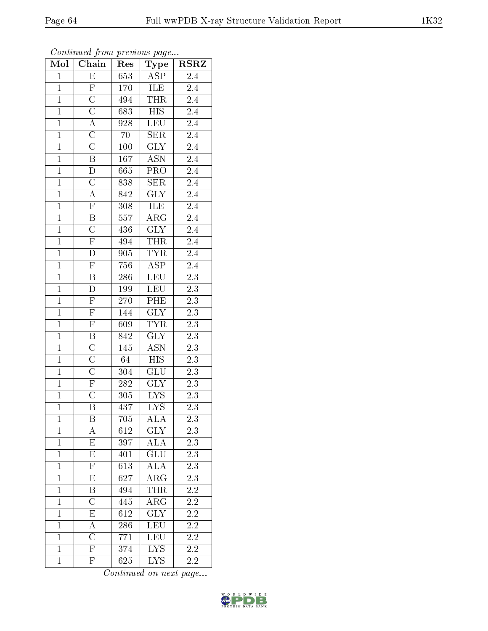Continued from previous page...

| Mol            | Chain                   | Res          | Type                      | $_{\rm RSRZ}$    |
|----------------|-------------------------|--------------|---------------------------|------------------|
| $\mathbf{1}$   | E                       | 653          | $\overline{\text{ASP}}$   | 2.4              |
| $\mathbf{1}$   | $\overline{F}$          | 170          | ILE                       | 2.4              |
| $\overline{1}$ | $\overline{\rm C}$      | 494          | <b>THR</b>                | $2.4\,$          |
| $\mathbf{1}$   | $\overline{\rm C}$      | 683          | <b>HIS</b>                | 2.4              |
| $\overline{1}$ | $\overline{A}$          | 928          | $\overline{\text{LEU}}$   | $2.4\,$          |
| $\mathbf{1}$   | $\overline{\rm C}$      | 70           | <b>SER</b>                | $2.4\,$          |
| $\overline{1}$ | $\overline{\rm C}$      | 100          | <b>GLY</b>                | 2.4              |
| $\overline{1}$ | $\overline{\mathrm{B}}$ | 167          | ASN                       | 2.4              |
| $\overline{1}$ | D                       | 665          | PRO                       | $2.4\,$          |
| $\mathbf{1}$   | $\overline{\rm C}$      | 838          | SER                       | $2.4\,$          |
| $\overline{1}$ | $\overline{\rm A}$      | 842          | $\text{GL}\bar{\text{Y}}$ | $2.4\,$          |
| $\overline{1}$ | $\overline{\mathrm{F}}$ | 308          | ILE                       | $2.4\,$          |
| $\mathbf{1}$   | $\overline{B}$          | 557          | $\rm{ARG}$                | $2.4\,$          |
| $\mathbf{1}$   | $\overline{\rm C}$      | 436          | GLY                       | 2.4              |
| $\overline{1}$ | $\overline{F}$          | 494          | <b>THR</b>                | $2.4\,$          |
| $\mathbf{1}$   | D                       | 905          | <b>TYR</b>                | 2.4              |
| $\overline{1}$ | $\overline{\mathrm{F}}$ | 756          | $\overline{\text{ASP}}$   | $\overline{2.4}$ |
| $\mathbf{1}$   | B                       | 286          | <b>LEU</b>                | $2.3\,$          |
| $\mathbf{1}$   | D                       | 199          | <b>LEU</b>                | $2.3\,$          |
| $\overline{1}$ | $\overline{F}$          | 270          | PHE                       | 2.3              |
| $\overline{1}$ | $\overline{F}$          | 144          | $\overline{\text{GLY}}$   | $\overline{2.3}$ |
| $\overline{1}$ | $\overline{\mathrm{F}}$ | 609          | <b>TYR</b>                | $\overline{2.3}$ |
| $\mathbf{1}$   | $\overline{\mathrm{B}}$ | 842          | <b>GLY</b>                | $2.3\,$          |
| $\overline{1}$ | $\overline{\rm C}$      | 145          | $\overline{\mathrm{ASN}}$ | $\overline{2.3}$ |
| $\overline{1}$ | $\overline{\rm C}$      | 64           | $\overline{HIS}$          | $\overline{2.3}$ |
| $\overline{1}$ | $\overline{\rm C}$      | 304          | GLU                       | 2.3              |
| $\overline{1}$ | $\overline{F}$          | $28\sqrt{2}$ | $\overline{\text{GLY}}$   | $\overline{2.3}$ |
| $\overline{1}$ | $\overline{\rm C}$      | 305          | <b>LYS</b>                | $2.3\,$          |
| $\overline{1}$ | $\overline{\mathrm{B}}$ | 437          | $\overline{\text{LYS}}$   | $\overline{2.3}$ |
| $\overline{1}$ | B                       | 705          | ALA                       | $\overline{2.3}$ |
| $\overline{1}$ | А                       | 612          | GLY                       | 2.3              |
| $\mathbf{1}$   | $\overline{\mathrm{E}}$ | 397          | $\overline{\rm ALA}$      | 2.3              |
| $\mathbf 1$    | $\mathbf E$             | 401          | GLU                       | $2.3\,$          |
| $\mathbf{1}$   | $\overline{\mathrm{F}}$ | 613          | $\overline{\rm ALA}$      | $\overline{2.3}$ |
| $\mathbf{1}$   | Е                       | 627          | ${\rm ARG}$               | 2.3              |
| $\mathbf{1}$   | $\overline{\mathrm{B}}$ | 494          | THR                       | $\overline{2.2}$ |
| $\mathbf{1}$   | $\overline{\rm C}$      | 445          | $\overline{\rm{ARG}}$     | $2.2\,$          |
| $\mathbf{1}$   | E                       | 612          | $\overline{\text{GLY}}$   | $2.\overline{2}$ |
| $\mathbf 1$    | $\overline{\rm A}$      | 286          | $\overline{\text{LEU}}$   | 2.2              |
| $\mathbf{1}$   | $\overline{\rm C}$      | 771          | LEU                       | 2.2              |
| $\mathbf{1}$   | $\overline{\mathrm{F}}$ | 374          | $\overline{\text{LYS}}$   | 2.2              |
| $\mathbf{1}$   | $\overline{\mathrm{F}}$ | 625          | <b>LYS</b>                | 2.2              |

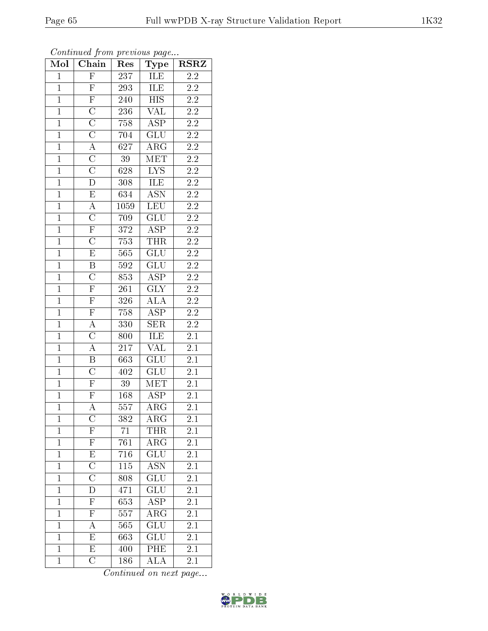| Mol            | . <u>.</u><br>Chain                 | $\mathbf{r}$ .<br>Res | $\mathbf{r}$ . $\mathbf{r}$<br>Type | <b>RSRZ</b>      |
|----------------|-------------------------------------|-----------------------|-------------------------------------|------------------|
| $\mathbf 1$    | $\overline{F}$                      | 237                   | ILE                                 | 2.2              |
| $\mathbf{1}$   | $\overline{F}$                      | 293                   | ILE                                 | $2.2\,$          |
| $\overline{1}$ | $\overline{F}$                      | 240                   | $\overline{\mathrm{HIS}}$           | $\overline{2.2}$ |
| $\overline{1}$ | $\overline{\rm C}$                  | 236                   | $\overline{\text{VAL}}$             | $2\overline{.2}$ |
| $\overline{1}$ | $\overline{C}$                      | 758                   | $\overline{\text{ASP}}$             | $\overline{2.2}$ |
| $\overline{1}$ | $\overline{\text{C}}$               | 704                   | GLU                                 | $\overline{2.2}$ |
| $\overline{1}$ | $\overline{A}$                      | 627                   | $\rm{ARG}$                          | $2\overline{.2}$ |
| $\overline{1}$ | $\overline{C}$                      | $\overline{39}$       | $\overline{\text{MET}}$             | $\overline{2.2}$ |
| $\overline{1}$ | $\overline{\rm C}$                  | 628                   | $\overline{\text{LYS}}$             | $\overline{2.2}$ |
| $\overline{1}$ | $\overline{\rm D}$                  | 308                   | <b>ILE</b>                          | $\overline{2.2}$ |
| $\mathbf{1}$   | $\overline{E}$                      | 634                   | <b>ASN</b>                          | $\overline{2.2}$ |
| $\overline{1}$ | $\frac{\overline{A}}{C}$            | 1059                  | LEU                                 | $\overline{2.2}$ |
| $\overline{1}$ |                                     | 709                   | GLU                                 | $\overline{2.2}$ |
| $\overline{1}$ | $\overline{F}$                      | 372                   | <b>ASP</b>                          | $\overline{2.2}$ |
| $\overline{1}$ | $\overline{\rm C}$                  | 753                   | $\overline{\text{THR}}$             | $\overline{2.2}$ |
| $\mathbf{1}$   | $\overline{E}$                      | 565                   | $\overline{\text{GLU}}$             | $\overline{2.2}$ |
| $\overline{1}$ | $\overline{B}$                      | $\overline{592}$      | $\overline{\text{GLU}}$             | $\overline{2.2}$ |
| $\overline{1}$ | $\overline{\text{C}}$               | 853                   | <b>ASP</b>                          | $2.\overline{2}$ |
| $\overline{1}$ | $\overline{F}$                      | 261                   | $\overline{\text{GLY}}$             | $\overline{2.2}$ |
| $\overline{1}$ | $\frac{\overline{F}}{\overline{F}}$ | 326                   | $\overline{\rm ALA}$                | $\overline{2.2}$ |
| $\overline{1}$ |                                     | 758                   | $\overline{\text{ASP}}$             | 2.2              |
| $\overline{1}$ | $\overline{A}$                      | 330                   | $\overline{\text{SER}}$             | $\overline{2.2}$ |
| $\overline{1}$ | $\overline{\rm C}$                  | 800                   | ILE                                 | $\overline{2.1}$ |
| $\overline{1}$ | $\overline{A}$                      | 217                   | $\overline{\text{VAL}}$             | $\overline{2.1}$ |
| $\overline{1}$ | $\overline{B}$                      | 663                   | $\overline{\text{GLU}}$             | $\overline{2.1}$ |
| $\overline{1}$ | $\overline{\rm C}$                  | 402                   | GLU                                 | 2.1              |
| $\overline{1}$ | $\overline{F}$                      | $39\,$                | MET                                 | $\overline{2.1}$ |
| $\overline{1}$ | $\overline{\mathrm{F}}$             | $168\,$               | <b>ASP</b>                          | 2.1              |
| $\overline{1}$ | $\overline{\rm A}$                  | $\overline{557}$      | $\overline{\rm{ARG}}$               | $\overline{2.1}$ |
| $\mathbf 1$    | $\rm{C}$                            | 382                   | $\rm{ARG}$                          | $2.1\,$          |
| $\mathbf{1}$   | $\overline{\mathrm{F}}$             | 71                    | THR                                 | 2.1              |
| $\mathbf{1}$   | $\overline{\mathrm{F}}$             | 761                   | $AR\bar{G}$                         | 2.1              |
| $\mathbf{1}$   | E                                   | 716                   | GLU                                 | 2.1              |
| $\overline{1}$ | $\overline{C}$                      | $\overline{115}$      | $\overline{\mathrm{ASN}}$           | $\overline{2.1}$ |
| $\mathbf{1}$   | $\mathcal{C}$                       | 808                   | GLU                                 | 2.1              |
| $\mathbf{1}$   | $\overline{\mathrm{D}}$             | 471                   | $\overline{\text{GLU}}$             | $\overline{2.1}$ |
| $\mathbf{1}$   | $\overline{\mathrm{F}}$             | 653                   | $\overline{\text{ASP}}$             | 2.1              |
| $\overline{1}$ | $\overline{\mathrm{F}}$             | 557                   | $\rm{ARG}$                          | $\overline{2.1}$ |
| $\mathbf{1}$   | $\overline{A}$                      | 565                   | $\overline{\text{GLU}}$             | $2\overline{.1}$ |
| $\mathbf{1}$   | $\overline{\mathrm{E}}$             | 663                   | GLU                                 | 2.1              |
| $\mathbf{1}$   | $\overline{\mathrm{E}}$             | 400                   | PHE                                 | $2\overline{.1}$ |
| $\mathbf{1}$   | $\overline{\rm C}$                  | 186                   | <b>ALA</b>                          | 2.1              |

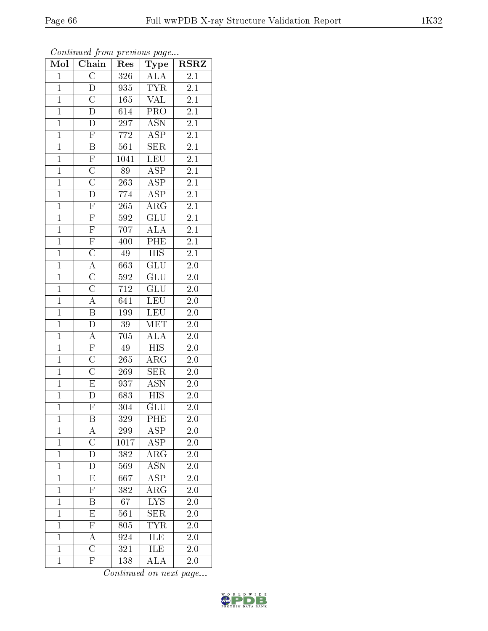| $\mathbf{1}$   | $\boldsymbol{\mathrm{F}}$ | 772              | ASP                       | 2.1              |  |
|----------------|---------------------------|------------------|---------------------------|------------------|--|
| $\overline{1}$ | Β                         | 561              | <b>SER</b>                | 2.1              |  |
| $\mathbf{1}$   | $\overline{\mathrm{F}}$   | 1041             | LEU                       | 2.1              |  |
| $\mathbf{1}$   | $\overline{\rm C}$        | 89               | $AS\overline{P}$          | 2.1              |  |
| $\overline{1}$ | $\overline{\rm C}$        | $\overline{263}$ | $\overline{\text{ASP}}$   | 2.1              |  |
| $\mathbf{1}$   | D                         | 774              | <b>ASP</b>                | 2.1              |  |
| $\mathbf{1}$   | $\overline{\mathrm{F}}$   | 265              | $\overline{\rm{ARG}}$     | 2.1              |  |
| $\overline{1}$ | $\overline{\mathrm{F}}$   | 592              | $\overline{\text{GLU}}$   | 2.1              |  |
| $\mathbf{1}$   | $\overline{\mathrm{F}}$   | 707              | <b>ALA</b>                | 2.1              |  |
| $\mathbf{1}$   | $\overline{\mathrm{F}}$   | 400              | PHE                       | $\overline{2.1}$ |  |
| $\overline{1}$ | $\overline{\rm C}$        | 49               | $H\overline{S}$           | 2.1              |  |
| $\mathbf{1}$   | А                         | 663              | GLU                       | 2.0              |  |
| $\mathbf{1}$   | $\overline{\rm C}$        | 592              | $\overline{\text{GLU}}$   | 2.0              |  |
| $\mathbf{1}$   | $\overline{\rm C}$        | 712              | $\overline{\mathrm{GLU}}$ | 2.0              |  |
| $\overline{1}$ | A                         | 641              | LEU                       | $\overline{2.0}$ |  |
| $\mathbf{1}$   | Β                         | 199              | <b>LEU</b>                | $2.0\,$          |  |
| $\mathbf{1}$   | $\overline{\rm D}$        | 39               | <b>MET</b>                | 2.0              |  |
| $\mathbf{1}$   | А                         | 705              | ALA                       | 2.0              |  |
| $\mathbf{1}$   | $\overline{\mathrm{F}}$   | 49               | $\overline{\mathrm{HIS}}$ | 2.0              |  |
| $\overline{1}$ | $\overline{\rm C}$        | 265              | $AR\overline{G}$          | $2.0\,$          |  |
| $\mathbf{1}$   | $\overline{\rm C}$        | 269              | <b>SER</b>                | 2.0              |  |
| $\overline{1}$ | $\overline{\mathrm{E}}$   | 937              | $\overline{\text{ASN}}$   | 2.0              |  |
| $\mathbf{1}$   | D                         | 683              | <b>HIS</b>                | 2.0              |  |
| $\overline{1}$ | $\overline{\mathrm{F}}$   | 304              | $\overline{\mathrm{GLU}}$ | 2.0              |  |
| $\mathbf{1}$   | Β                         | 329              | PHE                       | $2.0\,$          |  |
| $\overline{1}$ | A                         | 299              | $\overline{\rm ASP}$      | 2.0              |  |
| $\mathbf{1}$   | $\overline{\rm C}$        | 1017             | $\overline{\text{ASP}}$   | 2.0              |  |
| $\mathbf{1}$   | D                         | 382              | $\overline{\rm{ARG}}$     | 2.0              |  |
| $\overline{1}$ | D                         | 569              | $\overline{\mathrm{ASN}}$ | $2.0\,$          |  |
| $\mathbf{1}$   | E                         | 667              | <b>ASP</b>                | $2.0\,$          |  |
| $\overline{1}$ | $\overline{\mathrm{F}}$   | 382              | $\overline{\rm{ARG}}$     | 2.0              |  |

Mol | Chain | Res | Type | RSRZ 1 | C | 326 | ALA | 2.1 D 935 TYR 2.1 1 | C | 165 | VAL | 2.1 D 614 PRO 2.1 1 D 297 ASN 2.1

Continued on next page...

1 B 67 LYS 2.0 1 E 561 SER 2.0 F 805 TYR 2.0

1 A 924 ILE 2.0<br>1 C 321 ILE 2.0

1 F 138 ALA 2.0

1 C 321 ILE